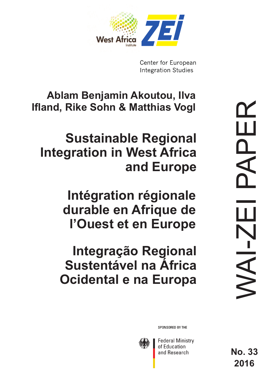

Center for European **Integration Studies** 

**Ablam Benjamin Akoutou, Ilva Ifland, Rike Sohn & Matthias Vogl** 

# **Sustainable Regional Integration in West Africa and Europe**

**Intégration régionale durable en Afrique de l'Ouest et en Europe**

**Integração Regional Sustentável na África Ocidental e na Europa**

SPONSORED BY THE



**Federal Ministry** of Education and Research

**No. 33 2016**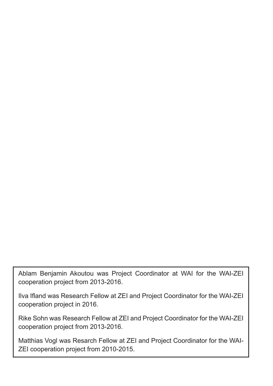Ablam Benjamin Akoutou was Project Coordinator at WAI for the WAI-ZEI cooperation project from 2013-2016.

Ilva Ifland was Research Fellow at ZEI and Project Coordinator for the WAI-ZEI cooperation project in 2016.

Rike Sohn was Research Fellow at ZEI and Project Coordinator for the WAI-ZEI cooperation project from 2013-2016.

Matthias Vogl was Resarch Fellow at ZEI and Project Coordinator for the WAI-ZEI cooperation project from 2010-2015.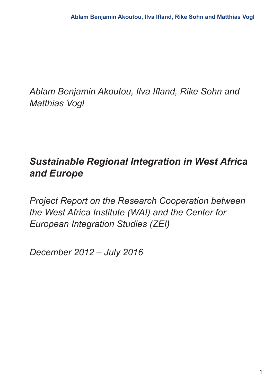*Ablam Benjamin Akoutou, Ilva Ifland, Rike Sohn and Matthias Vogl*

# *Sustainable Regional Integration in West Africa and Europe*

*Project Report on the Research Cooperation between the West Africa Institute (WAI) and the Center for European Integration Studies (ZEI)*

*December 2012 – July 2016*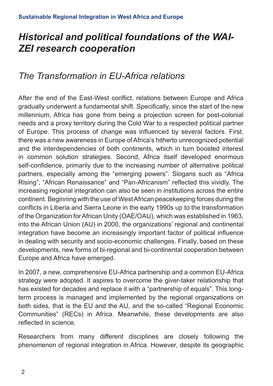# *Historical and political foundations of the WAI-ZEI research cooperation*

### *The Transformation in EU-Africa relations*

After the end of the East-West conflict, relations between Europe and Africa gradually underwent a fundamental shift. Specifically, since the start of the new millennium, Africa has gone from being a projection screen for post-colonial needs and a proxy territory during the Cold War to a respected political partner of Europe. This process of change was influenced by several factors. First, there was a new awareness in Europe of Africa's hitherto unrecognized potential and the interdependencies of both continents, which in turn boosted interest in common solution strategies. Second, Africa itself developed enormous self-confidence, primarily due to the increasing number of alternative political partners, especially among the "emerging powers". Slogans such as "Africa Rising", "African Renaissance" and "Pan-Africanism" reflected this vividly. The increasing regional integration can also be seen in institutions across the entire continent. Beginning with the use of West African peacekeeping forces during the conflicts in Liberia and Sierra Leone in the early 1990s up to the transformation of the Organization for African Unity (OAE/OAU), which was established in 1963, into the African Union (AU) in 2000, the organizations' regional and continental integration have become an increasingly important factor of political influence in dealing with security and socio-economic challenges. Finally, based on these developments, new forms of bi-regional and bi-continental cooperation between Europe and Africa have emerged.

In 2007, a new, comprehensive EU-Africa partnership and a common EU-Africa strategy were adopted. It aspires to overcome the giver-taker relationship that has existed for decades and replace it with a "partnership of equals". This longterm process is managed and implemented by the regional organizations on both sides, that is the EU and the AU, and the so-called "Regional Economic Communities" (RECs) in Africa. Meanwhile, these developments are also reflected in science.

Researchers from many different disciplines are closely following the phenomenon of regional integration in Africa. However, despite its geographic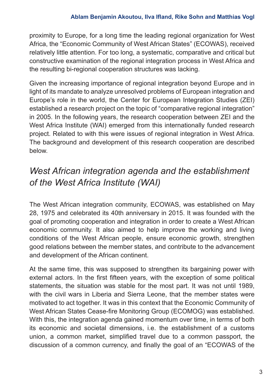proximity to Europe, for a long time the leading regional organization for West Africa, the "Economic Community of West African States" (ECOWAS), received relatively little attention. For too long, a systematic, comparative and critical but constructive examination of the regional integration process in West Africa and the resulting bi-regional cooperation structures was lacking.

Given the increasing importance of regional integration beyond Europe and in light of its mandate to analyze unresolved problems of European integration and Europe's role in the world, the Center for European Integration Studies (ZEI) established a research project on the topic of "comparative regional integration" in 2005. In the following years, the research cooperation between ZEI and the West Africa Institute (WAI) emerged from this internationally funded research project. Related to with this were issues of regional integration in West Africa. The background and development of this research cooperation are described below.

### *West African integration agenda and the establishment of the West Africa Institute (WAI)*

The West African integration community, ECOWAS, was established on May 28, 1975 and celebrated its 40th anniversary in 2015. It was founded with the goal of promoting cooperation and integration in order to create a West African economic community. It also aimed to help improve the working and living conditions of the West African people, ensure economic growth, strengthen good relations between the member states, and contribute to the advancement and development of the African continent.

At the same time, this was supposed to strengthen its bargaining power with external actors. In the first fifteen years, with the exception of some political statements, the situation was stable for the most part. It was not until 1989, with the civil wars in Liberia and Sierra Leone, that the member states were motivated to act together. It was in this context that the Economic Community of West African States Cease-fire Monitoring Group (ECOMOG) was established. With this, the integration agenda gained momentum over time, in terms of both its economic and societal dimensions, i.e. the establishment of a customs union, a common market, simplified travel due to a common passport, the discussion of a common currency, and finally the goal of an "ECOWAS of the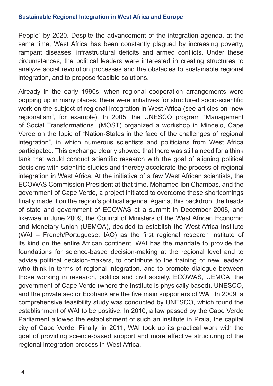People" by 2020. Despite the advancement of the integration agenda, at the same time, West Africa has been constantly plagued by increasing poverty, rampant diseases, infrastructural deficits and armed conflicts. Under these circumstances, the political leaders were interested in creating structures to analyze social revolution processes and the obstacles to sustainable regional integration, and to propose feasible solutions.

Already in the early 1990s, when regional cooperation arrangements were popping up in many places, there were initiatives for structured socio-scientific work on the subject of regional integration in West Africa (see articles on "new regionalism", for example). In 2005, the UNESCO program "Management of Social Transformations" (MOST) organized a workshop in Mindelo, Cape Verde on the topic of "Nation-States in the face of the challenges of regional integration", in which numerous scientists and politicians from West Africa participated. This exchange clearly showed that there was still a need for a think tank that would conduct scientific research with the goal of aligning political decisions with scientific studies and thereby accelerate the process of regional integration in West Africa. At the initiative of a few West African scientists, the ECOWAS Commission President at that time, Mohamed Ibn Chambas, and the government of Cape Verde, a project initiated to overcome these shortcomings finally made it on the region's political agenda. Against this backdrop, the heads of state and government of ECOWAS at a summit in December 2008, and likewise in June 2009, the Council of Ministers of the West African Economic and Monetary Union (UEMOA), decided to establish the West Africa Institute (WAI – French/Portuguese: IAO) as the first regional research institute of its kind on the entire African continent. WAI has the mandate to provide the foundations for science-based decision-making at the regional level and to advise political decision-makers, to contribute to the training of new leaders who think in terms of regional integration, and to promote dialogue between those working in research, politics and civil society. ECOWAS, UEMOA, the government of Cape Verde (where the institute is physically based), UNESCO, and the private sector Ecobank are the five main supporters of WAI. In 2009, a comprehensive feasibility study was conducted by UNESCO, which found the establishment of WAI to be positive. In 2010, a law passed by the Cape Verde Parliament allowed the establishment of such an institute in Praia, the capital city of Cape Verde. Finally, in 2011, WAI took up its practical work with the goal of providing science-based support and more effective structuring of the regional integration process in West Africa.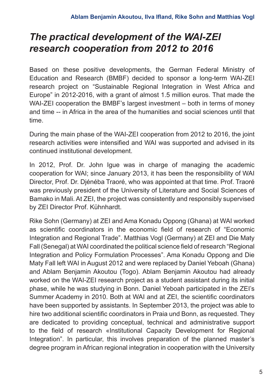# *The practical development of the WAI-ZEI research cooperation from 2012 to 2016*

Based on these positive developments, the German Federal Ministry of Education and Research (BMBF) decided to sponsor a long-term WAI-ZEI research project on "Sustainable Regional Integration in West Africa and Europe" in 2012-2016, with a grant of almost 1.5 million euros. That made the WAI-ZEI cooperation the BMBF's largest investment – both in terms of money and time -- in Africa in the area of the humanities and social sciences until that time.

During the main phase of the WAI-ZEI cooperation from 2012 to 2016, the joint research activities were intensified and WAI was supported and advised in its continued institutional development.

In 2012, Prof. Dr. John Igue was in charge of managing the academic cooperation for WAI; since January 2013, it has been the responsibility of WAI Director, Prof. Dr. Djénéba Traoré, who was appointed at that time. Prof. Traoré was previously president of the University of Literature and Social Sciences of Bamako in Mali. At ZEI, the project was consistently and responsibly supervised by ZEI Director Prof. Kühnhardt.

Rike Sohn (Germany) at ZEI and Ama Konadu Oppong (Ghana) at WAI worked as scientific coordinators in the economic field of research of "Economic Integration and Regional Trade". Matthias Vogl (Germany) at ZEI and Die Maty Fall (Senegal) at WAI coordinated the political science field of research "Regional Integration and Policy Formulation Processes". Ama Konadu Oppong and Die Maty Fall left WAI in August 2012 and were replaced by Daniel Yeboah (Ghana) and Ablam Benjamin Akoutou (Togo). Ablam Benjamin Akoutou had already worked on the WAI-ZEI research project as a student assistant during its initial phase, while he was studying in Bonn. Daniel Yeboah participated in the ZEI's Summer Academy in 2010. Both at WAI and at ZEI, the scientific coordinators have been supported by assistants. In September 2013, the project was able to hire two additional scientific coordinators in Praia und Bonn, as requested. They are dedicated to providing conceptual, technical and administrative support to the field of research «Institutional Capacity Development for Regional Integration". In particular, this involves preparation of the planned master's degree program in African regional integration in cooperation with the University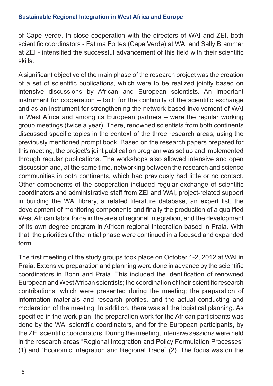of Cape Verde. In close cooperation with the directors of WAI and ZEI, both scientific coordinators - Fatima Fortes (Cape Verde) at WAI and Sally Brammer at ZEI - intensified the successful advancement of this field with their scientific skills.

A significant objective of the main phase of the research project was the creation of a set of scientific publications, which were to be realized jointly based on intensive discussions by African and European scientists. An important instrument for cooperation – both for the continuity of the scientific exchange and as an instrument for strengthening the network-based involvement of WAI in West Africa and among its European partners – were the regular working group meetings (twice a year). There, renowned scientists from both continents discussed specific topics in the context of the three research areas, using the previously mentioned prompt book. Based on the research papers prepared for this meeting, the project's joint publication program was set up and implemented through regular publications. The workshops also allowed intensive and open discussion and, at the same time, networking between the research and science communities in both continents, which had previously had little or no contact. Other components of the cooperation included regular exchange of scientific coordinators and administrative staff from ZEI and WAI, project-related support in building the WAI library, a related literature database, an expert list, the development of monitoring components and finally the production of a qualified West African labor force in the area of regional integration, and the development of its own degree program in African regional integration based in Praia. With that, the priorities of the initial phase were continued in a focused and expanded form.

The first meeting of the study groups took place on October 1-2, 2012 at WAI in Praia. Extensive preparation and planning were done in advance by the scientific coordinators in Bonn and Praia. This included the identification of renowned European and West African scientists; the coordination of their scientific research contributions, which were presented during the meeting; the preparation of information materials and research profiles, and the actual conducting and moderation of the meeting. In addition, there was all the logistical planning. As specified in the work plan, the preparation work for the African participants was done by the WAI scientific coordinators, and for the European participants, by the ZEI scientific coordinators. During the meeting, intensive sessions were held in the research areas "Regional Integration and Policy Formulation Processes" (1) and "Economic Integration and Regional Trade" (2). The focus was on the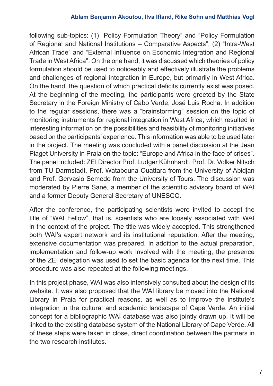#### **Ablam Benjamin Akoutou, Ilva Ifland, Rike Sohn and Matthias Vogl**

following sub-topics: (1) "Policy Formulation Theory" and "Policy Formulation of Regional and National Institutions – Comparative Aspects". (2) "Intra-West African Trade" and "External Influence on Economic Integration and Regional Trade in West Africa". On the one hand, it was discussed which theories of policy formulation should be used to noticeably and effectively illustrate the problems and challenges of regional integration in Europe, but primarily in West Africa. On the hand, the question of which practical deficits currently exist was posed. At the beginning of the meeting, the participants were greeted by the State Secretary in the Foreign Ministry of Cabo Verde, José Luis Rocha. In addition to the regular sessions, there was a "brainstorming" session on the topic of monitoring instruments for regional integration in West Africa, which resulted in interesting information on the possibilities and feasibility of monitoring initiatives based on the participants' experience. This information was able to be used later in the project. The meeting was concluded with a panel discussion at the Jean Piaget University in Praia on the topic: "Europe and Africa in the face of crises". The panel included: ZEI Director Prof. Ludger Kühnhardt, Prof. Dr. Volker Nitsch from TU Darmstadt, Prof. Watabouna Ouattara from the University of Abidjan and Prof. Gervasio Semedo from the University of Tours. The discussion was moderated by Pierre Sané, a member of the scientific advisory board of WAI and a former Deputy General Secretary of UNESCO.

After the conference, the participating scientists were invited to accept the title of "WAI Fellow", that is, scientists who are loosely associated with WAI in the context of the project. The title was widely accepted. This strengthened both WAI's expert network and its institutional reputation. After the meeting, extensive documentation was prepared. In addition to the actual preparation, implementation and follow-up work involved with the meeting, the presence of the ZEI delegation was used to set the basic agenda for the next time. This procedure was also repeated at the following meetings.

In this project phase, WAI was also intensively consulted about the design of its website. It was also proposed that the WAI library be moved into the National Library in Praia for practical reasons, as well as to improve the institute's integration in the cultural and academic landscape of Cape Verde. An initial concept for a bibliographic WAI database was also jointly drawn up. It will be linked to the existing database system of the National Library of Cape Verde. All of these steps were taken in close, direct coordination between the partners in the two research institutes.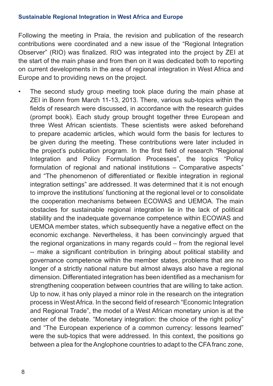Following the meeting in Praia, the revision and publication of the research contributions were coordinated and a new issue of the "Regional Integration Observer" (RIO) was finalized. RIO was integrated into the project by ZEI at the start of the main phase and from then on it was dedicated both to reporting on current developments in the area of regional integration in West Africa and Europe and to providing news on the project.

The second study group meeting took place during the main phase at ZEI in Bonn from March 11-13, 2013. There, various sub-topics within the fields of research were discussed, in accordance with the research guides (prompt book). Each study group brought together three European and three West African scientists. These scientists were asked beforehand to prepare academic articles, which would form the basis for lectures to be given during the meeting. These contributions were later included in the project's publication program. In the first field of research "Regional Integration and Policy Formulation Processes", the topics "Policy formulation of regional and national institutions – Comparative aspects" and "The phenomenon of differentiated or flexible integration in regional integration settings" are addressed. It was determined that it is not enough to improve the institutions' functioning at the regional level or to consolidate the cooperation mechanisms between ECOWAS and UEMOA. The main obstacles for sustainable regional integration lie in the lack of political stability and the inadequate governance competence within ECOWAS and UEMOA member states, which subsequently have a negative effect on the economic exchange. Nevertheless, it has been convincingly argued that the regional organizations in many regards could – from the regional level -- make a significant contribution in bringing about political stability and governance competence within the member states, problems that are no longer of a strictly national nature but almost always also have a regional dimension. Differentiated integration has been identified as a mechanism for strengthening cooperation between countries that are willing to take action. Up to now, it has only played a minor role in the research on the integration process in West Africa. In the second field of research "Economic Integration and Regional Trade", the model of a West African monetary union is at the center of the debate. "Monetary integration: the choice of the right policy" and "The European experience of a common currency: lessons learned" were the sub-topics that were addressed. In this context, the positions go between a plea for the Anglophone countries to adapt to the CFA franc zone,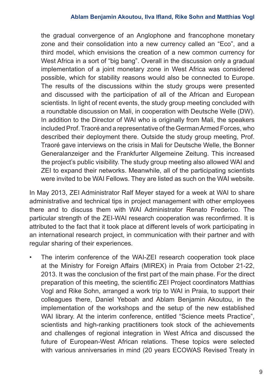the gradual convergence of an Anglophone and francophone monetary zone and their consolidation into a new currency called an "Eco", and a third model, which envisions the creation of a new common currency for West Africa in a sort of "big bang". Overall in the discussion only a gradual implementation of a joint monetary zone in West Africa was considered possible, which for stability reasons would also be connected to Europe. The results of the discussions within the study groups were presented and discussed with the participation of all of the African and European scientists. In light of recent events, the study group meeting concluded with a roundtable discussion on Mali, in cooperation with Deutsche Welle (DW). In addition to the Director of WAI who is originally from Mali, the speakers included Prof. Traoré and a representative of the German Armed Forces, who described their deployment there. Outside the study group meeting, Prof. Traoré gave interviews on the crisis in Mali for Deutsche Welle, the Bonner Generalanzeiger and the Frankfurter Allgemeine Zeitung. This increased the project's public visibility. The study group meeting also allowed WAI and ZEI to expand their networks. Meanwhile, all of the participating scientists were invited to be WAI Fellows. They are listed as such on the WAI website.

In May 2013, ZEI Administrator Ralf Meyer stayed for a week at WAI to share administrative and technical tips in project management with other employees there and to discuss them with WAI Administrator Renato Frederico. The particular strength of the ZEI-WAI research cooperation was reconfirmed. It is attributed to the fact that it took place at different levels of work participating in an international research project, in communication with their partner and with regular sharing of their experiences.

• The interim conference of the WAI-ZEI research cooperation took place at the Ministry for Foreign Affairs (MIREX) in Praia from October 21-22, 2013. It was the conclusion of the first part of the main phase. For the direct preparation of this meeting, the scientific ZEI Project coordinators Matthias Vogl and Rike Sohn, arranged a work trip to WAI in Praia, to support their colleagues there, Daniel Yeboah and Ablam Benjamin Akoutou, in the implementation of the workshops and the setup of the new established WAI library. At the interim conference, entitled "Science meets Practice", scientists and high-ranking practitioners took stock of the achievements and challenges of regional integration in West Africa and discussed the future of European-West African relations. These topics were selected with various anniversaries in mind (20 years ECOWAS Revised Treaty in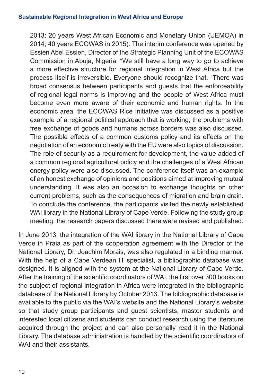2013; 20 years West African Economic and Monetary Union (UEMOA) in 2014; 40 years ECOWAS in 2015). The interim conference was opened by Essien Abel Essien, Director of the Strategic Planning Unit of the ECOWAS Commission in Abuja, Nigeria: "We still have a long way to go to achieve a more effective structure for regional integration in West Africa but the process itself is irreversible. Everyone should recognize that. "There was broad consensus between participants and guests that the enforceability of regional legal norms is improving and the people of West Africa must become even more aware of their economic and human rights. In the economic area, the ECOWAS Rice Initiative was discussed as a positive example of a regional political approach that is working; the problems with free exchange of goods and humans across borders was also discussed. The possible effects of a common customs policy and its effects on the negotiation of an economic treaty with the EU were also topics of discussion. The role of security as a requirement for development, the value added of a common regional agricultural policy and the challenges of a West African energy policy were also discussed. The conference itself was an example of an honest exchange of opinions and positions aimed at improving mutual understanding. It was also an occasion to exchange thoughts on other current problems, such as the consequences of migration and brain drain. To conclude the conference, the participants visited the newly established WAI library in the National Library of Cape Verde. Following the study group meeting, the research papers discussed there were revised and published.

In June 2013, the integration of the WAI library in the National Library of Cape Verde in Praia as part of the cooperation agreement with the Director of the National Library, Dr. Joachim Morais, was also regulated in a binding manner. With the help of a Cape Verdean IT specialist, a bibliographic database was designed. It is aligned with the system at the National Library of Cape Verde. After the training of the scientific coordinators of WAI, the first over 300 books on the subject of regional integration in Africa were integrated in the bibliographic database of the National Library by October 2013. The bibliographic database is available to the public via the WAI's website and the National Library's website so that study group participants and guest scientists, master students and interested local citizens and students can conduct research using the literature acquired through the project and can also personally read it in the National Library. The database administration is handled by the scientific coordinators of WAI and their assistants.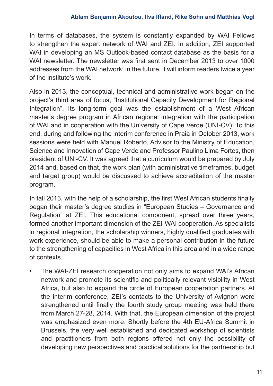#### **Ablam Benjamin Akoutou, Ilva Ifland, Rike Sohn and Matthias Vogl**

In terms of databases, the system is constantly expanded by WAI Fellows to strengthen the expert network of WAI and ZEI. In addition, ZEI supported WAI in developing an MS Outlook-based contact database as the basis for a WAI newsletter. The newsletter was first sent in December 2013 to over 1000 addresses from the WAI network; in the future, it will inform readers twice a year of the institute's work.

Also in 2013, the conceptual, technical and administrative work began on the project's third area of focus, "Institutional Capacity Development for Regional Integration". Its long-term goal was the establishment of a West African master's degree program in African regional integration with the participation of WAI and in cooperation with the University of Cape Verde (UNI-CV). To this end, during and following the interim conference in Praia in October 2013, work sessions were held with Manuel Roberto, Advisor to the Ministry of Education, Science and Innovation of Cape Verde and Professor Paulino Lima Fortes, then president of UNI-CV. It was agreed that a curriculum would be prepared by July 2014 and, based on that, the work plan (with administrative timeframes, budget and target group) would be discussed to achieve accreditation of the master program.

In fall 2013, with the help of a scholarship, the first West African students finally began their master's degree studies in "European Studies – Governance and Regulation" at ZEI. This educational component, spread over three years, formed another important dimension of the ZEI-WAI cooperation. As specialists in regional integration, the scholarship winners, highly qualified graduates with work experience, should be able to make a personal contribution in the future to the strengthening of capacities in West Africa in this area and in a wide range of contexts.

• The WAI-ZEI research cooperation not only aims to expand WAI's African network and promote its scientific and politically relevant visibility in West Africa, but also to expand the circle of European cooperation partners. At the interim conference, ZEI's contacts to the University of Avignon were strengthened until finally the fourth study group meeting was held there from March 27-28, 2014. With that, the European dimension of the project was emphasized even more. Shortly before the 4th EU-Africa Summit in Brussels, the very well established and dedicated workshop of scientists and practitioners from both regions offered not only the possibility of developing new perspectives and practical solutions for the partnership but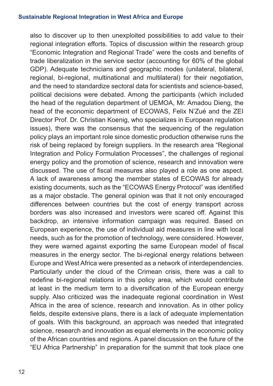also to discover up to then unexploited possibilities to add value to their regional integration efforts. Topics of discussion within the research group "Economic Integration and Regional Trade" were the costs and benefits of trade liberalization in the service sector (accounting for 60% of the global GDP). Adequate technicians and geographic modes (unilateral, bilateral, regional, bi-regional, multinational and multilateral) for their negotiation, and the need to standardize sectoral data for scientists and science-based, political decisions were debated. Among the participants (which included the head of the regulation department of UEMOA, Mr. Amadou Dieng, the head of the economic department of ECOWAS, Felix N'Zué and the ZEI Director Prof. Dr. Christian Koenig, who specializes in European regulation issues), there was the consensus that the sequencing of the regulation policy plays an important role since domestic production otherwise runs the risk of being replaced by foreign suppliers. In the research area "Regional Integration and Policy Formulation Processes", the challenges of regional energy policy and the promotion of science, research and innovation were discussed. The use of fiscal measures also played a role as one aspect. A lack of awareness among the member states of ECOWAS for already existing documents, such as the "ECOWAS Energy Protocol" was identified as a major obstacle. The general opinion was that it not only encouraged differences between countries but the cost of energy transport across borders was also increased and investors were scared off. Against this backdrop, an intensive information campaign was required. Based on European experience, the use of individual aid measures in line with local needs, such as for the promotion of technology, were considered. However, they were warned against exporting the same European model of fiscal measures in the energy sector. The bi-regional energy relations between Europe and West Africa were presented as a network of interdependencies. Particularly under the cloud of the Crimean crisis, there was a call to redefine bi-regional relations in this policy area, which would contribute at least in the medium term to a diversification of the European energy supply. Also criticized was the inadequate regional coordination in West Africa in the area of science, research and innovation. As in other policy fields, despite extensive plans, there is a lack of adequate implementation of goals. With this background, an approach was needed that integrated science, research and innovation as equal elements in the economic policy of the African countries and regions. A panel discussion on the future of the "EU Africa Partnership" in preparation for the summit that took place one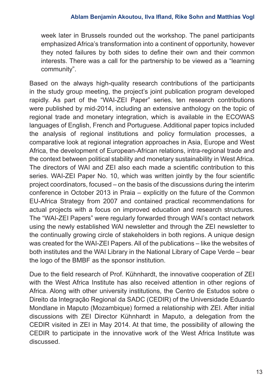week later in Brussels rounded out the workshop. The panel participants emphasized Africa's transformation into a continent of opportunity, however they noted failures by both sides to define their own and their common interests. There was a call for the partnership to be viewed as a "learning community".

Based on the always high-quality research contributions of the participants in the study group meeting, the project's joint publication program developed rapidly. As part of the "WAI-ZEI Paper" series, ten research contributions were published by mid-2014, including an extensive anthology on the topic of regional trade and monetary integration, which is available in the ECOWAS languages of English, French and Portuguese. Additional paper topics included the analysis of regional institutions and policy formulation processes, a comparative look at regional integration approaches in Asia, Europe and West Africa, the development of European-African relations, intra-regional trade and the context between political stability and monetary sustainability in West Africa. The directors of WAI and ZEI also each made a scientific contribution to this series. WAI-ZEI Paper No. 10, which was written jointly by the four scientific project coordinators, focused – on the basis of the discussions during the interim conference in October 2013 in Praia – explicitly on the future of the Common EU-Africa Strategy from 2007 and contained practical recommendations for actual projects with a focus on improved education and research structures. The "WAI-ZEI Papers" were regularly forwarded through WAI's contact network using the newly established WAI newsletter and through the ZEI newsletter to the continually growing circle of stakeholders in both regions. A unique design was created for the WAI-ZEI Papers. All of the publications – like the websites of both institutes and the WAI Library in the National Library of Cape Verde – bear the logo of the BMBF as the sponsor institution.

Due to the field research of Prof. Kühnhardt, the innovative cooperation of ZEI with the West Africa Institute has also received attention in other regions of Africa. Along with other university institutions, the Centro de Estudos sobre o Direito da Integração Regional da SADC (CEDIR) of the Universidade Eduardo Mondlane in Maputo (Mozambique) formed a relationship with ZEI. After initial discussions with ZEI Director Kühnhardt in Maputo, a delegation from the CEDIR visited in ZEI in May 2014. At that time, the possibility of allowing the CEDIR to participate in the innovative work of the West Africa Institute was discussed.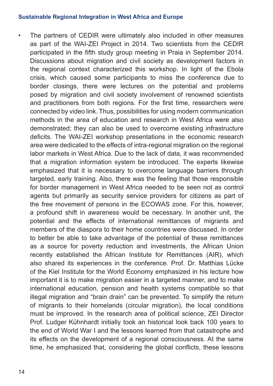• The partners of CEDIR were ultimately also included in other measures as part of the WAI-ZEI Project in 2014. Two scientists from the CEDIR participated in the fifth study group meeting in Praia in September 2014. Discussions about migration and civil society as development factors in the regional context characterized this workshop. In light of the Ebola crisis, which caused some participants to miss the conference due to border closings, there were lectures on the potential and problems posed by migration and civil society involvement of renowned scientists and practitioners from both regions. For the first time, researchers were connected by video link. Thus, possibilities for using modern communication methods in the area of education and research in West Africa were also demonstrated; they can also be used to overcome existing infrastructure deficits. The WAI-ZEI workshop presentations in the economic research area were dedicated to the effects of intra-regional migration on the regional labor markets in West Africa. Due to the lack of data, it was recommended that a migration information system be introduced. The experts likewise emphasized that it is necessary to overcome language barriers through targeted, early training. Also, there was the feeling that those responsible for border management in West Africa needed to be seen not as control agents but primarily as security service providers for citizens as part of the free movement of persons in the ECOWAS zone. For this, however, a profound shift in awareness would be necessary. In another unit, the potential and the effects of international remittances of migrants and members of the diaspora to their home countries were discussed. In order to better be able to take advantage of the potential of these remittances as a source for poverty reduction and investments, the African Union recently established the African Institute for Remittances (AIR), which also shared its experiences in the conference. Prof. Dr. Matthias Lücke of the Kiel Institute for the World Economy emphasized in his lecture how important it is to make migration easier in a targeted manner, and to make international education, pension and health systems compatible so that illegal migration and "brain drain" can be prevented. To simplify the return of migrants to their homelands (circular migration), the local conditions must be improved. In the research area of political science, ZEI Director Prof. Ludger Kühnhardt initially took an historical look back 100 years to the end of World War I and the lessons learned from that catastrophe and its effects on the development of a regional consciousness. At the same time, he emphasized that, considering the global conflicts, these lessons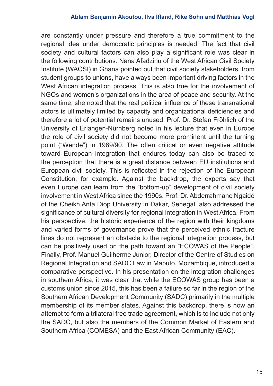#### **Ablam Benjamin Akoutou, Ilva Ifland, Rike Sohn and Matthias Vogl**

are constantly under pressure and therefore a true commitment to the regional idea under democratic principles is needed. The fact that civil society and cultural factors can also play a significant role was clear in the following contributions. Nana Afadzinu of the West African Civil Society Institute (WACSI) in Ghana pointed out that civil society stakeholders, from student groups to unions, have always been important driving factors in the West African integration process. This is also true for the involvement of NGOs and women's organizations in the area of peace and security. At the same time, she noted that the real political influence of these transnational actors is ultimately limited by capacity and organizational deficiencies and therefore a lot of potential remains unused. Prof. Dr. Stefan Fröhlich of the University of Erlangen-Nürnberg noted in his lecture that even in Europe the role of civil society did not become more prominent until the turning point ("Wende") in 1989/90. The often critical or even negative attitude toward European integration that endures today can also be traced to the perception that there is a great distance between EU institutions and European civil society. This is reflected in the rejection of the European Constitution, for example. Against the backdrop, the experts say that even Europe can learn from the "bottom-up" development of civil society involvement in West Africa since the 1990s. Prof. Dr. Abderrahmane Ngaidé of the Cheikh Anta Diop University in Dakar, Senegal, also addressed the significance of cultural diversity for regional integration in West Africa. From his perspective, the historic experience of the region with their kingdoms and varied forms of governance prove that the perceived ethnic fracture lines do not represent an obstacle to the regional integration process, but can be positively used on the path toward an "ECOWAS of the People". Finally, Prof. Manuel Guilherme Junior, Director of the Centre of Studies on Regional Integration and SADC Law in Maputo, Mozambique, introduced a comparative perspective. In his presentation on the integration challenges in southern Africa, it was clear that while the ECOWAS group has been a customs union since 2015, this has been a failure so far in the region of the Southern African Development Community (SADC) primarily in the multiple membership of its member states. Against this backdrop, there is now an attempt to form a trilateral free trade agreement, which is to include not only the SADC, but also the members of the Common Market of Eastern and Southern Africa (COMESA) and the East African Community (EAC).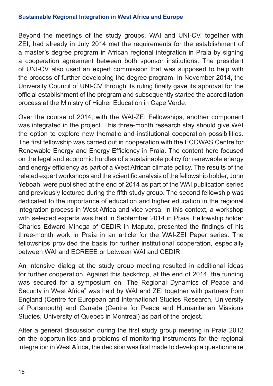Beyond the meetings of the study groups, WAI and UNI-CV, together with ZEI, had already in July 2014 met the requirements for the establishment of a master's degree program in African regional integration in Praia by signing a cooperation agreement between both sponsor institutions. The president of UNI-CV also used an expert commission that was supposed to help with the process of further developing the degree program. In November 2014, the University Council of UNI-CV through its ruling finally gave its approval for the official establishment of the program and subsequently started the accreditation process at the Ministry of Higher Education in Cape Verde.

Over the course of 2014, with the WAI-ZEI Fellowships, another component was integrated in the project. This three-month research stay should give WAI the option to explore new thematic and institutional cooperation possibilities. The first fellowship was carried out in cooperation with the ECOWAS Centre for Renewable Energy and Energy Efficiency in Praia. The content here focused on the legal and economic hurdles of a sustainable policy for renewable energy and energy efficiency as part of a West African climate policy. The results of the related expert workshops and the scientific analysis of the fellowship holder, John Yeboah, were published at the end of 2014 as part of the WAI publication series and previously lectured during the fifth study group. The second fellowship was dedicated to the importance of education and higher education in the regional integration process in West Africa and vice versa. In this context, a workshop with selected experts was held in September 2014 in Praia. Fellowship holder Charles Edward Minega of CEDIR in Maputo, presented the findings of his three-month work in Praia in an article for the WAI-ZEI Paper series. The fellowships provided the basis for further institutional cooperation, especially between WAI and ECREEE or between WAI and CEDIR.

An intensive dialog at the study group meeting resulted in additional ideas for further cooperation. Against this backdrop, at the end of 2014, the funding was secured for a symposium on "The Regional Dynamics of Peace and Security in West Africa" was held by WAI and ZEI together with partners from England (Centre for European and International Studies Research, University of Portsmouth) and Canada (Centre for Peace and Humanitarian Missions Studies, University of Quebec in Montreal) as part of the project.

After a general discussion during the first study group meeting in Praia 2012 on the opportunities and problems of monitoring instruments for the regional integration in West Africa, the decision was first made to develop a questionnaire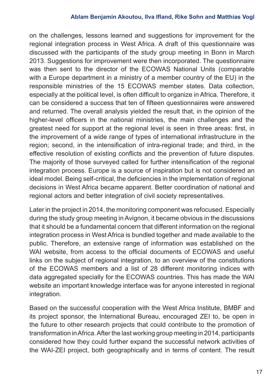#### **Ablam Benjamin Akoutou, Ilva Ifland, Rike Sohn and Matthias Vogl**

on the challenges, lessons learned and suggestions for improvement for the regional integration process in West Africa. A draft of this questionnaire was discussed with the participants of the study group meeting in Bonn in March 2013. Suggestions for improvement were then incorporated. The questionnaire was then sent to the director of the ECOWAS National Units (comparable with a Europe department in a ministry of a member country of the EU) in the responsible ministries of the 15 ECOWAS member states. Data collection, especially at the political level, is often difficult to organize in Africa. Therefore, it can be considered a success that ten of fifteen questionnaires were answered and returned. The overall analysis yielded the result that, in the opinion of the higher-level officers in the national ministries, the main challenges and the greatest need for support at the regional level is seen in three areas: first, in the improvement of a wide range of types of international infrastructure in the region; second, in the intensification of intra-regional trade; and third, in the effective resolution of existing conflicts and the prevention of future disputes. The majority of those surveyed called for further intensification of the regional integration process. Europe is a source of inspiration but is not considered an ideal model. Being self-critical, the deficiencies in the implementation of regional decisions in West Africa became apparent. Better coordination of national and regional actors and better integration of civil society representatives.

Later in the project in 2014, the monitoring component was refocused. Especially during the study group meeting in Avignon, it became obvious in the discussions that it should be a fundamental concern that different information on the regional integration process in West Africa is bundled together and made available to the public. Therefore, an extensive range of information was established on the WAI website, from access to the official documents of ECOWAS and useful links on the subject of regional integration, to an overview of the constitutions of the ECOWAS members and a list of 28 different monitoring indices with data aggregated specially for the ECOWAS countries. This has made the WAI website an important knowledge interface was for anyone interested in regional integration.

Based on the successful cooperation with the West Africa Institute, BMBF and its project sponsor, the International Bureau, encouraged ZEI to, be open in the future to other research projects that could contribute to the promotion of transformation in Africa. After the last working group meeting in 2014, participants considered how they could further expand the successful network activities of the WAI-ZEI project, both geographically and in terms of content. The result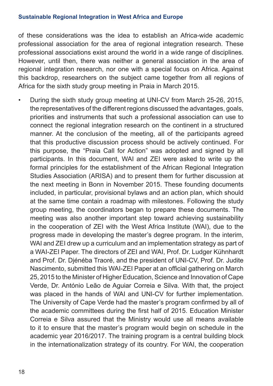of these considerations was the idea to establish an Africa-wide academic professional association for the area of regional integration research. These professional associations exist around the world in a wide range of disciplines. However, until then, there was neither a general association in the area of regional integration research, nor one with a special focus on Africa. Against this backdrop, researchers on the subject came together from all regions of Africa for the sixth study group meeting in Praia in March 2015.

• During the sixth study group meeting at UNI-CV from March 25-26, 2015, the representatives of the different regions discussed the advantages, goals, priorities and instruments that such a professional association can use to connect the regional integration research on the continent in a structured manner. At the conclusion of the meeting, all of the participants agreed that this productive discussion process should be actively continued. For this purpose, the "Praia Call for Action" was adopted and signed by all participants. In this document, WAI and ZEI were asked to write up the formal principles for the establishment of the African Regional Integration Studies Association (ARISA) and to present them for further discussion at the next meeting in Bonn in November 2015. These founding documents included, in particular, provisional bylaws and an action plan, which should at the same time contain a roadmap with milestones. Following the study group meeting, the coordinators began to prepare these documents. The meeting was also another important step toward achieving sustainability in the cooperation of ZEI with the West Africa Institute (WAI), due to the progress made in developing the master's degree program. In the interim, WAI and ZEI drew up a curriculum and an implementation strategy as part of a WAI-ZEI Paper. The directors of ZEI and WAI, Prof. Dr. Ludger Kühnhardt and Prof. Dr. Djénéba Traoré, and the president of UNI-CV, Prof. Dr. Judite Nascimento, submitted this WAI-ZEI Paper at an official gathering on March 25, 2015 to the Minister of Higher Education, Science and Innovation of Cape Verde, Dr. António Leão de Aguiar Correia e Silva. With that, the project was placed in the hands of WAI and UNI-CV for further implementation. The University of Cape Verde had the master's program confirmed by all of the academic committees during the first half of 2015. Education Minister Correia e Silva assured that the Ministry would use all means available to it to ensure that the master's program would begin on schedule in the academic year 2016/2017. The training program is a central building block in the internationalization strategy of its country. For WAI, the cooperation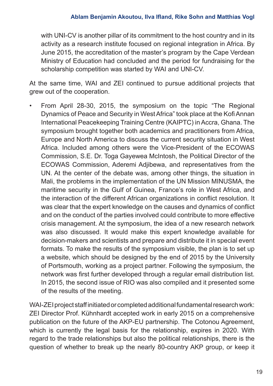with UNI-CV is another pillar of its commitment to the host country and in its activity as a research institute focused on regional integration in Africa. By June 2015, the accreditation of the master's program by the Cape Verdean Ministry of Education had concluded and the period for fundraising for the scholarship competition was started by WAI and UNI-CV.

At the same time, WAI and ZEI continued to pursue additional projects that grew out of the cooperation.

• From April 28-30, 2015, the symposium on the topic "The Regional Dynamics of Peace and Security in West Africa" took place at the Kofi Annan International Peacekeeping Training Centre (KAIPTC) in Accra, Ghana. The symposium brought together both academics and practitioners from Africa, Europe and North America to discuss the current security situation in West Africa. Included among others were the Vice-President of the ECOWAS Commission, S.E. Dr. Toga Gayewea McIntosh, the Political Director of the ECOWAS Commission, Aderemi Adjibewa, and representatives from the UN. At the center of the debate was, among other things, the situation in Mali, the problems in the implementation of the UN Mission MINUSMA, the maritime security in the Gulf of Guinea, France's role in West Africa, and the interaction of the different African organizations in conflict resolution. It was clear that the expert knowledge on the causes and dynamics of conflict and on the conduct of the parties involved could contribute to more effective crisis management. At the symposium, the idea of a new research network was also discussed. It would make this expert knowledge available for decision-makers and scientists and prepare and distribute it in special event formats. To make the results of the symposium visible, the plan is to set up a website, which should be designed by the end of 2015 by the University of Portsmouth, working as a project partner. Following the symposium, the network was first further developed through a regular email distribution list. In 2015, the second issue of RIO was also compiled and it presented some of the results of the meeting.

WAI-ZEI project staff initiated or completed additional fundamental research work: ZEI Director Prof. Kühnhardt accepted work in early 2015 on a comprehensive publication on the future of the AKP-EU partnership. The Cotonou Agreement, which is currently the legal basis for the relationship, expires in 2020. With regard to the trade relationships but also the political relationships, there is the question of whether to break up the nearly 80-country AKP group, or keep it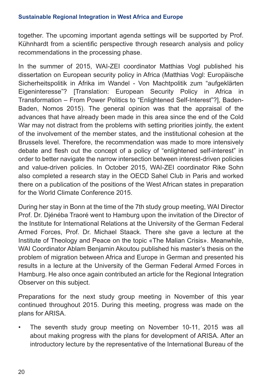together. The upcoming important agenda settings will be supported by Prof. Kühnhardt from a scientific perspective through research analysis and policy recommendations in the processing phase.

In the summer of 2015, WAI-ZEI coordinator Matthias Vogl published his dissertation on European security policy in Africa (Matthias Vogl: Europäische Sicherheitspolitik in Afrika im Wandel - Von Machtpolitik zum "aufgeklärten Eigeninteresse"? [Translation: European Security Policy in Africa in Transformation – From Power Politics to "Enlightened Self-Interest"?], Baden-Baden, Nomos 2015). The general opinion was that the appraisal of the advances that have already been made in this area since the end of the Cold War may not distract from the problems with setting priorities jointly, the extent of the involvement of the member states, and the institutional cohesion at the Brussels level. Therefore, the recommendation was made to more intensively debate and flesh out the concept of a policy of "enlightened self-interest" in order to better navigate the narrow intersection between interest-driven policies and value-driven policies. In October 2015, WAI-ZEI coordinator Rike Sohn also completed a research stay in the OECD Sahel Club in Paris and worked there on a publication of the positions of the West African states in preparation for the World Climate Conference 2015.

During her stay in Bonn at the time of the 7th study group meeting, WAI Director Prof. Dr. Djénéba Traoré went to Hamburg upon the invitation of the Director of the Institute for International Relations at the University of the German Federal Armed Forces, Prof. Dr. Michael Staack. There she gave a lecture at the Institute of Theology and Peace on the topic «The Malian Crisis». Meanwhile, WAI Coordinator Ablam Benjamin Akoutou published his master's thesis on the problem of migration between Africa and Europe in German and presented his results in a lecture at the University of the German Federal Armed Forces in Hamburg. He also once again contributed an article for the Regional Integration Observer on this subject.

Preparations for the next study group meeting in November of this year continued throughout 2015. During this meeting, progress was made on the plans for ARISA.

• The seventh study group meeting on November 10-11, 2015 was all about making progress with the plans for development of ARISA. After an introductory lecture by the representative of the International Bureau of the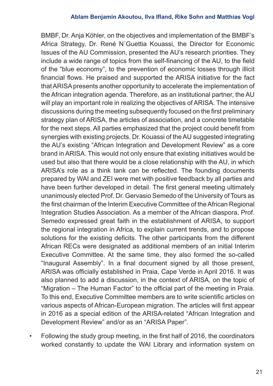BMBF, Dr. Anja Köhler, on the objectives and implementation of the BMBF's Africa Strategy, Dr. René N´Guettia Kouassi, the Director for Economic Issues of the AU Commission, presented the AU's research priorities. They include a wide range of topics from the self-financing of the AU, to the field of the "blue economy", to the prevention of economic losses through illicit financial flows. He praised and supported the ARISA initiative for the fact that ARISA presents another opportunity to accelerate the implementation of the African integration agenda. Therefore, as an institutional partner, the AU will play an important role in realizing the objectives of ARISA. The intensive discussions during the meeting subsequently focused on the first preliminary strategy plan of ARISA, the articles of association, and a concrete timetable for the next steps. All parties emphasized that the project could benefit from synergies with existing projects. Dr. Kouassi of the AU suggested integrating the AU's existing "African Integration and Development Review" as a core brand in ARISA. This would not only ensure that existing initiatives would be used but also that there would be a close relationship with the AU, in which ARISA's role as a think tank can be reflected. The founding documents prepared by WAI and ZEI were met with positive feedback by all parties and have been further developed in detail. The first general meeting ultimately unanimously elected Prof. Dr. Gervasio Semedo of the University of Tours as the first chairman of the Interim Executive Committee of the African Regional Integration Studies Association. As a member of the African diaspora, Prof. Semedo expressed great faith in the establishment of ARISA, to support the regional integration in Africa, to explain current trends, and to propose solutions for the existing deficits. The other participants from the different African RECs were designated as additional members of an initial Interim Executive Committee. At the same time, they also formed the so-called "Inaugural Assembly". In a final document signed by all those present, ARISA was officially established in Praia, Cape Verde in April 2016. It was also planned to add a discussion, in the context of ARISA, on the topic of "Migration – The Human Factor" to the official part of the meeting in Praia. To this end, Executive Committee members are to write scientific articles on various aspects of African-European migration. The articles will first appear in 2016 as a special edition of the ARISA-related "African Integration and Development Review" and/or as an "ARISA Paper".

• Following the study group meeting, in the first half of 2016, the coordinators worked constantly to update the WAI Library and information system on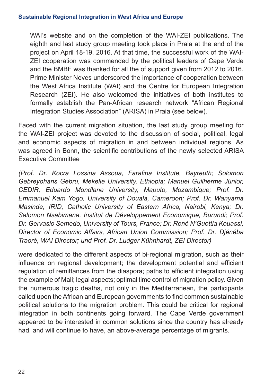WAI's website and on the completion of the WAI-ZEI publications. The eighth and last study group meeting took place in Praia at the end of the project on April 18-19, 2016. At that time, the successful work of the WAI-ZEI cooperation was commended by the political leaders of Cape Verde and the BMBF was thanked for all the of support given from 2012 to 2016. Prime Minister Neves underscored the importance of cooperation between the West Africa Institute (WAI) and the Centre for European Integration Research (ZEI). He also welcomed the initiatives of both institutes to formally establish the Pan-African research network "African Regional Integration Studies Association" (ARISA) in Praia (see below).

Faced with the current migration situation, the last study group meeting for the WAI-ZEI project was devoted to the discussion of social, political, legal and economic aspects of migration in and between individual regions. As was agreed in Bonn, the scientific contributions of the newly selected ARISA Executive Committee

*(Prof. Dr. Kocra Lossina Assoua, Farafina Institute, Bayreuth; Solomon Gebreyohans Gebru, Mekelle University, Ethiopia; Manuel Guilherme Júnior, CEDIR, Eduardo Mondlane University, Maputo, Mozambique; Prof. Dr. Emmanuel Kam Yogo, University of Douala, Cameroon; Prof. Dr. Wanyama Masinde, IRID, Catholic University of Eastern Africa, Nairobi, Kenya; Dr. Salomon Nsabimana, Institut de Développement Economique, Burundi; Prof. Dr. Gervasio Semedo, University of Tours, France; Dr. René N'Guettia Kouassi, Director of Economic Affairs, African Union Commission; Prof. Dr. Djénéba Traoré, WAI Director; und Prof. Dr. Ludger Kühnhardt, ZEI Director)*

were dedicated to the different aspects of bi-regional migration, such as their influence on regional development; the development potential and efficient regulation of remittances from the diaspora; paths to efficient integration using the example of Mali; legal aspects; optimal time control of migration policy. Given the numerous tragic deaths, not only in the Mediterranean, the participants called upon the African and European governments to find common sustainable political solutions to the migration problem. This could be critical for regional integration in both continents going forward. The Cape Verde government appeared to be interested in common solutions since the country has already had, and will continue to have, an above-average percentage of migrants.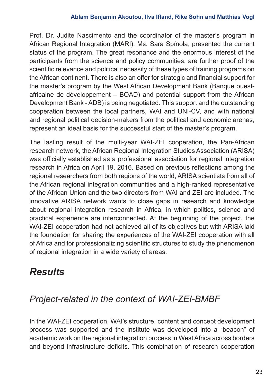#### **Ablam Benjamin Akoutou, Ilva Ifland, Rike Sohn and Matthias Vogl**

Prof. Dr. Judite Nascimento and the coordinator of the master's program in African Regional Integration (MARI), Ms. Sara Spínola, presented the current status of the program. The great resonance and the enormous interest of the participants from the science and policy communities, are further proof of the scientific relevance and political necessity of these types of training programs on the African continent. There is also an offer for strategic and financial support for the master's program by the West African Development Bank (Banque ouestafricaine de développement – BOAD) and potential support from the African Development Bank - ADB) is being negotiated. This support and the outstanding cooperation between the local partners, WAI and UNI-CV, and with national and regional political decision-makers from the political and economic arenas, represent an ideal basis for the successful start of the master's program.

The lasting result of the multi-year WAI-ZEI cooperation, the Pan-African research network, the African Regional Integration Studies Association (ARISA) was officially established as a professional association for regional integration research in Africa on April 19, 2016. Based on previous reflections among the regional researchers from both regions of the world, ARISA scientists from all of the African regional integration communities and a high-ranked representative of the African Union and the two directors from WAI and ZEI are included. The innovative ARISA network wants to close gaps in research and knowledge about regional integration research in Africa, in which politics, science and practical experience are interconnected. At the beginning of the project, the WAI-ZEI cooperation had not achieved all of its objectives but with ARISA laid the foundation for sharing the experiences of the WAI-ZEI cooperation with all of Africa and for professionalizing scientific structures to study the phenomenon of regional integration in a wide variety of areas.

# *Results*

### *Project-related in the context of WAI-ZEI-BMBF*

In the WAI-ZEI cooperation, WAI's structure, content and concept development process was supported and the institute was developed into a "beacon" of academic work on the regional integration process in West Africa across borders and beyond infrastructure deficits. This combination of research cooperation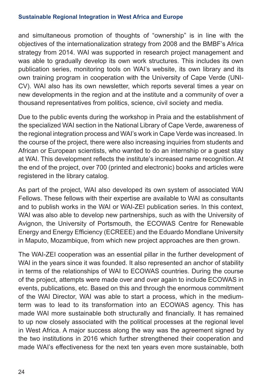and simultaneous promotion of thoughts of "ownership" is in line with the objectives of the internationalization strategy from 2008 and the BMBF's Africa strategy from 2014. WAI was supported in research project management and was able to gradually develop its own work structures. This includes its own publication series, monitoring tools on WAI's website, its own library and its own training program in cooperation with the University of Cape Verde (UNI-CV). WAI also has its own newsletter, which reports several times a year on new developments in the region and at the institute and a community of over a thousand representatives from politics, science, civil society and media.

Due to the public events during the workshop in Praia and the establishment of the specialized WAI section in the National Library of Cape Verde, awareness of the regional integration process and WAI's work in Cape Verde was increased. In the course of the project, there were also increasing inquiries from students and African or European scientists, who wanted to do an internship or a guest stay at WAI. This development reflects the institute's increased name recognition. At the end of the project, over 700 (printed and electronic) books and articles were registered in the library catalog.

As part of the project, WAI also developed its own system of associated WAI Fellows. These fellows with their expertise are available to WAI as consultants and to publish works in the WAI or WAI-ZEI publication series. In this context, WAI was also able to develop new partnerships, such as with the University of Avignon, the University of Portsmouth, the ECOWAS Centre for Renewable Energy and Energy Efficiency (ECREEE) and the Eduardo Mondlane University in Maputo, Mozambique, from which new project approaches are then grown.

The WAI-ZEI cooperation was an essential pillar in the further development of WAI in the years since it was founded. It also represented an anchor of stability in terms of the relationships of WAI to ECOWAS countries. During the course of the project, attempts were made over and over again to include ECOWAS in events, publications, etc. Based on this and through the enormous commitment of the WAI Director, WAI was able to start a process, which in the mediumterm was to lead to its transformation into an ECOWAS agency. This has made WAI more sustainable both structurally and financially. It has remained to up now closely associated with the political processes at the regional level in West Africa. A major success along the way was the agreement signed by the two institutions in 2016 which further strengthened their cooperation and made WAI's effectiveness for the next ten years even more sustainable, both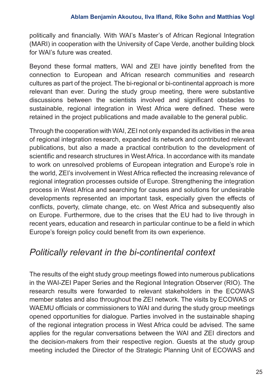politically and financially. With WAI's Master's of African Regional Integration (MARI) in cooperation with the University of Cape Verde, another building block for WAI's future was created.

Beyond these formal matters, WAI and ZEI have jointly benefited from the connection to European and African research communities and research cultures as part of the project. The bi-regional or bi-continental approach is more relevant than ever. During the study group meeting, there were substantive discussions between the scientists involved and significant obstacles to sustainable, regional integration in West Africa were defined. These were retained in the project publications and made available to the general public.

Through the cooperation with WAI, ZEI not only expanded its activities in the area of regional integration research, expanded its network and contributed relevant publications, but also a made a practical contribution to the development of scientific and research structures in West Africa. In accordance with its mandate to work on unresolved problems of European integration and Europe's role in the world, ZEI's involvement in West Africa reflected the increasing relevance of regional integration processes outside of Europe. Strengthening the integration process in West Africa and searching for causes and solutions for undesirable developments represented an important task, especially given the effects of conflicts, poverty, climate change, etc. on West Africa and subsequently also on Europe. Furthermore, due to the crises that the EU had to live through in recent years, education and research in particular continue to be a field in which Europe's foreign policy could benefit from its own experience.

### *Politically relevant in the bi-continental context*

The results of the eight study group meetings flowed into numerous publications in the WAI-ZEI Paper Series and the Regional Integration Observer (RIO). The research results were forwarded to relevant stakeholders in the ECOWAS member states and also throughout the ZEI network. The visits by ECOWAS or WAEMU officials or commissioners to WAI and during the study group meetings opened opportunities for dialogue. Parties involved in the sustainable shaping of the regional integration process in West Africa could be advised. The same applies for the regular conversations between the WAI and ZEI directors and the decision-makers from their respective region. Guests at the study group meeting included the Director of the Strategic Planning Unit of ECOWAS and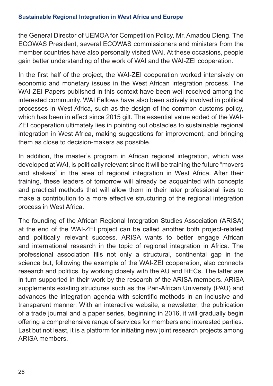the General Director of UEMOA for Competition Policy, Mr. Amadou Dieng. The ECOWAS President, several ECOWAS commissioners and ministers from the member countries have also personally visited WAI. At these occasions, people gain better understanding of the work of WAI and the WAI-ZEI cooperation.

In the first half of the project, the WAI-ZEI cooperation worked intensively on economic and monetary issues in the West African integration process. The WAI-ZEI Papers published in this context have been well received among the interested community. WAI Fellows have also been actively involved in political processes in West Africa, such as the design of the common customs policy, which has been in effect since 2015 gilt. The essential value added of the WAI-ZEI cooperation ultimately lies in pointing out obstacles to sustainable regional integration in West Africa, making suggestions for improvement, and bringing them as close to decision-makers as possible.

In addition, the master's program in African regional integration, which was developed at WAI, is politically relevant since it will be training the future "movers and shakers" in the area of regional integration in West Africa. After their training, these leaders of tomorrow will already be acquainted with concepts and practical methods that will allow them in their later professional lives to make a contribution to a more effective structuring of the regional integration process in West Africa.

The founding of the African Regional Integration Studies Association (ARISA) at the end of the WAI-ZEI project can be called another both project-related and politically relevant success. ARISA wants to better engage African and international research in the topic of regional integration in Africa. The professional association fills not only a structural, continental gap in the science but, following the example of the WAI-ZEI cooperation, also connects research and politics, by working closely with the AU and RECs. The latter are in turn supported in their work by the research of the ARISA members. ARISA supplements existing structures such as the Pan-African University (PAU) and advances the integration agenda with scientific methods in an inclusive and transparent manner. With an interactive website, a newsletter, the publication of a trade journal and a paper series, beginning in 2016, it will gradually begin offering a comprehensive range of services for members and interested parties. Last but not least, it is a platform for initiating new joint research projects among ARISA members.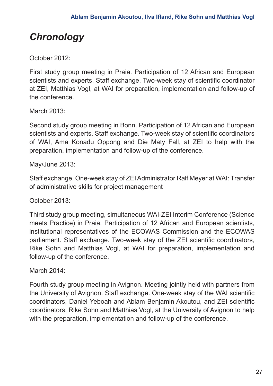# *Chronology*

October 2012:

First study group meeting in Praia. Participation of 12 African and European scientists and experts. Staff exchange. Two-week stay of scientific coordinator at ZEI, Matthias Vogl, at WAI for preparation, implementation and follow-up of the conference.

March 2013:

Second study group meeting in Bonn. Participation of 12 African and European scientists and experts. Staff exchange. Two-week stay of scientific coordinators of WAI, Ama Konadu Oppong and Die Maty Fall, at ZEI to help with the preparation, implementation and follow-up of the conference.

May/June 2013:

Staff exchange. One-week stay of ZEI Administrator Ralf Meyer at WAI: Transfer of administrative skills for project management

October 2013:

Third study group meeting, simultaneous WAI-ZEI Interim Conference (Science meets Practice) in Praia. Participation of 12 African and European scientists, institutional representatives of the ECOWAS Commission and the ECOWAS parliament. Staff exchange. Two-week stay of the ZEI scientific coordinators, Rike Sohn and Matthias Vogl, at WAI for preparation, implementation and follow-up of the conference.

March 2014:

Fourth study group meeting in Avignon. Meeting jointly held with partners from the University of Avignon. Staff exchange. One-week stay of the WAI scientific coordinators, Daniel Yeboah and Ablam Benjamin Akoutou, and ZEI scientific coordinators, Rike Sohn and Matthias Vogl, at the University of Avignon to help with the preparation, implementation and follow-up of the conference.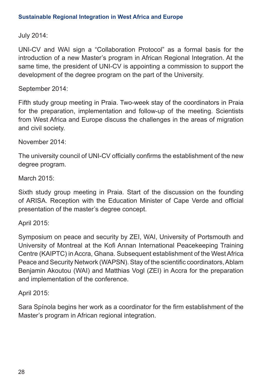July 2014:

UNI-CV and WAI sign a "Collaboration Protocol" as a formal basis for the introduction of a new Master's program in African Regional Integration. At the same time, the president of UNI-CV is appointing a commission to support the development of the degree program on the part of the University.

September 2014:

Fifth study group meeting in Praia. Two-week stay of the coordinators in Praia for the preparation, implementation and follow-up of the meeting. Scientists from West Africa and Europe discuss the challenges in the areas of migration and civil society.

November 2014:

The university council of UNI-CV officially confirms the establishment of the new degree program.

March 2015:

Sixth study group meeting in Praia. Start of the discussion on the founding of ARISA. Reception with the Education Minister of Cape Verde and official presentation of the master's degree concept.

April 2015:

Symposium on peace and security by ZEI, WAI, University of Portsmouth and University of Montreal at the Kofi Annan International Peacekeeping Training Centre (KAIPTC) in Accra, Ghana. Subsequent establishment of the West Africa Peace and Security Network (WAPSN). Stay of the scientific coordinators, Ablam Benjamin Akoutou (WAI) and Matthias Vogl (ZEI) in Accra for the preparation and implementation of the conference.

April 2015:

Sara Spínola begins her work as a coordinator for the firm establishment of the Master's program in African regional integration.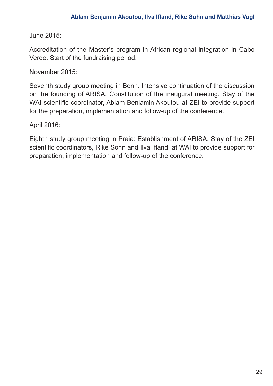June 2015:

Accreditation of the Master's program in African regional integration in Cabo Verde. Start of the fundraising period.

November 2015:

Seventh study group meeting in Bonn. Intensive continuation of the discussion on the founding of ARISA. Constitution of the inaugural meeting. Stay of the WAI scientific coordinator, Ablam Benjamin Akoutou at ZEI to provide support for the preparation, implementation and follow-up of the conference.

April 2016:

Eighth study group meeting in Praia: Establishment of ARISA. Stay of the ZEI scientific coordinators, Rike Sohn and Ilva Ifland, at WAI to provide support for preparation, implementation and follow-up of the conference.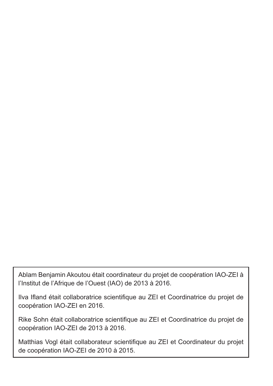Ablam Benjamin Akoutou était coordinateur du projet de coopération IAO-ZEI à l'Institut de l'Afrique de l'Ouest (IAO) de 2013 à 2016.

Ilva Ifland était collaboratrice scientifique au ZEI et Coordinatrice du projet de coopération IAO-ZEI en 2016.

Rike Sohn était collaboratrice scientifique au ZEI et Coordinatrice du projet de coopération IAO-ZEI de 2013 à 2016.

Matthias Vogl était collaborateur scientifique au ZEI et Coordinateur du projet de coopération IAO-ZEI de 2010 à 2015.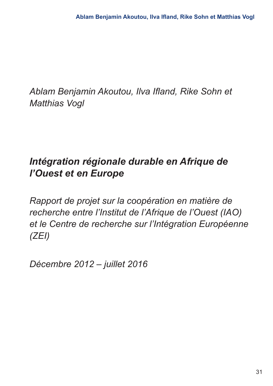*Ablam Benjamin Akoutou, Ilva Ifland, Rike Sohn et Matthias Vogl*

# *Intégration régionale durable en Afrique de l'Ouest et en Europe*

*Rapport de projet sur la coopération en matière de recherche entre l'Institut de l'Afrique de l'Ouest (IAO) et le Centre de recherche sur l'Intégration Européenne (ZEI)*

*Décembre 2012 – juillet 2016*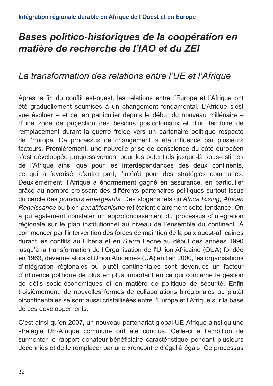### *Bases politico-historiques de la coopération en matière de recherche de l'IAO et du ZEI*

### *La transformation des relations entre l'UE et l'Afrique*

Après la fin du conflit est-ouest, les relations entre l'Europe et l'Afrique ont été graduellement soumises à un changement fondamental. L'Afrique s'est vue évoluer – et ce, en particulier depuis le début du nouveau millénaire – d'une zone de projection des besoins postcoloniaux et d'un territoire de remplacement durant la guerre froide vers un partenaire politique respecté de l'Europe. Ce processus de changement a été influencé par plusieurs facteurs. Premièrement, une nouvelle prise de conscience du côté européen s'est développée progressivement pour les potentiels jusque-là sous-estimés de l'Afrique ainsi que pour les interdépendances des deux continents, ce qui a favorisé, d'autre part, l'intérêt pour des stratégies communes. Deuxièmement, l'Afrique a énormément gagné en assurance, en particulier grâce au nombre croissant des différents partenaires politiques surtout issus du cercle des *pouvoirs émergeants*. Des slogans tels qu'*Africa Rising*, *African Renaissance* ou bien *panafricanisme* reflétaient clairement cette tendance. On a pu également constater un approfondissement du processus d'intégration régionale sur le plan institutionnel au niveau de l'ensemble du continent. À commencer par l'intervention des forces de maintien de la paix ouest-africaines durant les conflits au Liberia et en Sierra Leone au début des années 1990 jusqu'à la transformation de l'Organisation de l'Union Africaine (OUA) fondée en 1963, devenue alors «l'Union Africaine» (UA) en l'an 2000, les organisations d'intégration régionales ou plutôt continentales sont devenues un facteur d'influence politique de plus en plus important en ce qui concerne la gestion de défis socio-économiques et en matière de politique de sécurité. Enfin troisièmement, de nouvelles formes de collaborations birégionales ou plutôt bicontinentales se sont aussi cristallisées entre l'Europe et l'Afrique sur la base de ces développements.

C'est ainsi qu'en 2007, un nouveau partenariat global UE-Afrique ainsi qu'une stratégie UE-Afrique commune ont été conclus. Celle-ci a l'ambition de surmonter le rapport donateur-bénéficiaire caractéristique pendant plusieurs décennies et de le remplacer par une «rencontre d'égal à égal». Ce processus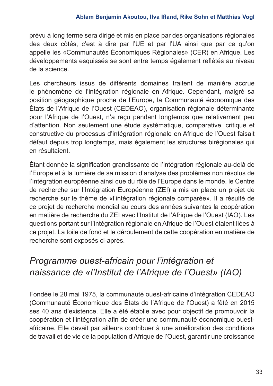#### **Ablam Benjamin Akoutou, Ilva Ifland, Rike Sohn et Matthias Vogl**

prévu à long terme sera dirigé et mis en place par des organisations régionales des deux côtés, c'est à dire par l'UE et par l'UA ainsi que par ce qu'on appelle les «Communautés Économiques Régionales» (CER) en Afrique. Les développements esquissés se sont entre temps également reflétés au niveau de la science.

Les chercheurs issus de différents domaines traitent de manière accrue le phénomène de l'intégration régionale en Afrique. Cependant, malgré sa position géographique proche de l'Europe, la Communauté économique des États de l'Afrique de l'Ouest (CEDEAO), organisation régionale déterminante pour l'Afrique de l'Ouest, n'a reçu pendant longtemps que relativement peu d'attention. Non seulement une étude systématique, comparative, critique et constructive du processus d'intégration régionale en Afrique de l'Ouest faisait défaut depuis trop longtemps, mais également les structures birégionales qui en résultaient.

Étant donnée la signification grandissante de l'intégration régionale au-delà de l'Europe et à la lumière de sa mission d'analyse des problèmes non résolus de l'intégration européenne ainsi que du rôle de l'Europe dans le monde, le Centre de recherche sur l'Intégration Européenne (ZEI) a mis en place un projet de recherche sur le thème de «l'intégration régionale comparée». Il a résulté de ce projet de recherche mondial au cours des années suivantes la coopération en matière de recherche du ZEI avec l'Institut de l'Afrique de l'Ouest (IAO). Les questions portant sur l'intégration régionale en Afrique de l'Ouest étaient liées à ce projet. La toile de fond et le déroulement de cette coopération en matière de recherche sont exposés ci-après.

### *Programme ouest-africain pour l'intégration et naissance de «l'Institut de l'Afrique de l'Ouest» (IAO)*

Fondée le 28 mai 1975, la communauté ouest-africaine d'intégration CEDEAO (Communauté Économique des États de l'Afrique de l'Ouest) a fêté en 2015 ses 40 ans d'existence. Elle a été établie avec pour objectif de promouvoir la coopération et l'intégration afin de créer une communauté économique ouestafricaine. Elle devait par ailleurs contribuer à une amélioration des conditions de travail et de vie de la population d'Afrique de l'Ouest, garantir une croissance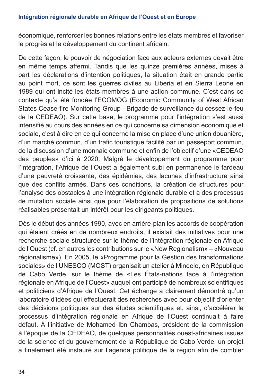#### **Intégration régionale durable en Afrique de l'Ouest et en Europe**

économique, renforcer les bonnes relations entre les états membres et favoriser le progrès et le développement du continent africain.

De cette façon, le pouvoir de négociation face aux acteurs externes devait être en même temps affermi. Tandis que les quinze premières années, mises à part les déclarations d'intention politiques, la situation était en grande partie au point mort, ce sont les guerres civiles au Liberia et en Sierra Leone en 1989 qui ont incité les états membres à une action commune. C'est dans ce contexte qu'a été fondée l'ECOMOG (Economic Community of West African States Cease-fire Monitoring Group - Brigade de surveillance du cessez-le-feu de la CEDEAO). Sur cette base, le programme pour l'intégration s'est aussi intensifié au cours des années en ce qui concerne sa dimension économique et sociale, c'est à dire en ce qui concerne la mise en place d'une union douanière, d'un marché commun, d'un trafic touristique facilité par un passeport commun, de la discussion d'une monnaie commune et enfin de l'objectif d'une «CEDEAO des peuples» d'ici à 2020. Malgré le développement du programme pour l'intégration, l'Afrique de l'Ouest a également subi en permanence le fardeau d'une pauvreté croissante, des épidémies, des lacunes d'infrastructure ainsi que des conflits armés. Dans ces conditions, la création de structures pour l'analyse des obstacles à une intégration régionale durable et à des processus de mutation sociale ainsi que pour l'élaboration de propositions de solutions réalisables présentait un intérêt pour les dirigeants politiques.

Dès le début des années 1990, avec en arrière-plan les accords de coopération qui étaient créés en de nombreux endroits, il existait des initiatives pour une recherche sociale structurée sur le thème de l'intégration régionale en Afrique de l'Ouest (cf. en autres les contributions sur le «New Regionalism» – «Nouveau régionalisme»). En 2005, le «Programme pour la Gestion des transformations sociales» de l'UNESCO (MOST) organisait un atelier à Mindelo, en République de Cabo Verde, sur le thème de «Les États-nations face à l'intégration régionale en Afrique de l'Ouest» auquel ont participé de nombreux scientifiques et politiciens d'Afrique de l'Ouest. Cet échange a clairement démontré qu'un laboratoire d'idées qui effectuerait des recherches avec pour objectif d'orienter des décisions politiques sur des études scientifiques et, ainsi, d'accélérer le processus d'intégration régionale en Afrique de l'Ouest continuait à faire défaut. À l'initiative de Mohamed Ibn Chambas, président de la commission à l'époque de la CEDEAO, de quelques personnalités ouest-africaines issues de la science et du gouvernement de la République de Cabo Verde, un projet a finalement été instauré sur l'agenda politique de la région afin de combler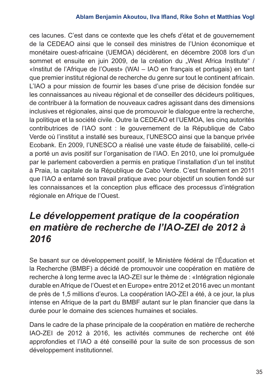#### **Ablam Benjamin Akoutou, Ilva Ifland, Rike Sohn et Matthias Vogl**

ces lacunes. C'est dans ce contexte que les chefs d'état et de gouvernement de la CEDEAO ainsi que le conseil des ministres de l'Union économique et monétaire ouest-africaine (UEMOA) décidèrent, en décembre 2008 lors d'un sommet et ensuite en juin 2009, de la création du "West Africa Institute" / «Institut de l'Afrique de l'Ouest» (WAI – IAO en français et portugais) en tant que premier institut régional de recherche du genre sur tout le continent africain. L'IAO a pour mission de fournir les bases d'une prise de décision fondée sur les connaissances au niveau régional et de conseiller des décideurs politiques, de contribuer à la formation de nouveaux cadres agissant dans des dimensions inclusives et régionales, ainsi que de promouvoir le dialogue entre la recherche, la politique et la société civile. Outre la CEDEAO et l'UEMOA, les cinq autorités contributrices de l'IAO sont : le gouvernement de la République de Cabo Verde où l'institut a installé ses bureaux, l'UNESCO ainsi que la banque privée Ecobank. En 2009, l'UNESCO a réalisé une vaste étude de faisabilité, celle-ci a porté un avis positif sur l'organisation de l'IAO. En 2010, une loi promulguée par le parlement caboverdien a permis en pratique l'installation d'un tel institut à Praia, la capitale de la République de Cabo Verde. C'est finalement en 2011 que l'IAO a entamé son travail pratique avec pour objectif un soutien fondé sur les connaissances et la conception plus efficace des processus d'intégration régionale en Afrique de l'Ouest.

## *Le développement pratique de la coopération en matière de recherche de l'IAO-ZEI de 2012 à 2016*

Se basant sur ce développement positif, le Ministère fédéral de l'Éducation et la Recherche (BMBF) a décidé de promouvoir une coopération en matière de recherche à long terme avec la IAO-ZEI sur le thème de : «Intégration régionale durable en Afrique de l'Ouest et en Europe» entre 2012 et 2016 avec un montant de près de 1,5 millions d'euros. La coopération IAO-ZEI a été, à ce jour, la plus intense en Afrique de la part du BMBF autant sur le plan financier que dans la durée pour le domaine des sciences humaines et sociales.

Dans le cadre de la phase principale de la coopération en matière de recherche IAO-ZEI de 2012 à 2016, les activités communes de recherche ont été approfondies et l'IAO a été conseillé pour la suite de son processus de son développement institutionnel.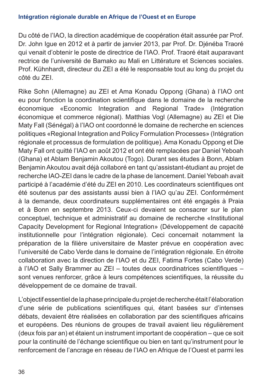#### **Intégration régionale durable en Afrique de l'Ouest et en Europe**

Du côté de l'IAO, la direction académique de coopération était assurée par Prof. Dr. John Igue en 2012 et à partir de janvier 2013, par Prof. Dr. Djénéba Traoré qui venait d'obtenir le poste de directrice de l'IAO. Prof. Traoré était auparavant rectrice de l'université de Bamako au Mali en Littérature et Sciences sociales. Prof. Kühnhardt, directeur du ZEI a été le responsable tout au long du projet du côté du ZEI.

Rike Sohn (Allemagne) au ZEI et Ama Konadu Oppong (Ghana) à l'IAO ont eu pour fonction la coordination scientifique dans le domaine de la recherche économique «Economic Integration and Regional Trade» (Intégration économique et commerce régional). Matthias Vogl (Allemagne) au ZEI et Die Maty Fall (Sénégal) à l'IAO ont coordonné le domaine de recherche en sciences politiques «Regional Integration and Policy Formulation Processes» (Intégration régionale et processus de formulation de politique). Ama Konadu Oppong et Die Maty Fall ont quitté l'IAO en août 2012 et ont été remplacées par Daniel Yeboah (Ghana) et Ablam Benjamin Akoutou (Togo). Durant ses études à Bonn, Ablam Benjamin Akoutou avait déjà collaboré en tant qu'assistant-étudiant au projet de recherche IAO-ZEI dans le cadre de la phase de lancement. Daniel Yeboah avait participé à l'académie d'été du ZEI en 2010. Les coordinateurs scientifiques ont été soutenus par des assistants aussi bien à l'IAO qu'au ZEI. Conformément à la demande, deux coordinateurs supplémentaires ont été engagés à Praia et à Bonn en septembre 2013. Ceux-ci devaient se consacrer sur le plan conceptuel, technique et administratif au domaine de recherche «Institutional Capacity Development for Regional Integration» (Développement de capacité institutionnelle pour l'intégration régionale). Ceci concernait notamment la préparation de la filière universitaire de Master prévue en coopération avec l'université de Cabo Verde dans le domaine de l'intégration régionale. En étroite collaboration avec la direction de l'IAO et du ZEI, Fatima Fortes (Cabo Verde) à l'IAO et Sally Brammer au ZEI – toutes deux coordinatrices scientifiques – sont venues renforcer, grâce à leurs compétences scientifiques, la réussite du développement de ce domaine de travail.

L'objectif essentiel de la phase principale du projet de recherche était l'élaboration d'une série de publications scientifiques qui, étant basées sur d'intenses débats, devaient être réalisées en collaboration par des scientifiques africains et européens. Des réunions de groupes de travail avaient lieu régulièrement (deux fois par an) et étaient un instrument important de coopération – que ce soit pour la continuité de l'échange scientifique ou bien en tant qu'instrument pour le renforcement de l'ancrage en réseau de l'IAO en Afrique de l'Ouest et parmi les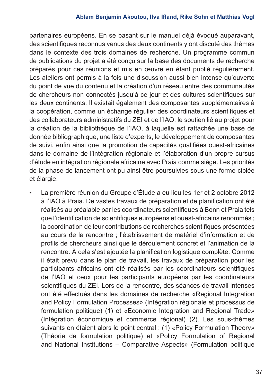partenaires européens. En se basant sur le manuel déjà évoqué auparavant, des scientifiques reconnus venus des deux continents y ont discuté des thèmes dans le contexte des trois domaines de recherche. Un programme commun de publications du projet a été conçu sur la base des documents de recherche préparés pour ces réunions et mis en œuvre en étant publié régulièrement. Les ateliers ont permis à la fois une discussion aussi bien intense qu'ouverte du point de vue du contenu et la création d'un réseau entre des communautés de chercheurs non connectés jusqu'à ce jour et des cultures scientifiques sur les deux continents. Il existait également des composantes supplémentaires à la coopération, comme un échange régulier des coordinateurs scientifiques et des collaborateurs administratifs du ZEI et de l'IAO, le soutien lié au projet pour la création de la bibliothèque de l'IAO, à laquelle est rattachée une base de donnée bibliographique, une liste d'experts, le développement de composantes de suivi, enfin ainsi que la promotion de capacités qualifiées ouest-africaines dans le domaine de l'intégration régionale et l'élaboration d'un propre cursus d'étude en intégration régionale africaine avec Praia comme siège. Les priorités de la phase de lancement ont pu ainsi être poursuivies sous une forme ciblée et élargie.

• La première réunion du Groupe d'Étude a eu lieu les 1er et 2 octobre 2012 à l'IAO à Praia. De vastes travaux de préparation et de planification ont été réalisés au préalable par les coordinateurs scientifiques à Bonn et Praia tels que l'identification de scientifiques européens et ouest-africains renommés ; la coordination de leur contributions de recherches scientifiques présentées au cours de la rencontre ; l'établissement de matériel d'information et de profils de chercheurs ainsi que le déroulement concret et l'animation de la rencontre. À cela s'est ajoutée la planification logistique complète. Comme il était prévu dans le plan de travail, les travaux de préparation pour les participants africains ont été réalisés par les coordinateurs scientifiques de l'IAO et ceux pour les participants européens par les coordinateurs scientifiques du ZEI. Lors de la rencontre, des séances de travail intenses ont été effectués dans les domaines de recherche «Regional Integration and Policy Formulation Processes» (Intégration régionale et processus de formulation politique) (1) et «Economic Integration and Regional Trade» (Intégration économique et commerce régional) (2). Les sous-thèmes suivants en étaient alors le point central : (1) «Policy Formulation Theory» (Théorie de formulation politique) et «Policy Formulation of Regional and National Institutions – Comparative Aspects» (Formulation politique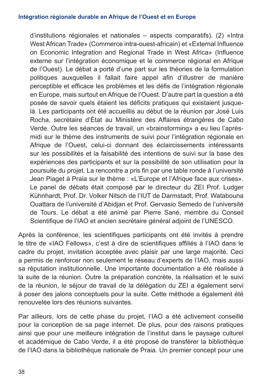d'institutions régionales et nationales – aspects comparatifs). (2) «Intra West African Trade» (Commerce intra-ouest-africain) et «External Influence on Economic Integration and Regional Trade in West Africa» (Influence externe sur l'intégration économique et le commerce régional en Afrique de l'Ouest). Le débat a porté d'une part sur les théories de la formulation politiques auxquelles il fallait faire appel afin d'illustrer de manière perceptible et efficace les problèmes et les défis de l'intégration régionale en Europe, mais surtout en Afrique de l'Ouest. D'autre part la question a été posée de savoir quels étaient les déficits pratiques qui existaient jusquelà. Les participants ont été accueillis au début de la réunion par José Luis Rocha, secrétaire d'État au Ministère des Affaires étrangères de Cabo Verde. Outre les séances de travail, un «brainstorming» a eu lieu l'aprèsmidi sur le thème des instruments de suivi pour l'intégration régionale en Afrique de l'Ouest, celui-ci donnant des éclaircissements intéressants sur les possibilités et la faisabilité des intentions de suivi sur la base des expériences des participants et sur la possibilité de son utilisation pour la poursuite du projet. La rencontre a pris fin par une table ronde à l'université Jean Piaget à Praia sur le thème : «L'Europe et l'Afrique face aux crises». Le panel de débats était composé par le directeur du ZEI Prof. Ludger Kühnhardt, Prof. Dr. Volker Nitsch de l'IUT de Darmstadt, Prof. Watabouna Ouattara de l'université d'Abidjan et Prof. Gervasio Semedo de l'université de Tours. Le débat a été animé par Pierre Sané, membre du Conseil Scientifique de l'IAO et ancien secrétaire général adjoint de l'UNESCO.

Après la conférence, les scientifiques participants ont été invités à prendre le titre de «IAO Fellows», c'est à dire de scientifiques affiliés à l'IAO dans le cadre du projet, invitation acceptée avec plaisir par une large majorité. Ceci a permis de renforcer non seulement le réseau d'experts de l'IAO, mais aussi sa réputation institutionnelle. Une importante documentation a été réalisée à la suite de la réunion. Outre la préparation concrète, la réalisation et le suivi de la réunion, le séjour de travail de la délégation du ZEI a également servi à poser des jalons conceptuels pour la suite. Cette méthode a également été renouvelée lors des réunions suivantes.

Par ailleurs, lors de cette phase du projet, l'IAO a été activement conseillé pour la conception de sa page internet. De plus, pour des raisons pratiques ainsi que pour une meilleure intégration de l'institut dans le paysage culturel et académique de Cabo Verde, il a été proposé de transférer la bibliothèque de l'IAO dans la bibliothèque nationale de Praia. Un premier concept pour une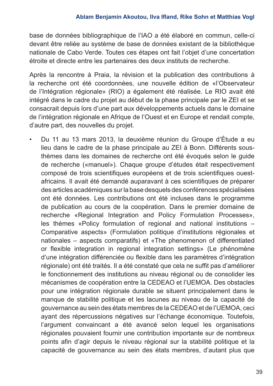base de données bibliographique de l'IAO a été élaboré en commun, celle-ci devant être reliée au système de base de données existant de la bibliothèque nationale de Cabo Verde. Toutes ces étapes ont fait l'objet d'une concertation étroite et directe entre les partenaires des deux instituts de recherche.

Après la rencontre à Praia, la révision et la publication des contributions à la recherche ont été coordonnées, une nouvelle édition de «l'Observateur de l'Intégration régionale» (RIO) a également été réalisée. Le RIO avait été intégré dans le cadre du projet au début de la phase principale par le ZEI et se consacrait depuis lors d'une part aux développements actuels dans le domaine de l'intégration régionale en Afrique de l'Ouest et en Europe et rendait compte, d'autre part, des nouvelles du projet.

• Du 11 au 13 mars 2013, la deuxième réunion du Groupe d'Étude a eu lieu dans le cadre de la phase principale au ZEI à Bonn. Différents sousthèmes dans les domaines de recherche ont été évoqués selon le guide de recherche («manuel»). Chaque groupe d'études était respectivement composé de trois scientifiques européens et de trois scientifiques ouestafricains. Il avait été demandé auparavant à ces scientifiques de préparer des articles académiques sur la base desquels des conférences spécialisées ont été données. Les contributions ont été incluses dans le programme de publication au cours de la coopération. Dans le premier domaine de recherche «Regional Integration and Policy Formulation Processes», les thèmes «Policy formulation of regional and national institutions – Comparative aspects» (Formulation politique d'institutions régionales et nationales – aspects comparatifs) et «The phenomenon of differentiated or flexible integration in regional integration settings» (Le phénomène d'une intégration différenciée ou flexible dans les paramètres d'intégration régionale) ont été traités. Il a été constaté que cela ne suffit pas d'améliorer le fonctionnement des institutions au niveau régional ou de consolider les mécanismes de coopération entre la CEDEAO et l'UEMOA. Des obstacles pour une intégration régionale durable se situent principalement dans le manque de stabilité politique et les lacunes au niveau de la capacité de gouvernance au sein des états membres de la CEDEAO et de l'UEMOA, ceci ayant des répercussions négatives sur l'échange économique. Toutefois, l'argument convaincant a été avancé selon lequel les organisations régionales pouvaient fournir une contribution importante sur de nombreux points afin d'agir depuis le niveau régional sur la stabilité politique et la capacité de gouvernance au sein des états membres, d'autant plus que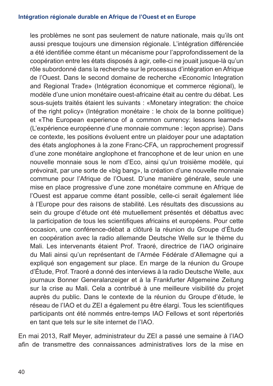les problèmes ne sont pas seulement de nature nationale, mais qu'ils ont aussi presque toujours une dimension régionale. L'intégration différenciée a été identifiée comme étant un mécanisme pour l'approfondissement de la coopération entre les états disposés à agir, celle-ci ne jouait jusque-là qu'un rôle subordonné dans la recherche sur le processus d'intégration en Afrique de l'Ouest. Dans le second domaine de recherche «Economic Integration and Regional Trade» (Intégration économique et commerce régional), le modèle d'une union monétaire ouest-africaine était au centre du débat. Les sous-sujets traités étaient les suivants : «Monetary integration: the choice of the right policy» (Intégration monétaire : le choix de la bonne politique) et «The European experience of a common currency: lessons learned» (L'expérience européenne d'une monnaie commune : leçon apprise). Dans ce contexte, les positions évoluent entre un plaidoyer pour une adaptation des états anglophones à la zone Franc-CFA, un rapprochement progressif d'une zone monétaire anglophone et francophone et de leur union en une nouvelle monnaie sous le nom d'Eco, ainsi qu'un troisième modèle, qui prévoirait, par une sorte de «big bang», la création d'une nouvelle monnaie commune pour l'Afrique de l'Ouest. D'une manière générale, seule une mise en place progressive d'une zone monétaire commune en Afrique de l'Ouest est apparue comme étant possible, celle-ci serait également liée à l'Europe pour des raisons de stabilité. Les résultats des discussions au sein du groupe d'étude ont été mutuellement présentés et débattus avec la participation de tous les scientifiques africains et européens. Pour cette occasion, une conférence-débat a clôturé la réunion du Groupe d'Étude en coopération avec la radio allemande Deutsche Welle sur le thème du Mali. Les intervenants étaient Prof. Traoré, directrice de l'IAO originaire du Mali ainsi qu'un représentant de l'Armée Fédérale d'Allemagne qui a expliqué son engagement sur place. En marge de la réunion du Groupe d'Étude, Prof. Traoré a donné des interviews à la radio Deutsche Welle, aux journaux Bonner Generalanzeiger et à la Frankfurter Allgemeine Zeitung sur la crise au Mali. Cela a contribué à une meilleure visibilité du projet auprès du public. Dans le contexte de la réunion du Groupe d'étude, le réseau de l'IAO et du ZEI a également pu être élargi. Tous les scientifiques participants ont été nommés entre-temps IAO Fellows et sont répertoriés en tant que tels sur le site internet de l'IAO.

En mai 2013, Ralf Meyer, administrateur du ZEI a passé une semaine à l'IAO afin de transmettre des connaissances administratives lors de la mise en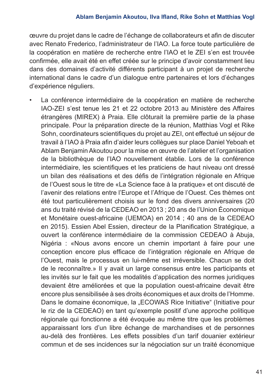œuvre du projet dans le cadre de l'échange de collaborateurs et afin de discuter avec Renato Frederico, l'administrateur de l'IAO. La force toute particulière de la coopération en matière de recherche entre l'IAO et le ZEI s'en est trouvée confirmée, elle avait été en effet créée sur le principe d'avoir constamment lieu dans des domaines d'activité différents participant à un projet de recherche international dans le cadre d'un dialogue entre partenaires et lors d'échanges d'expérience réguliers.

La conférence intermédiaire de la coopération en matière de recherche IAO-ZEI s'est tenue les 21 et 22 octobre 2013 au Ministère des Affaires étrangères (MIREX) à Praia. Elle clôturait la première partie de la phase principale. Pour la préparation directe de la réunion, Matthias Vogl et Rike Sohn, coordinateurs scientifiques du projet au ZEI, ont effectué un séjour de travail à l'IAO à Praia afin d'aider leurs collègues sur place Daniel Yeboah et Ablam Benjamin Akoutou pour la mise en œuvre de l'atelier et l'organisation de la bibliothèque de l'IAO nouvellement établie. Lors de la conférence intermédiaire, les scientifiques et les praticiens de haut niveau ont dressé un bilan des réalisations et des défis de l'intégration régionale en Afrique de l'Ouest sous le titre de «La Science face à la pratique» et ont discuté de l'avenir des relations entre l'Europe et l'Afrique de l'Ouest. Ces thèmes ont été tout particulièrement choisis sur le fond des divers anniversaires (20 ans du traité révisé de la CEDEAO en 2013 ; 20 ans de l'Union Économique et Monétaire ouest-africaine (UEMOA) en 2014 ; 40 ans de la CEDEAO en 2015). Essien Abel Essien, directeur de la Planification Stratégique, a ouvert la conférence intermédiaire de la commission CEDEAO à Abuja, Nigéria : «Nous avons encore un chemin important à faire pour une conception encore plus efficace de l'intégration régionale en Afrique de l'Ouest, mais le processus en lui-même est irréversible. Chacun se doit de le reconnaître.» Il y avait un large consensus entre les participants et les invités sur le fait que les modalités d'application des normes juridiques devaient être améliorées et que la population ouest-africaine devait être encore plus sensibilisée à ses droits économiques et aux droits de l'Homme. Dans le domaine économique, la "ECOWAS Rice Initiative" (Initiative pour le riz de la CEDEAO) en tant qu'exemple positif d'une approche politique régionale qui fonctionne a été évoquée au même titre que les problèmes apparaissant lors d'un libre échange de marchandises et de personnes au-delà des frontières. Les effets possibles d'un tarif douanier extérieur commun et de ses incidences sur la négociation sur un traité économique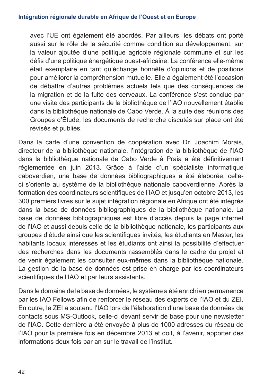avec l'UE ont également été abordés. Par ailleurs, les débats ont porté aussi sur le rôle de la sécurité comme condition au développement, sur la valeur ajoutée d'une politique agricole régionale commune et sur les défis d'une politique énergétique ouest-africaine. La conférence elle-même était exemplaire en tant qu'échange honnête d'opinions et de positions pour améliorer la compréhension mutuelle. Elle a également été l'occasion de débattre d'autres problèmes actuels tels que des conséquences de la migration et de la fuite des cerveaux. La conférence s'est conclue par une visite des participants de la bibliothèque de l'IAO nouvellement établie dans la bibliothèque nationale de Cabo Verde. À la suite des réunions des Groupes d'Étude, les documents de recherche discutés sur place ont été révisés et publiés.

Dans la carte d'une convention de coopération avec Dr. Joachim Morais, directeur de la bibliothèque nationale, l'intégration de la bibliothèque de l'IAO dans la bibliothèque nationale de Cabo Verde à Praia a été définitivement réglementée en juin 2013. Grâce à l'aide d'un spécialiste informatique caboverdien, une base de données bibliographiques a été élaborée, celleci s'oriente au système de la bibliothèque nationale caboverdienne. Après la formation des coordinateurs scientifiques de l'IAO et jusqu'en octobre 2013, les 300 premiers livres sur le sujet intégration régionale en Afrique ont été intégrés dans la base de données bibliographiques de la bibliothèque nationale. La base de données bibliographiques est libre d'accès depuis la page internet de l'IAO et aussi depuis celle de la bibliothèque nationale, les participants aux groupes d'étude ainsi que les scientifiques invités, les étudiants en Master, les habitants locaux intéressés et les étudiants ont ainsi la possibilité d'effectuer des recherches dans les documents rassemblés dans le cadre du projet et de venir également les consulter eux-mêmes dans la bibliothèque nationale. La gestion de la base de données est prise en charge par les coordinateurs scientifiques de l'IAO et par leurs assistants.

Dans le domaine de la base de données, le système a été enrichi en permanence par les IAO Fellows afin de renforcer le réseau des experts de l'IAO et du ZEI. En outre, le ZEI a soutenu l'IAO lors de l'élaboration d'une base de données de contacts sous MS-Outlook, celle-ci devant servir de base pour une newsletter de l'IAO. Cette dernière a été envoyée à plus de 1000 adresses du réseau de l'IAO pour la première fois en décembre 2013 et doit, à l'avenir, apporter des informations deux fois par an sur le travail de l'institut.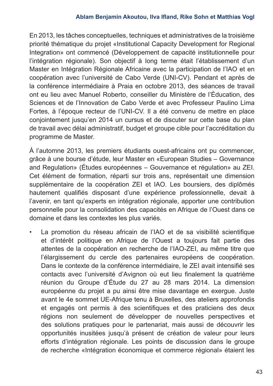#### **Ablam Benjamin Akoutou, Ilva Ifland, Rike Sohn et Matthias Vogl**

En 2013, les tâches conceptuelles, techniques et administratives de la troisième priorité thématique du projet «Institutional Capacity Development for Regional Integration» ont commencé (Développement de capacité institutionnelle pour l'intégration régionale). Son objectif à long terme était l'établissement d'un Master en Intégration Régionale Africaine avec la participation de l'IAO et en coopération avec l'université de Cabo Verde (UNI-CV). Pendant et après de la conférence intermédiaire à Praia en octobre 2013, des séances de travail ont eu lieu avec Manuel Roberto, conseiller du Ministère de l'Éducation, des Sciences et de l'Innovation de Cabo Verde et avec Professeur Paulino Lima Fortes, à l'époque recteur de l'UNI-CV. Il a été convenu de mettre en place conjointement jusqu'en 2014 un cursus et de discuter sur cette base du plan de travail avec délai administratif, budget et groupe cible pour l'accréditation du programme de Master.

À l'automne 2013, les premiers étudiants ouest-africains ont pu commencer, grâce à une bourse d'étude, leur Master en «European Studies – Governance and Regulation» (Études européennes – Gouvernance et régulation» au ZEI. Cet élément de formation, réparti sur trois ans, représentait une dimension supplémentaire de la coopération ZEI et IAO. Les boursiers, des diplômés hautement qualifiés disposant d'une expérience professionnelle, devait à l'avenir, en tant qu'experts en intégration régionale, apporter une contribution personnelle pour la consolidation des capacités en Afrique de l'Ouest dans ce domaine et dans les contextes les plus variés.

La promotion du réseau africain de l'IAO et de sa visibilité scientifique et d'intérêt politique en Afrique de l'Ouest a toujours fait partie des attentes de la coopération en recherche de l'IAO-ZEI, au même titre que l'élargissement du cercle des partenaires européens de coopération. Dans le contexte de la conférence intermédiaire, le ZEI avait intensifié ses contacts avec l'université d'Avignon où eut lieu finalement la quatrième réunion du Groupe d'Étude du 27 au 28 mars 2014. La dimension européenne du projet a pu ainsi être mise davantage en exergue. Juste avant le 4e sommet UE-Afrique tenu à Bruxelles, des ateliers approfondis et engagés ont permis à des scientifiques et des praticiens des deux régions non seulement de développer de nouvelles perspectives et des solutions pratiques pour le partenariat, mais aussi de découvrir les opportunités inusitées jusqu'à présent de création de valeur pour leurs efforts d'intégration régionale. Les points de discussion dans le groupe de recherche «Intégration économique et commerce régional» étaient les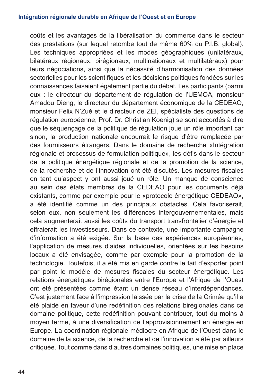#### **Intégration régionale durable en Afrique de l'Ouest et en Europe**

coûts et les avantages de la libéralisation du commerce dans le secteur des prestations (sur lequel retombe tout de même 60% du P.I.B. global). Les techniques appropriées et les modes géographiques (unilatéraux, bilatéraux régionaux, birégionaux, multinationaux et multilatéraux) pour leurs négociations, ainsi que la nécessité d'harmonisation des données sectorielles pour les scientifiques et les décisions politiques fondées sur les connaissances faisaient également partie du débat. Les participants (parmi eux : le directeur du département de régulation de l'UEMOA, monsieur Amadou Dieng, le directeur du département économique de la CEDEAO, monsieur Felix N'Zué et le directeur de ZEI, spécialiste des questions de régulation européenne, Prof. Dr. Christian Koenig) se sont accordés à dire que le séquençage de la politique de régulation joue un rôle important car sinon, la production nationale encourrait le risque d'être remplacée par des fournisseurs étrangers. Dans le domaine de recherche «Intégration régionale et processus de formulation politique», les défis dans le secteur de la politique énergétique régionale et de la promotion de la science, de la recherche et de l'innovation ont été discutés. Les mesures fiscales en tant qu'aspect y ont aussi joué un rôle. Un manque de conscience au sein des états membres de la CEDEAO pour les documents déjà existants, comme par exemple pour le «protocole énergétique CEDEAO», a été identifié comme un des principaux obstacles. Cela favoriserait, selon eux, non seulement les différences intergouvernementales, mais cela augmenterait aussi les coûts du transport transfrontalier d'énergie et effraierait les investisseurs. Dans ce contexte, une importante campagne d'information a été exigée. Sur la base des expériences européennes, l'application de mesures d'aides individuelles, orientées sur les besoins locaux a été envisagée, comme par exemple pour la promotion de la technologie. Toutefois, il a été mis en garde contre le fait d'exporter point par point le modèle de mesures fiscales du secteur énergétique. Les relations énergétiques birégionales entre l'Europe et l'Afrique de l'Ouest ont été présentées comme étant un dense réseau d'interdépendances. C'est justement face à l'impression laissée par la crise de la Crimée qu'il a été plaidé en faveur d'une redéfinition des relations birégionales dans ce domaine politique, cette redéfinition pouvant contribuer, tout du moins à moyen terme, à une diversification de l'approvisionnement en énergie en Europe. La coordination régionale médiocre en Afrique de l'Ouest dans le domaine de la science, de la recherche et de l'innovation a été par ailleurs critiquée. Tout comme dans d'autres domaines politiques, une mise en place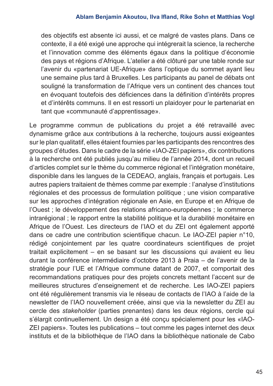des objectifs est absente ici aussi, et ce malgré de vastes plans. Dans ce contexte, il a été exigé une approche qui intégrerait la science, la recherche et l'innovation comme des éléments égaux dans la politique d'économie des pays et régions d'Afrique. L'atelier a été clôturé par une table ronde sur l'avenir du «partenariat UE-Afrique» dans l'optique du sommet ayant lieu une semaine plus tard à Bruxelles. Les participants au panel de débats ont souligné la transformation de l'Afrique vers un continent des chances tout en évoquant toutefois des déficiences dans la définition d'intérêts propres et d'intérêts communs. Il en est ressorti un plaidoyer pour le partenariat en tant que «communauté d'apprentissage».

Le programme commun de publications du projet a été retravaillé avec dynamisme grâce aux contributions à la recherche, toujours aussi exigeantes sur le plan qualitatif, elles étaient fournies par les participants des rencontres des groupes d'études. Dans le cadre de la série «IAO-ZEI papiers», dix contributions à la recherche ont été publiés jusqu'au milieu de l'année 2014, dont un recueil d'articles complet sur le thème du commerce régional et l'intégration monétaire, disponible dans les langues de la CEDEAO, anglais, français et portugais. Les autres papiers traitaient de thèmes comme par exemple : l'analyse d'institutions régionales et des processus de formulation politique ; une vision comparative sur les approches d'intégration régionale en Asie, en Europe et en Afrique de l'Ouest ; le développement des relations africano-européennes ; le commerce intrarégional ; le rapport entre la stabilité politique et la durabilité monétaire en Afrique de l'Ouest. Les directeurs de l'IAO et du ZEI ont également apporté dans ce cadre une contribution scientifique chacun. Le IAO-ZEI papier n°10, rédigé conjointement par les quatre coordinateurs scientifiques de projet traitait explicitement – en se basant sur les discussions qui avaient eu lieu durant la conférence intermédiaire d'octobre 2013 à Praia – de l'avenir de la stratégie pour l'UE et l'Afrique commune datant de 2007, et comportait des recommandations pratiques pour des projets concrets mettant l'accent sur de meilleures structures d'enseignement et de recherche. Les IAO-ZEI papiers ont été régulièrement transmis via le réseau de contacts de l'IAO à l'aide de la newsletter de l'IAO nouvellement créée, ainsi que via la newsletter du ZEI au cercle des *stakeholder* (parties prenantes) dans les deux régions, cercle qui s'élargit continuellement. Un design a été conçu spécialement pour les «IAO-ZEI papiers». Toutes les publications – tout comme les pages internet des deux instituts et de la bibliothèque de l'IAO dans la bibliothèque nationale de Cabo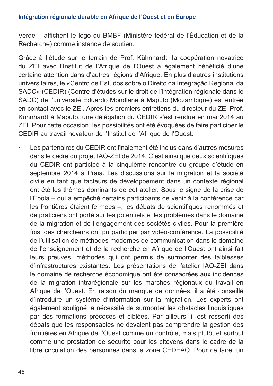Verde – affichent le logo du BMBF (Ministère fédéral de l'Éducation et de la Recherche) comme instance de soutien.

Grâce à l'étude sur le terrain de Prof. Kühnhardt, la coopération novatrice du ZEI avec l'Institut de l'Afrique de l'Ouest a également bénéficié d'une certaine attention dans d'autres régions d'Afrique. En plus d'autres institutions universitaires, le «Centro de Estudos sobre o Direito da Integração Regional da SADC» (CEDIR) (Centre d'études sur le droit de l'intégration régionale dans le SADC) de l'université Eduardo Mondlane à Maputo (Mozambique) est entrée en contact avec le ZEI. Après les premiers entretiens du directeur du ZEI Prof. Kühnhardt à Maputo, une délégation du CEDIR s'est rendue en mai 2014 au ZEI. Pour cette occasion, les possibilités ont été évoquées de faire participer le CEDIR au travail novateur de l'Institut de l'Afrique de l'Ouest.

• Les partenaires du CEDIR ont finalement été inclus dans d'autres mesures dans le cadre du projet IAO-ZEI de 2014. C'est ainsi que deux scientifiques du CEDIR ont participé à la cinquième rencontre du groupe d'étude en septembre 2014 à Praia. Les discussions sur la migration et la société civile en tant que facteurs de développement dans un contexte régional ont été les thèmes dominants de cet atelier. Sous le signe de la crise de l'Ébola – qui a empêché certains participants de venir à la conférence car les frontières étaient fermées –, les débats de scientifiques renommés et de praticiens ont porté sur les potentiels et les problèmes dans le domaine de la migration et de l'engagement des sociétés civiles. Pour la première fois, des chercheurs ont pu participer par vidéo-conférence. La possibilité de l'utilisation de méthodes modernes de communication dans le domaine de l'enseignement et de la recherche en Afrique de l'Ouest ont ainsi fait leurs preuves, méthodes qui ont permis de surmonter des faiblesses d'infrastructures existantes. Les présentations de l'atelier IAO-ZEI dans le domaine de recherche économique ont été consacrées aux incidences de la migration intrarégionale sur les marchés régionaux du travail en Afrique de l'Ouest. En raison du manque de données, il a été conseillé d'introduire un système d'information sur la migration. Les experts ont également souligné la nécessité de surmonter les obstacles linguistiques par des formations précoces et ciblées. Par ailleurs, il est ressorti des débats que les responsables ne devaient pas comprendre la gestion des frontières en Afrique de l'Ouest comme un contrôle, mais plutôt et surtout comme une prestation de sécurité pour les citoyens dans le cadre de la libre circulation des personnes dans la zone CEDEAO. Pour ce faire, un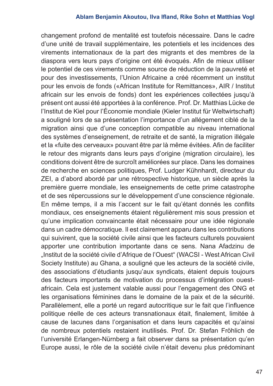changement profond de mentalité est toutefois nécessaire. Dans le cadre d'une unité de travail supplémentaire, les potentiels et les incidences des virements internationaux de la part des migrants et des membres de la diaspora vers leurs pays d'origine ont été évoqués. Afin de mieux utiliser le potentiel de ces virements comme source de réduction de la pauvreté et pour des investissements, l'Union Africaine a créé récemment un institut pour les envois de fonds («African Institute for Remittances», AIR / Institut africain sur les envois de fonds) dont les expériences collectées jusqu'à présent ont aussi été apportées à la conférence. Prof. Dr. Matthias Lücke de l'Institut de Kiel pour l'Économie mondiale (Kieler Institut für Weltwirtschaft) a souligné lors de sa présentation l'importance d'un allégement ciblé de la migration ainsi que d'une conception compatible au niveau international des systèmes d'enseignement, de retraite et de santé, la migration illégale et la «fuite des cerveaux» pouvant être par là même évitées. Afin de faciliter le retour des migrants dans leurs pays d'origine (migration circulaire), les conditions doivent être de surcroît améliorées sur place. Dans les domaines de recherche en sciences politiques, Prof. Ludger Kühnhardt, directeur du ZEI, a d'abord abordé par une rétrospective historique, un siècle après la première guerre mondiale, les enseignements de cette prime catastrophe et de ses répercussions sur le développement d'une conscience régionale. En même temps, il a mis l'accent sur le fait qu'étant donnés les conflits mondiaux, ces enseignements étaient régulièrement mis sous pression et qu'une implication convaincante était nécessaire pour une idée régionale dans un cadre démocratique. Il est clairement apparu dans les contributions qui suivirent, que la société civile ainsi que les facteurs culturels pouvaient apporter une contribution importante dans ce sens. Nana Afadzinu de "Institut de la société civile d'Afrique de l'Ouest" (WACSI - West African Civil Society Institute) au Ghana, a souligné que les acteurs de la société civile, des associations d'étudiants jusqu'aux syndicats, étaient depuis toujours des facteurs importants de motivation du processus d'intégration ouestafricain. Cela est justement valable aussi pour l'engagement des ONG et les organisations féminines dans le domaine de la paix et de la sécurité. Parallèlement, elle a porté un regard autocritique sur le fait que l'influence politique réelle de ces acteurs transnationaux était, finalement, limitée à cause de lacunes dans l'organisation et dans leurs capacités et qu'ainsi de nombreux potentiels restaient inutilisés. Prof. Dr. Stefan Fröhlich de l'université Erlangen-Nürnberg a fait observer dans sa présentation qu'en Europe aussi, le rôle de la société civile n'était devenu plus prédominant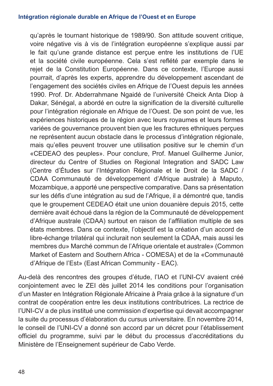qu'après le tournant historique de 1989/90. Son attitude souvent critique, voire négative vis à vis de l'intégration européenne s'explique aussi par le fait qu'une grande distance est perçue entre les institutions de l'UE et la société civile européenne. Cela s'est reflété par exemple dans le rejet de la Constitution Européenne. Dans ce contexte, l'Europe aussi pourrait, d'après les experts, apprendre du développement ascendant de l'engagement des sociétés civiles en Afrique de l'Ouest depuis les années 1990. Prof. Dr. Abderrahmane Ngaidé de l'université Cheick Anta Diop à Dakar, Sénégal, a abordé en outre la signification de la diversité culturelle pour l'intégration régionale en Afrique de l'Ouest. De son point de vue, les expériences historiques de la région avec leurs royaumes et leurs formes variées de gouvernance prouvent bien que les fractures ethniques perçues ne représentent aucun obstacle dans le processus d'intégration régionale, mais qu'elles peuvent trouver une utilisation positive sur le chemin d'un «CEDEAO des peuples». Pour conclure, Prof. Manuel Guilherme Junior, directeur du Centre of Studies on Regional Integration and SADC Law (Centre d'Études sur l'Intégration Régionale et le Droit de la SADC / CDAA Communauté de développement d'Afrique australe) à Maputo, Mozambique, a apporté une perspective comparative. Dans sa présentation sur les défis d'une intégration au sud de l'Afrique, il a démontré que, tandis que le groupement CEDEAO était une union douanière depuis 2015, cette dernière avait échoué dans la région de la Communauté de développement d'Afrique australe (CDAA) surtout en raison de l'affiliation multiple de ses états membres. Dans ce contexte, l'objectif est la création d'un accord de libre-échange trilatéral qui inclurait non seulement la CDAA, mais aussi les membres du» Marché commun de l'Afrique orientale et australe» (Common Market of Eastern and Southern Africa - COMESA) et de la «Communauté d'Afrique de l'Est» (East African Community - EAC).

Au-delà des rencontres des groupes d'étude, l'IAO et l'UNI-CV avaient créé conjointement avec le ZEI dès juillet 2014 les conditions pour l'organisation d'un Master en Intégration Régionale Africaine à Praia grâce à la signature d'un contrat de coopération entre les deux institutions contributrices. La rectrice de l'UNI-CV a de plus institué une commission d'expertise qui devait accompagner la suite du processus d'élaboration du cursus universitaire. En novembre 2014, le conseil de l'UNI-CV a donné son accord par un décret pour l'établissement officiel du programme, suivi par le début du processus d'accréditations du Ministère de l'Enseignement supérieur de Cabo Verde.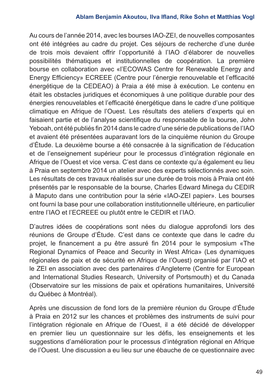Au cours de l'année 2014, avec les bourses IAO-ZEI, de nouvelles composantes ont été intégrées au cadre du projet. Ces séjours de recherche d'une durée de trois mois devaient offrir l'opportunité à l'IAO d'élaborer de nouvelles possibilités thématiques et institutionnelles de coopération. La première bourse en collaboration avec «l'ECOWAS Centre for Renewable Energy and Energy Efficiency» ECREEE (Centre pour l'énergie renouvelable et l'efficacité énergétique de la CEDEAO) à Praia a été mise à exécution. Le contenu en était les obstacles juridiques et économiques à une politique durable pour des énergies renouvelables et l'efficacité énergétique dans le cadre d'une politique climatique en Afrique de l'Ouest. Les résultats des ateliers d'experts qui en faisaient partie et de l'analyse scientifique du responsable de la bourse, John Yeboah, ont été publiés fin 2014 dans le cadre d'une série de publications de l'IAO et avaient été présentées auparavant lors de la cinquième réunion du Groupe d'Étude. La deuxième bourse a été consacrée à la signification de l'éducation et de l'enseignement supérieur pour le processus d'intégration régionale en Afrique de l'Ouest et vice versa. C'est dans ce contexte qu'a également eu lieu à Praia en septembre 2014 un atelier avec des experts sélectionnés avec soin. Les résultats de ces travaux réalisés sur une durée de trois mois à Praia ont été présentés par le responsable de la bourse, Charles Edward Minega du CEDIR à Maputo dans une contribution pour la série «IAO-ZEI papier». Les bourses ont fourni la base pour une collaboration institutionnelle ultérieure, en particulier entre l'IAO et l'ECREEE ou plutôt entre le CEDIR et l'IAO.

D'autres idées de coopérations sont nées du dialogue approfondi lors des réunions de Groupe d'Étude. C'est dans ce contexte que dans le cadre du projet, le financement a pu être assuré fin 2014 pour le symposium «The Regional Dynamics of Peace and Security in West Africa» (Les dynamiques régionales de paix et de sécurité en Afrique de l'Ouest) organisé par l'IAO et le ZEI en association avec des partenaires d'Angleterre (Centre for European and International Studies Research, University of Portsmouth) et du Canada (Observatoire sur les missions de paix et opérations humanitaires, Université du Québec à Montréal).

Après une discussion de fond lors de la première réunion du Groupe d'Étude à Praia en 2012 sur les chances et problèmes des instruments de suivi pour l'intégration régionale en Afrique de l'Ouest, il a été décidé de développer en premier lieu un questionnaire sur les défis, les enseignements et les suggestions d'amélioration pour le processus d'intégration régional en Afrique de l'Ouest. Une discussion a eu lieu sur une ébauche de ce questionnaire avec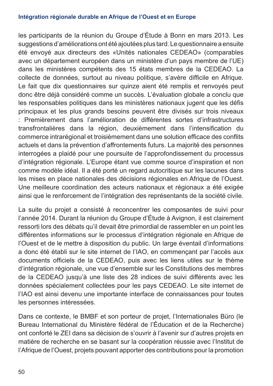#### **Intégration régionale durable en Afrique de l'Ouest et en Europe**

les participants de la réunion du Groupe d'Étude à Bonn en mars 2013. Les suggestions d'améliorations ont été ajoutées plus tard. Le questionnaire a ensuite été envoyé aux directeurs des «Unités nationales CEDEAO» (comparables avec un département européen dans un ministère d'un pays membre de l'UE) dans les ministères compétents des 15 états membres de la CEDEAO. La collecte de données, surtout au niveau politique, s'avère difficile en Afrique. Le fait que dix questionnaires sur quinze aient été remplis et renvoyés peut donc être déjà considéré comme un succès. L'évaluation globale a conclu que les responsables politiques dans les ministères nationaux jugent que les défis principaux et les plus grands besoins peuvent être divisés sur trois niveaux : Premièrement dans l'amélioration de différentes sortes d'infrastructures transfrontalières dans la région, deuxièmement dans l'intensification du commerce intrarégional et troisièmement dans une solution efficace des conflits actuels et dans la prévention d'affrontements futurs. La majorité des personnes interrogées a plaidé pour une poursuite de l'approfondissement du processus d'intégration régionale. L'Europe étant vue comme source d'inspiration et non comme modèle idéal. Il a été porté un regard autocritique sur les lacunes dans les mises en place nationales des décisions régionales en Afrique de l'Ouest. Une meilleure coordination des acteurs nationaux et régionaux a été exigée ainsi que le renforcement de l'intégration des représentants de la société civile.

La suite du projet a consisté à reconcentrer les composantes de suivi pour l'année 2014. Durant la réunion du Groupe d'Étude à Avignon, il est clairement ressorti lors des débats qu'il devait être primordial de rassembler en un point les différentes informations sur le processus d'intégration régionale en Afrique de l'Ouest et de le mettre à disposition du public. Un large éventail d'informations a donc été établi sur le site internet de l'IAO, en commençant par l'accès aux documents officiels de la CEDEAO, puis avec les liens utiles sur le thème d'intégration régionale, une vue d'ensemble sur les Constitutions des membres de la CEDEAO jusqu'à une liste des 28 indices de suivi différents avec les données spécialement collectées pour les pays CEDEAO. Le site internet de l'IAO est ainsi devenu une importante interface de connaissances pour toutes les personnes intéressées.

Dans ce contexte, le BMBF et son porteur de projet, l'Internationales Büro (le Bureau International du Ministère fédéral de l'Éducation et de la Recherche) ont conforté le ZEI dans sa décision de s'ouvrir à l'avenir sur d'autres projets en matière de recherche en se basant sur la coopération réussie avec l'Institut de l'Afrique de l'Ouest, projets pouvant apporter des contributions pour la promotion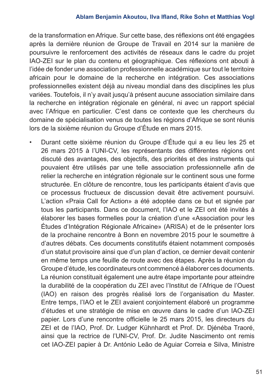#### **Ablam Benjamin Akoutou, Ilva Ifland, Rike Sohn et Matthias Vogl**

de la transformation en Afrique. Sur cette base, des réflexions ont été engagées après la dernière réunion de Groupe de Travail en 2014 sur la manière de poursuivre le renforcement des activités de réseaux dans le cadre du projet IAO-ZEI sur le plan du contenu et géographique. Ces réflexions ont abouti à l'idée de fonder une association professionnelle académique sur tout le territoire africain pour le domaine de la recherche en intégration. Ces associations professionnelles existent déjà au niveau mondial dans des disciplines les plus variées. Toutefois, il n'y avait jusqu'à présent aucune association similaire dans la recherche en intégration régionale en général, ni avec un rapport spécial avec l'Afrique en particulier. C'est dans ce contexte que les chercheurs du domaine de spécialisation venus de toutes les régions d'Afrique se sont réunis lors de la sixième réunion du Groupe d'Étude en mars 2015.

• Durant cette sixième réunion du Groupe d'Étude qui a eu lieu les 25 et 26 mars 2015 à l'UNI-CV, les représentants des différentes régions ont discuté des avantages, des objectifs, des priorités et des instruments qui pouvaient être utilisés par une telle association professionnelle afin de relier la recherche en intégration régionale sur le continent sous une forme structurée. En clôture de rencontre, tous les participants étaient d'avis que ce processus fructueux de discussion devait être activement poursuivi. L'action «Praia Call for Action» a été adoptée dans ce but et signée par tous les participants. Dans ce document, l'IAO et le ZEI ont été invités à élaborer les bases formelles pour la création d'une «Association pour les Études d'Intégration Régionale Africaine» (ARISA) et de le présenter lors de la prochaine rencontre à Bonn en novembre 2015 pour le soumettre à d'autres débats. Ces documents constitutifs étaient notamment composés d'un statut provisoire ainsi que d'un plan d'action, ce dernier devait contenir en même temps une feuille de route avec des étapes. Après la réunion du Groupe d'étude, les coordinateurs ont commencé à élaborer ces documents. La réunion constituait également une autre étape importante pour atteindre la durabilité de la coopération du ZEI avec l'Institut de l'Afrique de l'Ouest (IAO) en raison des progrès réalisé lors de l'organisation du Master. Entre temps, l'IAO et le ZEI avaient conjointement élaboré un programme d'études et une stratégie de mise en œuvre dans le cadre d'un IAO-ZEI papier. Lors d'une rencontre officielle le 25 mars 2015, les directeurs du ZEI et de l'IAO, Prof. Dr. Ludger Kühnhardt et Prof. Dr. Djénéba Traoré, ainsi que la rectrice de l'UNI-CV, Prof. Dr. Judite Nascimento ont remis cet IAO-ZEI papier à Dr. António Leão de Aguiar Correia e Silva, Ministre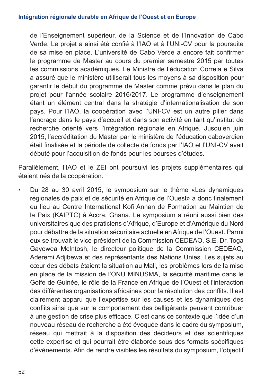de l'Enseignement supérieur, de la Science et de l'Innovation de Cabo Verde. Le projet a ainsi été confié à l'IAO et à l'UNI-CV pour la poursuite de sa mise en place. L'université de Cabo Verde a encore fait confirmer le programme de Master au cours du premier semestre 2015 par toutes les commissions académiques. Le Ministre de l'éducation Correia e Silva a assuré que le ministère utiliserait tous les moyens à sa disposition pour garantir le début du programme de Master comme prévu dans le plan du projet pour l'année scolaire 2016/2017. Le programme d'enseignement étant un élément central dans la stratégie d'internationalisation de son pays. Pour l'IAO, la coopération avec l'UNI-CV est un autre pilier dans l'ancrage dans le pays d'accueil et dans son activité en tant qu'institut de recherche orienté vers l'intégration régionale en Afrique. Jusqu'en juin 2015, l'accréditation du Master par le ministère de l'éducation caboverdien était finalisée et la période de collecte de fonds par l'IAO et l'UNI-CV avait débuté pour l'acquisition de fonds pour les bourses d'études.

Parallèlement, l'IAO et le ZEI ont poursuivi les projets supplémentaires qui étaient nés de la coopération.

• Du 28 au 30 avril 2015, le symposium sur le thème «Les dynamiques régionales de paix et de sécurité en Afrique de l'Ouest» a donc finalement eu lieu au Centre International Kofi Annan de Formation au Maintien de la Paix (KAIPTC) à Accra, Ghana. Le symposium a réuni aussi bien des universitaires que des praticiens d'Afrique, d'Europe et d'Amérique du Nord pour débattre de la situation sécuritaire actuelle en Afrique de l'Ouest. Parmi eux se trouvait le vice-président de la Commission CEDEAO, S.E. Dr. Toga Gayewea McIntosh, le directeur politique de la Commission CEDEAO, Aderemi Adjibewa et des représentants des Nations Unies. Les sujets au cœur des débats étaient la situation au Mali, les problèmes lors de la mise en place de la mission de l'ONU MINUSMA, la sécurité maritime dans le Golfe de Guinée, le rôle de la France en Afrique de l'Ouest et l'interaction des différentes organisations africaines pour la résolution des conflits. Il est clairement apparu que l'expertise sur les causes et les dynamiques des conflits ainsi que sur le comportement des belligérants peuvent contribuer à une gestion de crise plus efficace. C'est dans ce contexte que l'idée d'un nouveau réseau de recherche a été évoquée dans le cadre du symposium, réseau qui mettrait à la disposition des décideurs et des scientifiques cette expertise et qui pourrait être élaborée sous des formats spécifiques d'événements. Afin de rendre visibles les résultats du symposium, l'objectif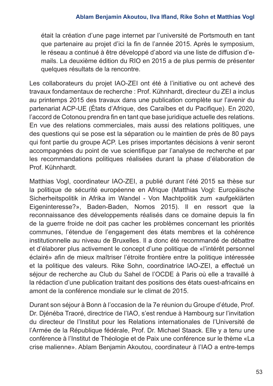était la création d'une page internet par l'université de Portsmouth en tant que partenaire au projet d'ici la fin de l'année 2015. Après le symposium, le réseau a continué à être développé d'abord via une liste de diffusion d'emails. La deuxième édition du RIO en 2015 a de plus permis de présenter quelques résultats de la rencontre.

Les collaborateurs du projet IAO-ZEI ont été à l'initiative ou ont achevé des travaux fondamentaux de recherche : Prof. Kühnhardt, directeur du ZEI a inclus au printemps 2015 des travaux dans une publication complète sur l'avenir du partenariat ACP-UE (États d'Afrique, des Caraïbes et du Pacifique). En 2020, l'accord de Cotonou prendra fin en tant que base juridique actuelle des relations. En vue des relations commerciales, mais aussi des relations politiques, une des questions qui se pose est la séparation ou le maintien de près de 80 pays qui font partie du groupe ACP. Les prises importantes décisions à venir seront accompagnées du point de vue scientifique par l'analyse de recherche et par les recommandations politiques réalisées durant la phase d'élaboration de Prof. Kühnhardt.

Matthias Vogl, coordinateur IAO-ZEI, a publié durant l'été 2015 sa thèse sur la politique de sécurité européenne en Afrique (Matthias Vogl: Europäische Sicherheitspolitik in Afrika im Wandel - Von Machtpolitik zum «aufgeklärten Eigeninteresse?», Baden-Baden, Nomos 2015). Il en ressort que la reconnaissance des développements réalisés dans ce domaine depuis la fin de la guerre froide ne doit pas cacher les problèmes concernant les priorités communes, l'étendue de l'engagement des états membres et la cohérence institutionnelle au niveau de Bruxelles. Il a donc été recommandé de débattre et d'élaborer plus activement le concept d'une politique de «l'intérêt personnel éclairé» afin de mieux maîtriser l'étroite frontière entre la politique intéressée et la politique des valeurs. Rike Sohn, coordinatrice IAO-ZEI, a effectué un séjour de recherche au Club du Sahel de l'OCDE à Paris où elle a travaillé à la rédaction d'une publication traitant des positions des états ouest-africains en amont de la conférence mondiale sur le climat de 2015.

Durant son séjour à Bonn à l'occasion de la 7e réunion du Groupe d'étude, Prof. Dr. Djénéba Traoré, directrice de l'IAO, s'est rendue à Hambourg sur l'invitation du directeur de l'Institut pour les Relations internationales de l'Université de l'Armée de la République fédérale, Prof. Dr. Michael Staack. Elle y a tenu une conférence à l'Institut de Théologie et de Paix une conférence sur le thème «La crise malienne». Ablam Benjamin Akoutou, coordinateur à l'IAO a entre-temps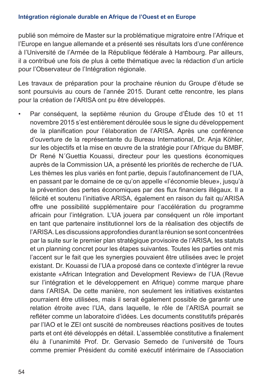#### **Intégration régionale durable en Afrique de l'Ouest et en Europe**

publié son mémoire de Master sur la problématique migratoire entre l'Afrique et l'Europe en langue allemande et a présenté ses résultats lors d'une conférence à l'Université de l'Armée de la République fédérale à Hambourg. Par ailleurs, il a contribué une fois de plus à cette thématique avec la rédaction d'un article pour l'Observateur de l'Intégration régionale.

Les travaux de préparation pour la prochaine réunion du Groupe d'étude se sont poursuivis au cours de l'année 2015. Durant cette rencontre, les plans pour la création de l'ARISA ont pu être développés.

• Par conséquent, la septième réunion du Groupe d'Étude des 10 et 11 novembre 2015 s'est entièrement déroulée sous le signe du développement de la planification pour l'élaboration de l'ARISA. Après une conférence d'ouverture de la représentante du Bureau International, Dr. Anja Köhler, sur les objectifs et la mise en œuvre de la stratégie pour l'Afrique du BMBF, Dr René N´Guettia Kouassi, directeur pour les questions économiques auprès de la Commission UA, a présenté les priorités de recherche de l'UA. Les thèmes les plus variés en font partie, depuis l'autofinancement de l'UA, en passant par le domaine de ce qu'on appelle «l'économie bleue», jusqu'à la prévention des pertes économiques par des flux financiers illégaux. Il a félicité et soutenu l'initiative ARISA, également en raison du fait qu'ARISA offre une possibilité supplémentaire pour l'accélération du programme africain pour l'intégration. L'UA jouera par conséquent un rôle important en tant que partenaire institutionnel lors de la réalisation des objectifs de l'ARISA. Les discussions approfondies durant la réunion se sont concentrées par la suite sur le premier plan stratégique provisoire de l'ARISA, les statuts et un planning concret pour les étapes suivantes. Toutes les parties ont mis l'accent sur le fait que les synergies pouvaient être utilisées avec le projet existant. Dr. Kouassi de l'UA a proposé dans ce contexte d'intégrer la revue existante «African Integration and Development Review» de l'UA (Revue sur l'intégration et le développement en Afrique) comme marque phare dans l'ARISA. De cette manière, non seulement les initiatives existantes pourraient être utilisées, mais il serait également possible de garantir une relation étroite avec l'UA, dans laquelle, le rôle de l'ARISA pourrait se refléter comme un laboratoire d'idées. Les documents constitutifs préparés par l'IAO et le ZEI ont suscité de nombreuses réactions positives de toutes parts et ont été développés en détail. L'assemblée constitutive a finalement élu à l'unanimité Prof. Dr. Gervasio Semedo de l'université de Tours comme premier Président du comité exécutif intérimaire de l'Association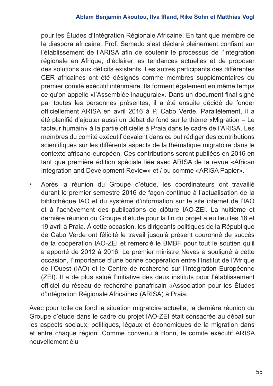pour les Études d'Intégration Régionale Africaine. En tant que membre de la diaspora africaine, Prof. Semedo s'est déclaré pleinement confiant sur l'établissement de l'ARISA afin de soutenir le processus de l'intégration régionale en Afrique, d'éclairer les tendances actuelles et de proposer des solutions aux déficits existants. Les autres participants des différentes CER africaines ont été désignés comme membres supplémentaires du premier comité exécutif intérimaire. Ils forment également en même temps ce qu'on appelle «l'Assemblée inaugurale». Dans un document final signé par toutes les personnes présentes, il a été ensuite décidé de fonder officiellement ARISA en avril 2016 à P, Cabo Verde. Parallèlement, il a été planifié d'ajouter aussi un débat de fond sur le thème «Migration – Le facteur humain» à la partie officielle à Praia dans le cadre de l'ARISA. Les membres du comité exécutif devaient dans ce but rédiger des contributions scientifiques sur les différents aspects de la thématique migratoire dans le contexte africano-européen. Ces contributions seront publiées en 2016 en tant que première édition spéciale liée avec ARISA de la revue «African Integration and Development Review» et / ou comme «ARISA Papier».

• Après la réunion du Groupe d'étude, les coordinateurs ont travaillé durant le premier semestre 2016 de façon continue à l'actualisation de la bibliothèque IAO et du système d'information sur le site internet de l'IAO et à l'achèvement des publications de clôture IAO-ZEI. La huitième et dernière réunion du Groupe d'étude pour la fin du projet a eu lieu les 18 et 19 avril à Praia. À cette occasion, les dirigeants politiques de la République de Cabo Verde ont félicité le travail jusqu'à présent couronné de succès de la coopération IAO-ZEI et remercié le BMBF pour tout le soutien qu'il a apporté de 2012 à 2016. Le premier ministre Neves a souligné à cette occasion, l'importance d'une bonne coopération entre l'Institut de l'Afrique de l'Ouest (IAO) et le Centre de recherche sur l'Intégration Européenne (ZEI). Il a de plus salué l'initiative des deux instituts pour l'établissement officiel du réseau de recherche panafricain «Association pour les Études d'Intégration Régionale Africaine» (ARISA) à Praia.

Avec pour toile de fond la situation migratoire actuelle, la dernière réunion du Groupe d'étude dans le cadre du projet IAO-ZEI était consacrée au débat sur les aspects sociaux, politiques, légaux et économiques de la migration dans et entre chaque région. Comme convenu à Bonn, le comité exécutif ARISA nouvellement élu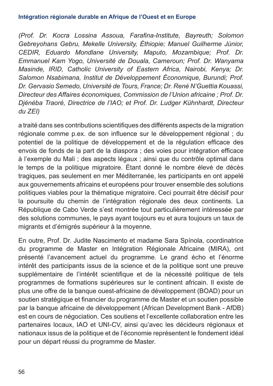#### **Intégration régionale durable en Afrique de l'Ouest et en Europe**

*(Prof. Dr. Kocra Lossina Assoua, Farafina-Institute, Bayreuth; Solomon Gebreyohans Gebru, Mekelle University, Éthiopie; Manuel Guilherme Júnior, CEDIR, Eduardo Mondlane University, Maputo, Mozambique; Prof. Dr. Emmanuel Kam Yogo, Université de Douala, Cameroun; Prof. Dr. Wanyama Masinde, IRID, Catholic University of Eastern Africa, Nairobi, Kenya; Dr. Salomon Nsabimana, Institut de Développement Économique, Burundi; Prof. Dr. Gervasio Semedo, Université de Tours, France; Dr. René N'Guettia Kouassi, Directeur des Affaires économiques, Commission de l'Union africaine ; Prof. Dr. Djénéba Traoré, Directrice de l'IAO; et Prof. Dr. Ludger Kühnhardt, Directeur du ZEI)*

a traité dans ses contributions scientifiques des différents aspects de la migration régionale comme p.ex. de son influence sur le développement régional ; du potentiel de la politique de développement et de la régulation efficace des envois de fonds de la part de la diaspora ; des voies pour intégration efficace à l'exemple du Mali ; des aspects légaux ; ainsi que du contrôle optimal dans le temps de la politique migratoire. Étant donné le nombre élevé de décès tragiques, pas seulement en mer Méditerranée, les participants en ont appelé aux gouvernements africains et européens pour trouver ensemble des solutions politiques viables pour la thématique migratoire. Ceci pourrait être décisif pour la poursuite du chemin de l'intégration régionale des deux continents. La République de Cabo Verde s'est montrée tout particulièrement intéressée par des solutions communes, le pays ayant toujours eu et aura toujours un taux de migrants et d'émigrés supérieur à la moyenne.

En outre, Prof. Dr. Judite Nascimento et madame Sara Spínola, coordinatrice du programme de Master en Intégration Régionale Africaine (MIRA), ont présenté l'avancement actuel du programme. Le grand écho et l'énorme intérêt des participants issus de la science et de la politique sont une preuve supplémentaire de l'intérêt scientifique et de la nécessité politique de tels programmes de formations supérieures sur le continent africain. Il existe de plus une offre de la banque ouest-africaine de développement (BOAD) pour un soutien stratégique et financier du programme de Master et un soutien possible par la banque africaine de développement (African Development Bank - AfDB) est en cours de négociation. Ces soutiens et l'excellente collaboration entre les partenaires locaux, IAO et UNI-CV, ainsi qu'avec les décideurs régionaux et nationaux issus de la politique et de l'économie représentent le fondement idéal pour un départ réussi du programme de Master.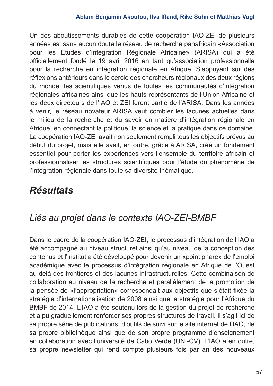Un des aboutissements durables de cette coopération IAO-ZEI de plusieurs années est sans aucun doute le réseau de recherche panafricain «Association pour les Études d'Intégration Régionale Africaine» (ARISA) qui a été officiellement fondé le 19 avril 2016 en tant qu'association professionnelle pour la recherche en intégration régionale en Afrique. S'appuyant sur des réflexions antérieurs dans le cercle des chercheurs régionaux des deux régions du monde, les scientifiques venus de toutes les communautés d'intégration régionales africaines ainsi que les hauts représentants de l'Union Africaine et les deux directeurs de l'IAO et ZEI feront partie de l'ARISA. Dans les années à venir, le réseau novateur ARISA veut combler les lacunes actuelles dans le milieu de la recherche et du savoir en matière d'intégration régionale en Afrique, en connectant la politique, la science et la pratique dans ce domaine. La coopération IAO-ZEI avait non seulement rempli tous les objectifs prévus au début du projet, mais elle avait, en outre, grâce à ARISA, créé un fondement essentiel pour porter les expériences vers l'ensemble du territoire africain et professionnaliser les structures scientifiques pour l'étude du phénomène de l'intégration régionale dans toute sa diversité thématique.

# *Résultats*

### *Liés au projet dans le contexte IAO-ZEI-BMBF*

Dans le cadre de la coopération IAO-ZEI, le processus d'intégration de l'IAO a été accompagné au niveau structurel ainsi qu'au niveau de la conception des contenus et l'institut a été développé pour devenir un «point phare» de l'emploi académique avec le processus d'intégration régionale en Afrique de l'Ouest au-delà des frontières et des lacunes infrastructurelles. Cette combinaison de collaboration au niveau de la recherche et parallèlement de la promotion de la pensée de «l'appropriation» correspondait aux objectifs que s'était fixée la stratégie d'internationalisation de 2008 ainsi que la stratégie pour l'Afrique du BMBF de 2014. L'IAO a été soutenu lors de la gestion du projet de recherche et a pu graduellement renforcer ses propres structures de travail. Il s'agit ici de sa propre série de publications, d'outils de suivi sur le site internet de l'IAO, de sa propre bibliothèque ainsi que de son propre programme d'enseignement en collaboration avec l'université de Cabo Verde (UNI-CV). L'IAO a en outre, sa propre newsletter qui rend compte plusieurs fois par an des nouveaux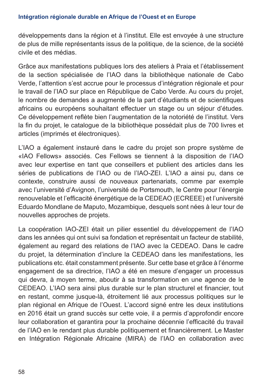#### **Intégration régionale durable en Afrique de l'Ouest et en Europe**

développements dans la région et à l'institut. Elle est envoyée à une structure de plus de mille représentants issus de la politique, de la science, de la société civile et des médias.

Grâce aux manifestations publiques lors des ateliers à Praia et l'établissement de la section spécialisée de l'IAO dans la bibliothèque nationale de Cabo Verde, l'attention s'est accrue pour le processus d'intégration régionale et pour le travail de l'IAO sur place en République de Cabo Verde. Au cours du projet, le nombre de demandes a augmenté de la part d'étudiants et de scientifiques africains ou européens souhaitant effectuer un stage ou un séjour d'études. Ce développement reflète bien l'augmentation de la notoriété de l'institut. Vers la fin du projet, le catalogue de la bibliothèque possédait plus de 700 livres et articles (imprimés et électroniques).

L'IAO a également instauré dans le cadre du projet son propre système de «IAO Fellows» associés. Ces Fellows se tiennent à la disposition de l'IAO avec leur expertise en tant que conseillers et publient des articles dans les séries de publications de l'IAO ou de l'IAO-ZEI. L'IAO a ainsi pu, dans ce contexte, construire aussi de nouveaux partenariats, comme par exemple avec l'université d'Avignon, l'université de Portsmouth, le Centre pour l'énergie renouvelable et l'efficacité énergétique de la CEDEAO (ECREEE) et l'université Eduardo Mondlane de Maputo, Mozambique, desquels sont nées à leur tour de nouvelles approches de projets.

La coopération IAO-ZEI était un pilier essentiel du développement de l'IAO dans les années qui ont suivi sa fondation et représentait un facteur de stabilité, également au regard des relations de l'IAO avec la CEDEAO. Dans le cadre du projet, la détermination d'inclure la CEDEAO dans les manifestations, les publications etc. était constamment présente. Sur cette base et grâce à l'énorme engagement de sa directrice, l'IAO a été en mesure d'engager un processus qui devra, à moyen terme, aboutir à sa transformation en une agence de le CEDEAO. L'IAO sera ainsi plus durable sur le plan structurel et financier, tout en restant, comme jusque-là, étroitement lié aux processus politiques sur le plan régional en Afrique de l'Ouest. L'accord signé entre les deux institutions en 2016 était un grand succès sur cette voie, il a permis d'approfondir encore leur collaboration et garantira pour la prochaine décennie l'efficacité du travail de l'IAO en le rendant plus durable politiquement et financièrement. Le Master en Intégration Régionale Africaine (MIRA) de l'IAO en collaboration avec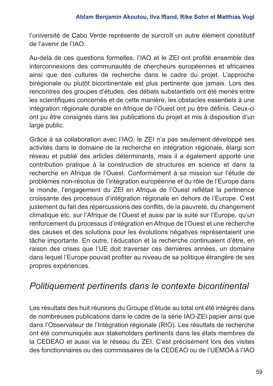l'université de Cabo Verde représente de surcroît un autre élément constitutif de l'avenir de l'IAO.

Au-delà de ces questions formelles, l'IAO et le ZEI ont profité ensemble des interconnexions des communautés de chercheurs européennes et africaines ainsi que des cultures de recherche dans le cadre du projet. L'approche birégionale ou plutôt bicontinentale est plus pertinente que jamais. Lors des rencontres des groupes d'études, des débats substantiels ont été menés entre les scientifiques concernés et de cette manière, les obstacles essentiels à une intégration régionale durable en Afrique de l'Ouest ont pu être définis. Ceux-ci ont pu être consignés dans les publications du projet et mis à disposition d'un large public.

Grâce à sa collaboration avec l'IAO, le ZEI n'a pas seulement développé ses activités dans le domaine de la recherche en intégration régionale, élargi son réseau et publié des articles déterminants, mais il a également apporté une contribution pratique à la construction de structures en science et dans la recherche en Afrique de l'Ouest. Conformément à sa mission sur l'étude de problèmes non-résolus de l'intégration européenne et du rôle de l'Europe dans le monde, l'engagement du ZEI en Afrique de l'Ouest reflétait la pertinence croissante des processus d'intégration régionale en dehors de l'Europe. C'est justement du fait des répercussions des conflits, de la pauvreté, du changement climatique etc. sur l'Afrique de l'Ouest et aussi par la suite sur l'Europe, qu'un renforcement du processus d'intégration en Afrique de l'Ouest et une recherche des causes et des solutions pour les évolutions négatives représentaient une tâche importante. En outre, l'éducation et la recherche continuaient d'être, en raison des crises que l'UE doit traverser ces dernières années, un domaine dans lequel l'Europe pouvait profiter au niveau de sa politique étrangère de ses propres expériences.

### *Politiquement pertinents dans le contexte bicontinental*

Les résultats des huit réunions du Groupe d'étude au total ont été intégrés dans de nombreuses publications dans le cadre de la série IAO-ZEI papier ainsi que dans l'Observateur de l'Intégration régionale (RIO). Les résultats de recherche ont été communiqués aux stakeholders pertinents dans les états membres de la CEDEAO et aussi via le réseau du ZEI. C'est précisément lors des visites des fonctionnaires ou des commissaires de la CEDEAO ou de l'UEMOA à l'IAO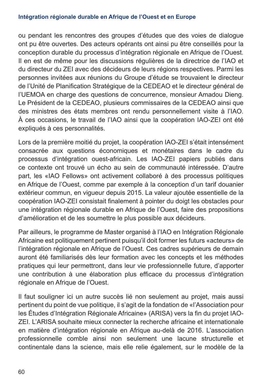#### **Intégration régionale durable en Afrique de l'Ouest et en Europe**

ou pendant les rencontres des groupes d'études que des voies de dialogue ont pu être ouvertes. Des acteurs opérants ont ainsi pu être conseillés pour la conception durable du processus d'intégration régionale en Afrique de l'Ouest. Il en est de même pour les discussions régulières de la directrice de l'IAO et du directeur du ZEI avec des décideurs de leurs régions respectives. Parmi les personnes invitées aux réunions du Groupe d'étude se trouvaient le directeur de l'Unité de Planification Stratégique de la CEDEAO et le directeur général de l'UEMOA en charge des questions de concurrence, monsieur Amadou Dieng. Le Président de la CEDEAO, plusieurs commissaires de la CEDEAO ainsi que des ministres des états membres ont rendu personnellement visite à l'IAO. À ces occasions, le travail de l'IAO ainsi que la coopération IAO-ZEI ont été expliqués à ces personnalités.

Lors de la première moitié du projet, la coopération IAO-ZEI s'était intensément consacrée aux questions économiques et monétaires dans le cadre du processus d'intégration ouest-africain. Les IAO-ZEI papiers publiés dans ce contexte ont trouvé un écho au sein de communauté intéressée. D'autre part, les «IAO Fellows» ont activement collaboré à des processus politiques en Afrique de l'Ouest, comme par exemple à la conception d'un tarif douanier extérieur commun, en vigueur depuis 2015. La valeur ajoutée essentielle de la coopération IAO-ZEI consistait finalement à pointer du doigt les obstacles pour une intégration régionale durable en Afrique de l'Ouest, faire des propositions d'amélioration et de les soumettre le plus possible aux décideurs.

Par ailleurs, le programme de Master organisé à l'IAO en Intégration Régionale Africaine est politiquement pertinent puisqu'il doit former les futurs «acteurs» de l'intégration régionale en Afrique de l'Ouest. Ces cadres supérieurs de demain auront été familiarisés dès leur formation avec les concepts et les méthodes pratiques qui leur permettront, dans leur vie professionnelle future, d'apporter une contribution à une élaboration plus efficace du processus d'intégration régionale en Afrique de l'Ouest.

Il faut souligner ici un autre succès lié non seulement au projet, mais aussi pertinent du point de vue politique, il s'agit de la fondation de «l'Association pour les Études d'Intégration Régionale Africaine» (ARISA) vers la fin du projet IAO-ZEI. L'ARISA souhaite mieux connecter la recherche africaine et internationale en matière d'intégration régionale en Afrique au-delà de 2016. L'association professionnelle comble ainsi non seulement une lacune structurelle et continentale dans la science, mais elle relie également, sur le modèle de la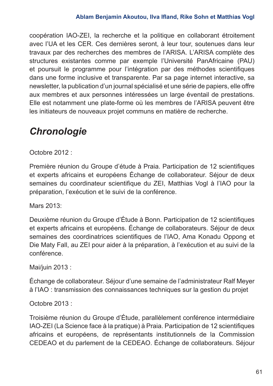coopération IAO-ZEI, la recherche et la politique en collaborant étroitement avec l'UA et les CER. Ces dernières seront, à leur tour, soutenues dans leur travaux par des recherches des membres de l'ARISA. L'ARISA complète des structures existantes comme par exemple l'Université PanAfricaine (PAU) et poursuit le programme pour l'intégration par des méthodes scientifiques dans une forme inclusive et transparente. Par sa page internet interactive, sa newsletter, la publication d'un journal spécialisé et une série de papiers, elle offre aux membres et aux personnes intéressées un large éventail de prestations. Elle est notamment une plate-forme où les membres de l'ARISA peuvent être les initiateurs de nouveaux projet communs en matière de recherche.

# *Chronologie*

Octobre 2012 :

Première réunion du Groupe d'étude à Praia. Participation de 12 scientifiques et experts africains et européens Échange de collaborateur. Séjour de deux semaines du coordinateur scientifique du ZEI, Matthias Vogl à l'IAO pour la préparation, l'exécution et le suivi de la conférence.

Mars 2013:

Deuxième réunion du Groupe d'Étude à Bonn. Participation de 12 scientifiques et experts africains et européens. Échange de collaborateurs. Séjour de deux semaines des coordinatrices scientifiques de l'IAO, Ama Konadu Oppong et Die Maty Fall, au ZEI pour aider à la préparation, à l'exécution et au suivi de la conférence.

Mai/juin 2013 :

Échange de collaborateur. Séjour d'une semaine de l'administrateur Ralf Meyer à l'IAO : transmission des connaissances techniques sur la gestion du projet

Octobre 2013 :

Troisième réunion du Groupe d'Étude, parallèlement conférence intermédiaire IAO-ZEI (La Science face à la pratique) à Praia. Participation de 12 scientifiques africains et européens, de représentants institutionnels de la Commission CEDEAO et du parlement de la CEDEAO. Échange de collaborateurs. Séjour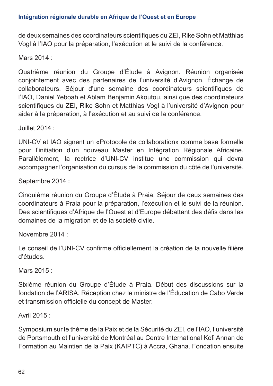de deux semaines des coordinateurs scientifiques du ZEI, Rike Sohn et Matthias Vogl à l'IAO pour la préparation, l'exécution et le suivi de la conférence.

Mars 2014 ·

Quatrième réunion du Groupe d'Étude à Avignon. Réunion organisée conjointement avec des partenaires de l'université d'Avignon. Échange de collaborateurs. Séjour d'une semaine des coordinateurs scientifiques de l'IAO, Daniel Yeboah et Ablam Benjamin Akoutou, ainsi que des coordinateurs scientifiques du ZEI, Rike Sohn et Matthias Vogl à l'université d'Avignon pour aider à la préparation, à l'exécution et au suivi de la conférence.

Juillet 2014 :

UNI-CV et IAO signent un «Protocole de collaboration» comme base formelle pour l'initiation d'un nouveau Master en Intégration Régionale Africaine. Parallèlement, la rectrice d'UNI-CV institue une commission qui devra accompagner l'organisation du cursus de la commission du côté de l'université.

Septembre 2014 :

Cinquième réunion du Groupe d'Étude à Praia. Séjour de deux semaines des coordinateurs à Praia pour la préparation, l'exécution et le suivi de la réunion. Des scientifiques d'Afrique de l'Ouest et d'Europe débattent des défis dans les domaines de la migration et de la société civile.

Novembre 2014 :

Le conseil de l'UNI-CV confirme officiellement la création de la nouvelle filière d'études.

Mars 2015 :

Sixième réunion du Groupe d'Étude à Praia. Début des discussions sur la fondation de l'ARISA. Réception chez le ministre de l'Éducation de Cabo Verde et transmission officielle du concept de Master.

Avril 2015 :

Symposium sur le thème de la Paix et de la Sécurité du ZEI, de l'IAO, l'université de Portsmouth et l'université de Montréal au Centre International Kofi Annan de Formation au Maintien de la Paix (KAIPTC) à Accra, Ghana. Fondation ensuite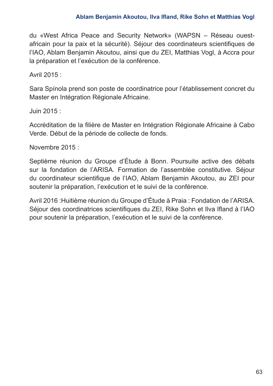du «West Africa Peace and Security Network» (WAPSN – Réseau ouestafricain pour la paix et la sécurité). Séjour des coordinateurs scientifiques de l'IAO, Ablam Benjamin Akoutou, ainsi que du ZEI, Matthias Vogl, à Accra pour la préparation et l'exécution de la conférence.

Avril 2015 :

Sara Spínola prend son poste de coordinatrice pour l'établissement concret du Master en Intégration Régionale Africaine.

Juin 2015 :

Accréditation de la filière de Master en Intégration Régionale Africaine à Cabo Verde. Début de la période de collecte de fonds.

Novembre 2015 :

Septième réunion du Groupe d'Étude à Bonn. Poursuite active des débats sur la fondation de l'ARISA. Formation de l'assemblée constitutive. Séjour du coordinateur scientifique de l'IAO, Ablam Benjamin Akoutou, au ZEI pour soutenir la préparation, l'exécution et le suivi de la conférence.

Avril 2016 :Huitième réunion du Groupe d'Étude à Praia : Fondation de l'ARISA. Séjour des coordinatrices scientifiques du ZEI, Rike Sohn et Ilva Ifland à l'IAO pour soutenir la préparation, l'exécution et le suivi de la conférence.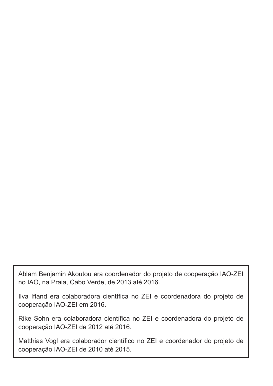Ablam Benjamin Akoutou era coordenador do projeto de cooperação IAO-ZEI no IAO, na Praia, Cabo Verde, de 2013 até 2016.

Ilva Ifland era colaboradora científica no ZEI e coordenadora do projeto de cooperação IAO-ZEI em 2016.

Rike Sohn era colaboradora científica no ZEI e coordenadora do projeto de cooperação IAO-ZEI de 2012 até 2016.

Matthias Vogl era colaborador científico no ZEI e coordenador do projeto de cooperação IAO-ZEI de 2010 até 2015.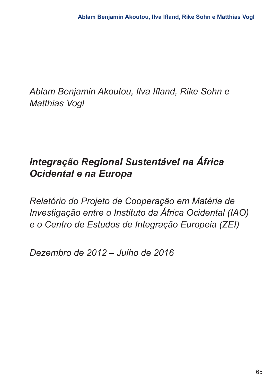*Ablam Benjamin Akoutou, Ilva Ifland, Rike Sohn e Matthias Vogl*

# *Integração Regional Sustentável na África Ocidental e na Europa*

*Relatório do Projeto de Cooperação em Matéria de Investigação entre o Instituto da África Ocidental (IAO) e o Centro de Estudos de Integração Europeia (ZEI)*

*Dezembro de 2012 – Julho de 2016*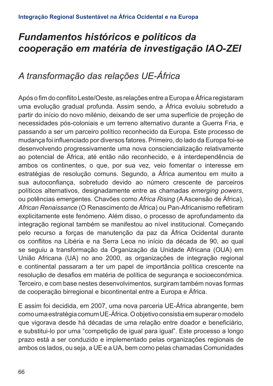# *Fundamentos históricos e políticos da cooperação em matéria de investigação IAO-ZEI*

## *A transformação das relações UE-África*

Após o fim do conflito Leste/Oeste, as relações entre a Europa e África registaram uma evolução gradual profunda. Assim sendo, a África evoluiu sobretudo a partir do início do novo milénio, deixando de ser uma superfície de projeção de necessidades pós-coloniais e um terreno alternativo durante a Guerra Fria, e passando a ser um parceiro político reconhecido da Europa. Este processo de mudança foi influenciado por diversos fatores. Primeiro, do lado da Europa foi-se desenvolvendo progressivamente uma nova consciencialização relativamente ao potencial de África, até então não reconhecido, e à interdependência de ambos os continentes, o que, por sua vez, veio fomentar o interesse em estratégias de resolução comuns. Segundo, a África aumentou em muito a sua autoconfiança, sobretudo devido ao número crescente de parceiros políticos alternativos, designadamente entre as chamadas *emerging powers*, ou potências emergentes. Chavões como *Africa Rising* (A Ascensão de África), *African Renaissance* (O Renascimento de África) ou Pan-Africanismo refletiram explicitamente este fenómeno. Além disso, o processo de aprofundamento da integração regional também se manifestou ao nível institucional. Começando pelo recurso a forças de manutenção da paz da África Ocidental durante os conflitos na Libéria e na Serra Leoa no início da década de 90, ao qual se seguiu a transformação da Organização da Unidade Africana (OUA) em União Africana (UA) no ano 2000, as organizações de integração regional e continental passaram a ter um papel de importância política crescente na resolução de desafios em matéria de política de segurança e socioeconómica. Terceiro, e com base nestes desenvolvimentos, surgiram também novas formas de cooperação birregional e bicontinental entre a Europa e África.

E assim foi decidida, em 2007, uma nova parceria UE-África abrangente, bem como uma estratégia comum UE-África. O objetivo consistia em superar o modelo que vigorava desde há décadas de uma relação entre doador e beneficiário, e substitui-lo por uma "competição de igual para igual". Este processo a longo prazo está a ser conduzido e implementado pelas organizações regionais de ambos os lados, ou seja, a UE e a UA, bem como pelas chamadas Comunidades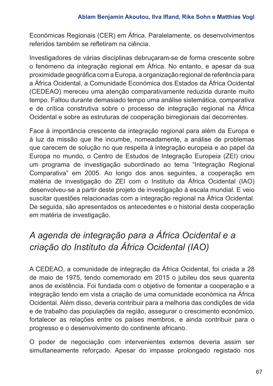Económicas Regionais (CER) em África. Paralelamente, os desenvolvimentos referidos também se refletiram na ciência.

Investigadores de várias disciplinas debruçaram-se de forma crescente sobre o fenómeno da integração regional em África. No entanto, e apesar da sua proximidade geográfica com a Europa, a organização regional de referência para a África Ocidental, a Comunidade Económica dos Estados da África Ocidental (CEDEAO) mereceu uma atenção comparativamente reduzida durante muito tempo. Faltou durante demasiado tempo uma análise sistemática, comparativa e de crítica construtiva sobre o processo de integração regional na África Ocidental e sobre as estruturas de cooperação birregionais daí decorrentes.

Face à importância crescente da integração regional para além da Europa e à luz da missão que lhe incumbe, nomeadamente, a análise de problemas que carecem de solução no que respeita à integração europeia e ao papel da Europa no mundo, o Centro de Estudos de Integração Europeia (ZEI) criou um programa de investigação subordinado ao tema "Integração Regional Comparativa" em 2005. Ao longo dos anos seguintes, a cooperação em matéria de investigação do ZEI com o Instituto da África Ocidental (IAO) desenvolveu-se a partir deste projeto de investigação à escala mundial. E veio suscitar questões relacionadas com a integração regional na África Ocidental. De seguida, são apresentados os antecedentes e o historial desta cooperação em matéria de investigação.

## *A agenda de integração para a África Ocidental e a criação do Instituto da África Ocidental (IAO)*

A CEDEAO, a comunidade de integração da África Ocidental, foi criada a 28 de maio de 1975, tendo comemorado em 2015 o jubileu dos seus quarenta anos de existência. Foi fundada com o objetivo de fomentar a cooperação e a integração tendo em vista a criação de uma comunidade económica na África Ocidental. Além disso, deveria contribuir para a melhoria das condições de vida e de trabalho das populações da região, assegurar o crescimento económico, fortalecer as relações entre os países membros, e ainda contribuir para o progresso e o desenvolvimento do continente africano.

O poder de negociação com intervenientes externos deveria assim ser simultaneamente reforçado. Apesar do impasse prolongado registado nos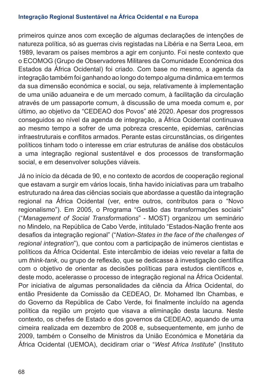#### **Integração Regional Sustentável na África Ocidental e na Europa**

primeiros quinze anos com exceção de algumas declarações de intenções de natureza política, só as guerras civis registadas na Libéria e na Serra Leoa, em 1989, levaram os países membros a agir em conjunto. Foi neste contexto que o ECOMOG (Grupo de Observadores Militares da Comunidade Económica dos Estados da África Ocidental) foi criado. Com base no mesmo, a agenda da integração também foi ganhando ao longo do tempo alguma dinâmica em termos da sua dimensão económica e social, ou seja, relativamente à implementação de uma união aduaneira e de um mercado comum, à facilitação da circulação através de um passaporte comum, à discussão de uma moeda comum e, por último, ao objetivo da "CEDEAO dos Povos" até 2020. Apesar dos progressos conseguidos ao nível da agenda de integração, a África Ocidental continuava ao mesmo tempo a sofrer de uma pobreza crescente, epidemias, carências infraestruturais e conflitos armados. Perante estas circunstâncias, os dirigentes políticos tinham todo o interesse em criar estruturas de análise dos obstáculos a uma integração regional sustentável e dos processos de transformação social, e em desenvolver soluções viáveis.

Já no início da década de 90, e no contexto de acordos de cooperação regional que estavam a surgir em vários locais, tinha havido iniciativas para um trabalho estruturado na área das ciências sociais que abordasse a questão da integração regional na África Ocidental (ver, entre outros, contributos para o "Novo regionalismo"). Em 2005, o Programa "Gestão das transformações sociais" ("*Management of Social Transformations*" - MOST) organizou um seminário no Mindelo, na República de Cabo Verde, intitulado "Estados-Nação frente aos desafios da integração regional" ("*Nation-States in the face of the challenges of regional integration*"), que contou com a participação de inúmeros cientistas e políticos da África Ocidental. Este intercâmbio de ideias veio revelar a falta de um *think-tank*, ou grupo de reflexão, que se dedicasse à investigação científica com o objetivo de orientar as decisões políticas para estudos científicos e, deste modo, acelerasse o processo de integração regional na África Ocidental. Por iniciativa de algumas personalidades da ciência da África Ocidental, do então Presidente da Comissão da CEDEAO, Dr. Mohamed Ibn Chambas, e do Governo da República de Cabo Verde, foi finalmente incluído na agenda política da região um projeto que visava a eliminação desta lacuna. Neste contexto, os chefes de Estado e dos governos da CEDEAO, aquando de uma cimeira realizada em dezembro de 2008 e, subsequentemente, em junho de 2009, também o Conselho de Ministros da União Económica e Monetária da África Ocidental (UEMOA), decidiram criar o "*West Africa Institute*" (Instituto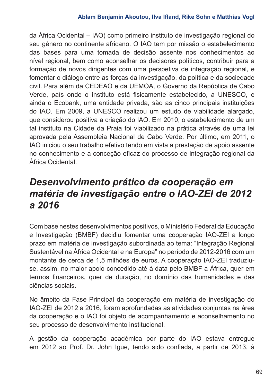da África Ocidental ‒ IAO) como primeiro instituto de investigação regional do seu género no continente africano. O IAO tem por missão o estabelecimento das bases para uma tomada de decisão assente nos conhecimentos ao nível regional, bem como aconselhar os decisores políticos, contribuir para a formação de novos dirigentes com uma perspetiva de integração regional, e fomentar o diálogo entre as forças da investigação, da política e da sociedade civil. Para além da CEDEAO e da UEMOA, o Governo da República de Cabo Verde, país onde o instituto está fisicamente estabelecido, a UNESCO, e ainda o Ecobank, uma entidade privada, são as cinco principais instituições do IAO. Em 2009, a UNESCO realizou um estudo de viabilidade alargado, que considerou positiva a criação do IAO. Em 2010, o estabelecimento de um tal instituto na Cidade da Praia foi viabilizado na prática através de uma lei aprovada pela Assembleia Nacional de Cabo Verde. Por último, em 2011, o IAO iniciou o seu trabalho efetivo tendo em vista a prestação de apoio assente no conhecimento e a conceção eficaz do processo de integração regional da África Ocidental.

## *Desenvolvimento prático da cooperação em matéria de investigação entre o IAO-ZEI de 2012 a 2016*

Com base nestes desenvolvimentos positivos, o Ministério Federal da Educação e Investigação (BMBF) decidiu fomentar uma cooperação IAO-ZEI a longo prazo em matéria de investigação subordinada ao tema: "Integração Regional Sustentável na África Ocidental e na Europa" no período de 2012-2016 com um montante de cerca de 1,5 milhões de euros. A cooperação IAO-ZEI traduziuse, assim, no maior apoio concedido até à data pelo BMBF a África, quer em termos financeiros, quer de duração, no domínio das humanidades e das ciências sociais.

No âmbito da Fase Principal da cooperação em matéria de investigação do IAO-ZEI de 2012 a 2016, foram aprofundadas as atividades conjuntas na área da cooperação e o IAO foi objeto de acompanhamento e aconselhamento no seu processo de desenvolvimento institucional.

A gestão da cooperação académica por parte do IAO estava entregue em 2012 ao Prof. Dr. John Igue, tendo sido confiada, a partir de 2013, à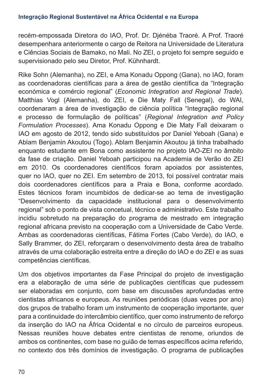recém-empossada Diretora do IAO, Prof. Dr. Djénéba Traoré. A Prof. Traoré desempenhara anteriormente o cargo de Reitora na Universidade de Literatura e Ciências Sociais de Bamako, no Mali. No ZEI, o projeto foi sempre seguido e supervisionado pelo seu Diretor, Prof. Kühnhardt.

Rike Sohn (Alemanha), no ZEI, e Ama Konadu Oppong (Gana), no IAO, foram as coordenadoras científicas para a área de gestão científica da "Integração económica e comércio regional" (*Economic Integration and Regional Trade*). Matthias Vogl (Alemanha), do ZEI, e Die Maty Fall (Senegal), do WAI, coordenaram a área de investigação de ciência política "Integração regional e processo de formulação de políticas" (*Regional Integration and Policy Formulation Processes*). Ama Konadu Oppong e Die Maty Fall deixaram o IAO em agosto de 2012, tendo sido substituídos por Daniel Yeboah (Gana) e Ablam Benjamin Akoutou (Togo). Ablam Benjamin Akoutou já tinha trabalhado enquanto estudante em Bona como assistente no projeto IAO-ZEI no âmbito da fase de criação. Daniel Yeboah participou na Academia de Verão do ZEI em 2010. Os coordenadores científicos foram apoiados por assistentes, quer no IAO, quer no ZEI. Em setembro de 2013, foi possível contratar mais dois coordenadores científicos para a Praia e Bona, conforme acordado. Estes técnicos foram incumbidos de dedicar-se ao tema de investigação "Desenvolvimento da capacidade institucional para o desenvolvimento regional" sob o ponto de vista concetual, técnico e administrativo. Este trabalho incidiu sobretudo na preparação do programa de mestrado em integração regional africana previsto na cooperação com a Universidade de Cabo Verde. Ambas as coordenadoras científicas, Fátima Fortes (Cabo Verde), do IAO, e Sally Brammer, do ZEI, reforçaram o desenvolvimento desta área de trabalho através de uma colaboração estreita entre a direção do IAO e do ZEI e as suas competências científicas.

Um dos objetivos importantes da Fase Principal do projeto de investigação era a elaboração de uma série de publicações científicas que pudessem ser elaboradas em conjunto, com base em discussões aprofundadas entre cientistas africanos e europeus. As reuniões periódicas (duas vezes por ano) dos grupos de trabalho foram um instrumento de cooperação importante, quer para a continuidade do intercâmbio científico, quer como instrumento de reforço da inserção do IAO na África Ocidental e no círculo de parceiros europeus. Nessas reuniões houve debates entre cientistas de renome, oriundos de ambos os continentes, com base no guião de temas específicos acima referido, no contexto dos três domínios de investigação. O programa de publicações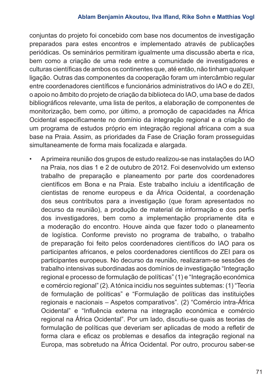#### **Ablam Benjamin Akoutou, Ilva Ifland, Rike Sohn e Matthias Vogl**

conjuntas do projeto foi concebido com base nos documentos de investigação preparados para estes encontros e implementado através de publicações periódicas. Os seminários permitiram igualmente uma discussão aberta e rica, bem como a criação de uma rede entre a comunidade de investigadores e culturas científicas de ambos os continentes que, até então, não tinham qualquer ligação. Outras das componentes da cooperação foram um intercâmbio regular entre coordenadores científicos e funcionários administrativos do IAO e do ZEI, o apoio no âmbito do projeto de criação da biblioteca do IAO, uma base de dados bibliográficos relevante, uma lista de peritos, a elaboração de componentes de monitorização, bem como, por último, a promoção de capacidades na África Ocidental especificamente no domínio da integração regional e a criação de um programa de estudos próprio em integração regional africana com a sua base na Praia. Assim, as prioridades da Fase de Criação foram prosseguidas simultaneamente de forma mais focalizada e alargada.

• A primeira reunião dos grupos de estudo realizou-se nas instalações do IAO na Praia, nos dias 1 e 2 de outubro de 2012. Foi desenvolvido um extenso trabalho de preparação e planeamento por parte dos coordenadores científicos em Bona e na Praia. Este trabalho incluiu a identificação de cientistas de renome europeus e da África Ocidental, a coordenação dos seus contributos para a investigação (que foram apresentados no decurso da reunião), a produção de material de informação e dos perfis dos investigadores, bem como a implementação propriamente dita e a moderação do encontro. Houve ainda que fazer todo o planeamento de logística. Conforme previsto no programa de trabalho, o trabalho de preparação foi feito pelos coordenadores científicos do IAO para os participantes africanos, e pelos coordenadores científicos do ZEI para os participantes europeus. No decurso da reunião, realizaram-se sessões de trabalho intensivas subordinadas aos domínios de investigação "Integração regional e processo de formulação de políticas" (1) e "Integração económica e comércio regional" (2). A tónica incidiu nos seguintes subtemas: (1) "Teoria de formulação de políticas" e "Formulação de políticas das instituições regionais e nacionais – Aspetos comparativos". (2) "Comércio intra-África Ocidental" e "Influência externa na integração económica e comércio regional na África Ocidental". Por um lado, discutiu-se quais as teorias de formulação de políticas que deveriam ser aplicadas de modo a refletir de forma clara e eficaz os problemas e desafios da integração regional na Europa, mas sobretudo na África Ocidental. Por outro, procurou saber-se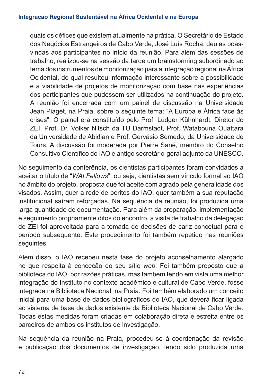quais os défices que existem atualmente na prática. O Secretário de Estado dos Negócios Estrangeiros de Cabo Verde, José Luís Rocha, deu as boasvindas aos participantes no início da reunião. Para além das sessões de trabalho, realizou-se na sessão da tarde um brainstorming subordinado ao tema dos instrumentos de monitorização para a integração regional na África Ocidental, do qual resultou informação interessante sobre a possibilidade e a viabilidade de projetos de monitorização com base nas experiências dos participantes que pudessem ser utilizados na continuação do projeto. A reunião foi encerrada com um painel de discussão na Universidade Jean Piaget, na Praia, sobre o seguinte tema: "A Europa e África face às crises". O painel era constituído pelo Prof. Ludger Kühnhardt, Diretor do ZEI, Prof. Dr. Volker Nitsch da TU Darmstadt, Prof. Watabouna Ouattara da Universidade de Abidjan e Prof. Gervásio Semedo, da Universidade de Tours. A discussão foi moderada por Pierre Sané, membro do Conselho Consultivo Científico do IAO e antigo secretário-geral adjunto da UNESCO.

No seguimento da conferência, os cientistas participantes foram convidados a aceitar o título de "*WAI Fellows*", ou seja, cientistas sem vínculo formal ao IAO no âmbito do projeto, proposta que foi aceite com agrado pela generalidade dos visados. Assim, quer a rede de peritos do IAO, quer também a sua reputação institucional saíram reforçadas. Na sequência da reunião, foi produzida uma larga quantidade de documentação. Para além da preparação, implementação e seguimento propriamente ditos do encontro, a visita de trabalho da delegação do ZEI foi aproveitada para a tomada de decisões de cariz concetual para o período subsequente. Este procedimento foi também repetido nas reuniões seguintes.

Além disso, o IAO recebeu nesta fase do projeto aconselhamento alargado no que respeita à conceção do seu sítio *web*. Foi também proposto que a biblioteca do IAO, por razões práticas, mas também tendo em vista uma melhor integração do Instituto no contexto académico e cultural de Cabo Verde, fosse integrada na Biblioteca Nacional, na Praia. Foi também elaborado um conceito inicial para uma base de dados bibliográficos do IAO, que deverá ficar ligada ao sistema de base de dados existente da Biblioteca Nacional de Cabo Verde. Todas estas medidas foram criadas em colaboração direta e estreita entre os parceiros de ambos os institutos de investigação.

Na sequência da reunião na Praia, procedeu-se à coordenação da revisão e publicação dos documentos de investigação, tendo sido produzida uma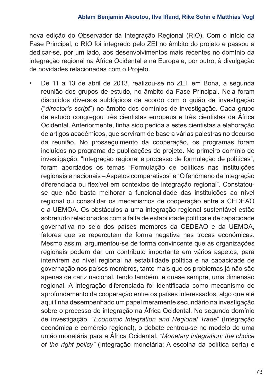nova edição do Observador da Integração Regional (RIO). Com o início da Fase Principal, o RIO foi integrado pelo ZEI no âmbito do projeto e passou a dedicar-se, por um lado, aos desenvolvimentos mais recentes no domínio da integração regional na África Ocidental e na Europa e, por outro, à divulgação de novidades relacionadas com o Projeto.

• De 11 a 13 de abril de 2013, realizou-se no ZEI, em Bona, a segunda reunião dos grupos de estudo, no âmbito da Fase Principal. Nela foram discutidos diversos subtópicos de acordo com o guião de investigação ("*director's script*") no âmbito dos domínios de investigação. Cada grupo de estudo congregou três cientistas europeus e três cientistas da África Ocidental. Anteriormente, tinha sido pedida a estes cientistas a elaboração de artigos académicos, que serviram de base a várias palestras no decurso da reunião. No prosseguimento da cooperação, os programas foram incluídos no programa de publicações do projeto. No primeiro domínio de investigação, "Integração regional e processo de formulação de políticas", foram abordados os temas "Formulação de políticas nas instituições regionais e nacionais – Aspetos comparativos" e "O fenómeno da integração diferenciada ou flexível em contextos de integração regional". Constatouse que não basta melhorar a funcionalidade das instituições ao nível regional ou consolidar os mecanismos de cooperação entre a CEDEAO e a UEMOA. Os obstáculos a uma integração regional sustentável estão sobretudo relacionados com a falta de estabilidade política e de capacidade governativa no seio dos países membros da CEDEAO e da UEMOA, fatores que se repercutem de forma negativa nas trocas económicas. Mesmo assim, argumentou-se de forma convincente que as organizações regionais podem dar um contributo importante em vários aspetos, para intervirem ao nível regional na estabilidade política e na capacidade de governação nos países membros, tanto mais que os problemas já não são apenas de cariz nacional, tendo também, e quase sempre, uma dimensão regional. A integração diferenciada foi identificada como mecanismo de aprofundamento da cooperação entre os países interessados, algo que até aqui tinha desempenhado um papel meramente secundário na investigação sobre o processo de integração na África Ocidental. No segundo domínio de investigação, "*Economic Integration and Regional Trade*" (Integração económica e comércio regional), o debate centrou-se no modelo de uma união monetária para a África Ocidental. *"Monetary integration: the choice of the right policy"* (Integração monetária: A escolha da política certa) e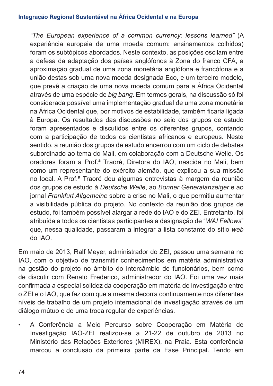*"The European experience of a common currency: lessons learned"* (A experiência europeia de uma moeda comum: ensinamentos colhidos) foram os subtópicos abordados. Neste contexto, as posições oscilam entre a defesa da adaptação dos países anglófonos à Zona do franco CFA, a aproximação gradual de uma zona monetária anglófona e francófona e a união destas sob uma nova moeda designada Eco, e um terceiro modelo, que prevê a criação de uma nova moeda comum para a África Ocidental através de uma espécie de *big bang*. Em termos gerais, na discussão só foi considerada possível uma implementação gradual de uma zona monetária na África Ocidental que, por motivos de estabilidade, também ficaria ligada à Europa. Os resultados das discussões no seio dos grupos de estudo foram apresentados e discutidos entre os diferentes grupos, contando com a participação de todos os cientistas africanos e europeus. Neste sentido, a reunião dos grupos de estudo encerrou com um ciclo de debates subordinado ao tema do Mali, em colaboração com a Deutsche Welle. Os oradores foram a Prof.ª Traoré, Diretora do IAO, nascida no Mali, bem como um representante do exército alemão, que explicou a sua missão no local. A Prof.ª Traoré deu algumas entrevistas à margem da reunião dos grupos de estudo à *Deutsche Welle*, ao *Bonner Generalanzeiger* e ao jornal *Frankfurt Allgemeine* sobre a crise no Mali, o que permitiu aumentar a visibilidade pública do projeto. No contexto da reunião dos grupos de estudo, foi também possível alargar a rede do IAO e do ZEI. Entretanto, foi atribuída a todos os cientistas participantes a designação de "*WAI Fellows*" que, nessa qualidade, passaram a integrar a lista constante do sítio *web* do IAO.

Em maio de 2013, Ralf Meyer, administrador do ZEI, passou uma semana no IAO, com o objetivo de transmitir conhecimentos em matéria administrativa na gestão do projeto no âmbito do intercâmbio de funcionários, bem como de discutir com Renato Frederico, administrador do IAO. Foi uma vez mais confirmada a especial solidez da cooperação em matéria de investigação entre o ZEI e o IAO, que faz com que a mesma decorra continuamente nos diferentes níveis de trabalho de um projeto internacional de investigação através de um diálogo mútuo e de uma troca regular de experiências.

• A Conferência a Meio Percurso sobre Cooperação em Matéria de Investigação IAO-ZEI realizou-se a 21-22 de outubro de 2013 no Ministério das Relações Exteriores (MIREX), na Praia. Esta conferência marcou a conclusão da primeira parte da Fase Principal. Tendo em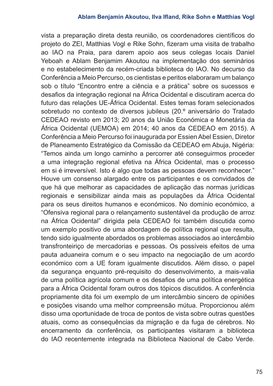vista a preparação direta desta reunião, os coordenadores científicos do projeto do ZEI, Matthias Vogl e Rike Sohn, fizeram uma visita de trabalho ao IAO na Praia, para darem apoio aos seus colegas locais Daniel Yeboah e Ablam Benjamim Akoutou na implementação dos seminários e no estabelecimento da recém-criada biblioteca do IAO. No decurso da Conferência a Meio Percurso, os cientistas e peritos elaboraram um balanço sob o título "Encontro entre a ciência e a prática" sobre os sucessos e desafios da integração regional na África Ocidental e discutiram acerca do futuro das relações UE-África Ocidental. Estes temas foram selecionados sobretudo no contexto de diversos jubileus (20.º aniversário do Tratado CEDEAO revisto em 2013; 20 anos da União Económica e Monetária da África Ocidental (UEMOA) em 2014; 40 anos da CEDEAO em 2015). A Conferência a Meio Percurso foi inaugurada por Essien Abel Essien, Diretor de Planeamento Estratégico da Comissão da CEDEAO em Abuja, Nigéria: "Temos ainda um longo caminho a percorrer até conseguirmos proceder a uma integração regional efetiva na África Ocidental, mas o processo em si é irreversível. Isto é algo que todas as pessoas devem reconhecer." Houve um consenso alargado entre os participantes e os convidados de que há que melhorar as capacidades de aplicação das normas jurídicas regionais e sensibilizar ainda mais as populações da África Ocidental para os seus direitos humanos e económicos. No domínio económico, a "Ofensiva regional para o relançamento sustentável da produção de arroz na África Ocidental" dirigida pela CEDEAO foi também discutida como um exemplo positivo de uma abordagem de política regional que resulta, tendo sido igualmente abordados os problemas associados ao intercâmbio transfronteiriço de mercadorias e pessoas. Os possíveis efeitos de uma pauta aduaneira comum e o seu impacto na negociação de um acordo económico com a UE foram igualmente discutidos. Além disso, o papel da segurança enquanto pré-requisito do desenvolvimento, a mais-valia de uma política agrícola comum e os desafios de uma política energética para a África Ocidental foram outros dos tópicos discutidos. A conferência propriamente dita foi um exemplo de um intercâmbio sincero de opiniões e posições visando uma melhor compreensão mútua. Proporcionou além disso uma oportunidade de troca de pontos de vista sobre outras questões atuais, como as consequências da migração e da fuga de cérebros. No encerramento da conferência, os participantes visitaram a biblioteca do IAO recentemente integrada na Biblioteca Nacional de Cabo Verde.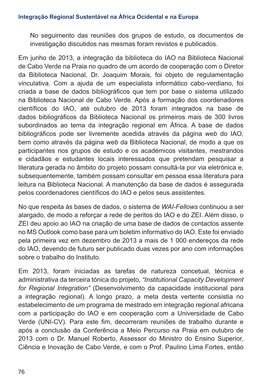No seguimento das reuniões dos grupos de estudo, os documentos de investigação discutidos nas mesmas foram revistos e publicados.

Em junho de 2013, a integração da biblioteca do IAO na Biblioteca Nacional de Cabo Verde na Praia no quadro de um acordo de cooperação com o Diretor da Biblioteca Nacional, Dr. Joaquim Morais, foi objeto de regulamentação vinculativa. Com a ajuda de um especialista informático cabo-verdiano, foi criada a base de dados bibliográficos que tem por base o sistema utilizado na Biblioteca Nacional de Cabo Verde. Após a formação dos coordenadores científicos do IAO, até outubro de 2013 foram integrados na base de dados bibliográficos da Biblioteca Nacional os primeiros mais de 300 livros subordinados ao tema da integração regional em África. A base de dados bibliográficos pode ser livremente acedida através da página *web* do IAO, bem como através da página *web* da Biblioteca Nacional, de modo a que os participantes nos grupos de estudo e os académicos visitantes, mestrandos e cidadãos e estudantes locais interessados que pretendam pesquisar a literatura gerada no âmbito do projeto possam consultá-la por via eletrónica e, subsequentemente, também possam consultar em pessoa essa literatura para leitura na Biblioteca Nacional. A manutenção da base de dados é assegurada pelos coordenadores científicos do IAO e pelos seus assistentes.

No que respeita às bases de dados, o sistema de *WAI-Fellows* continuou a ser alargado, de modo a reforçar a rede de peritos do IAO e do ZEI. Além disso, o ZEI deu apoio ao IAO na criação de uma base de dados de contactos assente no MS Outlook como base para um boletim informativo do IAO. Este foi enviado pela primeira vez em dezembro de 2013 a mais de 1 000 endereços da rede do IAO, devendo de futuro ser publicado duas vezes por ano com informações sobre o trabalho do Instituto.

Em 2013, foram iniciadas as tarefas de natureza concetual, técnica e administrativa da terceira tónica do projeto, *"Institutional Capacity Development for Regional Integration"* (Desenvolvimento da capacidade institucional para a integração regional). A longo prazo, a meta desta vertente consistia no estabelecimento de um programa de mestrado em integração regional africana com a participação do IAO e em cooperação com a Universidade de Cabo Verde (UNI-CV). Para este fim, decorreram reuniões de trabalho durante e após a conclusão da Conferência a Meio Percurso na Praia em outubro de 2013 com o Dr. Manuel Roberto, Assessor do Ministro do Ensino Superior, Ciência e Inovação de Cabo Verde, e com o Prof. Paulino Lima Fortes, então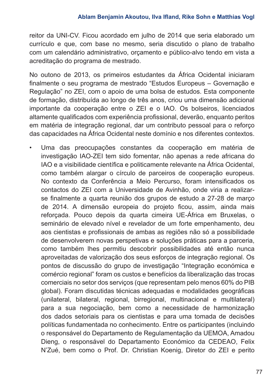reitor da UNI-CV. Ficou acordado em julho de 2014 que seria elaborado um currículo e que, com base no mesmo, seria discutido o plano de trabalho com um calendário administrativo, orçamento e público-alvo tendo em vista a acreditação do programa de mestrado.

No outono de 2013, os primeiros estudantes da África Ocidental iniciaram finalmente o seu programa de mestrado "Estudos Europeus - Governação e Regulação" no ZEI, com o apoio de uma bolsa de estudos. Esta componente de formação, distribuída ao longo de três anos, criou uma dimensão adicional importante da cooperação entre o ZEI e o IAO. Os bolseiros, licenciados altamente qualificados com experiência profissional, deverão, enquanto peritos em matéria de integração regional, dar um contributo pessoal para o reforço das capacidades na África Ocidental neste domínio e nos diferentes contextos.

• Uma das preocupações constantes da cooperação em matéria de investigação IAO-ZEI tem sido fomentar, não apenas a rede africana do IAO e a visibilidade científica e politicamente relevante na África Ocidental, como também alargar o círculo de parceiros de cooperação europeus. No contexto da Conferência a Meio Percurso, foram intensificados os contactos do ZEI com a Universidade de Avinhão, onde viria a realizarse finalmente a quarta reunião dos grupos de estudo a 27-28 de março de 2014. A dimensão europeia do projeto ficou, assim, ainda mais reforçada. Pouco depois da quarta cimeira UE-África em Bruxelas, o seminário de elevado nível e revelador de um forte empenhamento, deu aos cientistas e profissionais de ambas as regiões não só a possibilidade de desenvolverem novas perspetivas e soluções práticas para a parceria, como também lhes permitiu descobrir possibilidades até então nunca aproveitadas de valorização dos seus esforços de integração regional. Os pontos de discussão do grupo de investigação "Integração económica e comércio regional" foram os custos e benefícios da liberalização das trocas comerciais no setor dos serviços (que representam pelo menos 60% do PIB global). Foram discutidas técnicas adequadas e modalidades geográficas (unilateral, bilateral, regional, birregional, multinacional e multilateral) para a sua negociação, bem como a necessidade de harmonização dos dados setoriais para os cientistas e para uma tomada de decisões políticas fundamentada no conhecimento. Entre os participantes (incluindo o responsável do Departamento de Regulamentação da UEMOA, Amadou Dieng, o responsável do Departamento Económico da CEDEAO, Felix N'Zué, bem como o Prof. Dr. Christian Koenig, Diretor do ZEI e perito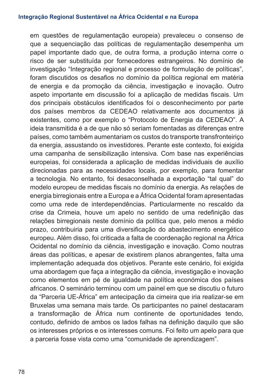em questões de regulamentação europeia) prevaleceu o consenso de que a sequenciação das políticas de regulamentação desempenha um papel importante dado que, de outra forma, a produção interna corre o risco de ser substituída por fornecedores estrangeiros. No domínio de investigação "Integração regional e processo de formulação de políticas", foram discutidos os desafios no domínio da política regional em matéria de energia e da promoção da ciência, investigação e inovação. Outro aspeto importante em discussão foi a aplicação de medidas fiscais. Um dos principais obstáculos identificados foi o desconhecimento por parte dos países membros da CEDEAO relativamente aos documentos já existentes, como por exemplo o "Protocolo de Energia da CEDEAO". A ideia transmitida é a de que não só seriam fomentadas as diferenças entre países, como também aumentariam os custos do transporte transfronteiriço da energia, assustando os investidores. Perante este contexto, foi exigida uma campanha de sensibilização intensiva. Com base nas experiências europeias, foi considerada a aplicação de medidas individuais de auxílio direcionadas para as necessidades locais, por exemplo, para fomentar a tecnologia. No entanto, foi desaconselhada a exportação "tal qual" do modelo europeu de medidas fiscais no domínio da energia. As relações de energia birregionais entre a Europa e a África Ocidental foram apresentadas como uma rede de interdependências. Particularmente no rescaldo da crise da Crimeia, houve um apelo no sentido de uma redefinição das relações birregionais neste domínio da política que, pelo menos a médio prazo, contribuiria para uma diversificação do abastecimento energético europeu. Além disso, foi criticada a falta de coordenação regional na África Ocidental no domínio da ciência, investigação e inovação. Como noutras áreas das políticas, e apesar de existirem planos abrangentes, falta uma implementação adequada dos objetivos. Perante este cenário, foi exigida uma abordagem que faça a integração da ciência, investigação e inovação como elementos em pé de igualdade na política económica dos países africanos. O seminário terminou com um painel em que se discutiu o futuro da "Parceria UE-África" em antecipação da cimeira que iria realizar-se em Bruxelas uma semana mais tarde. Os participantes no painel destacaram a transformação de África num continente de oportunidades tendo, contudo, definido de ambos os lados falhas na definição daquilo que são os interesses próprios e os interesses comuns. Foi feito um apelo para que a parceria fosse vista como uma "comunidade de aprendizagem".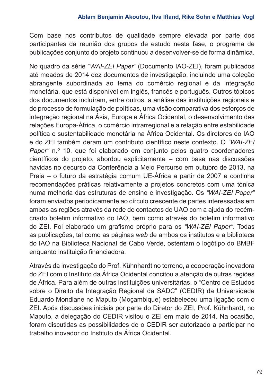Com base nos contributos de qualidade sempre elevada por parte dos participantes da reunião dos grupos de estudo nesta fase, o programa de publicações conjunto do projeto continuou a desenvolver-se de forma dinâmica.

No quadro da série *"WAI-ZEI Paper"* (Documento IAO-ZEI), foram publicados até meados de 2014 dez documentos de investigação, incluindo uma coleção abrangente subordinada ao tema do comércio regional e da integração monetária, que está disponível em inglês, francês e português. Outros tópicos dos documentos incluíram, entre outros, a análise das instituições regionais e do processo de formulação de políticas, uma visão comparativa dos esforços de integração regional na Ásia, Europa e África Ocidental, o desenvolvimento das relações Europa-África, o comércio intrarregional e a relação entre estabilidade política e sustentabilidade monetária na África Ocidental. Os diretores do IAO e do ZEI também deram um contributo científico neste contexto. O *"WAI-ZEI Paper"* n.º 10, que foi elaborado em conjunto pelos quatro coordenadores científicos do projeto, abordou explicitamente – com base nas discussões havidas no decurso da Conferência a Meio Percurso em outubro de 2013, na Praia ‒ o futuro da estratégia comum UE-África a partir de 2007 e continha recomendações práticas relativamente a projetos concretos com uma tónica numa melhoria das estruturas de ensino e investigação. Os *"WAI-ZEI Paper"* foram enviados periodicamente ao círculo crescente de partes interessadas em ambas as regiões através da rede de contactos do UAO com a ajuda do recémcriado boletim informativo do IAO, bem como através do boletim informativo do ZEI. Foi elaborado um grafismo próprio para os *"WAI-ZEI Paper"*. Todas as publicações, tal como as páginas *web* de ambos os institutos e a biblioteca do IAO na Biblioteca Nacional de Cabo Verde, ostentam o logótipo do BMBF enquanto instituição financiadora.

Através da investigação do Prof. Kühnhardt no terreno, a cooperação inovadora do ZEI com o Instituto da África Ocidental concitou a atenção de outras regiões de África. Para além de outras instituições universitárias, o "Centro de Estudos sobre o Direito da Integração Regional da SADC" (CEDIR) da Universidade Eduardo Mondlane no Maputo (Moçambique) estabeleceu uma ligação com o ZEI. Após discussões iniciais por parte do Diretor do ZEI, Prof. Kühnhardt, no Maputo, a delegação do CEDIR visitou o ZEI em maio de 2014. Na ocasião, foram discutidas as possibilidades de o CEDIR ser autorizado a participar no trabalho inovador do Instituto da África Ocidental.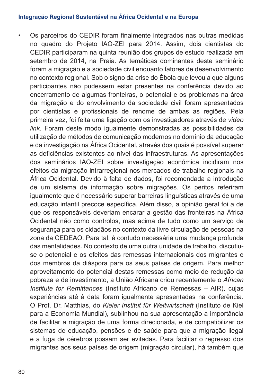• Os parceiros do CEDIR foram finalmente integrados nas outras medidas no quadro do Projeto IAO-ZEI para 2014. Assim, dois cientistas do CEDIR participaram na quinta reunião dos grupos de estudo realizada em setembro de 2014, na Praia. As temáticas dominantes deste seminário foram a migração e a sociedade civil enquanto fatores de desenvolvimento no contexto regional. Sob o signo da crise do Ébola que levou a que alguns participantes não pudessem estar presentes na conferência devido ao encerramento de algumas fronteiras, o potencial e os problemas na área da migração e do envolvimento da sociedade civil foram apresentados por cientistas e profissionais de renome de ambas as regiões. Pela primeira vez, foi feita uma ligação com os investigadores através de *video link.* Foram deste modo igualmente demonstradas as possibilidades da utilização de métodos de comunicação modernos no domínio da educação e da investigação na África Ocidental, através dos quais é possível superar as deficiências existentes ao nível das infraestruturas. As apresentações dos seminários IAO-ZEI sobre investigação económica incidiram nos efeitos da migração intrarregional nos mercados de trabalho regionais na África Ocidental. Devido à falta de dados, foi recomendada a introdução de um sistema de informação sobre migrações. Os peritos referiram igualmente que é necessário superar barreiras linguísticas através de uma educação infantil precoce específica. Além disso, a opinião geral foi a de que os responsáveis deveriam encarar a gestão das fronteiras na África Ocidental não como controlos, mas acima de tudo como um serviço de segurança para os cidadãos no contexto da livre circulação de pessoas na zona da CEDEAO. Para tal, é contudo necessária uma mudança profunda das mentalidades. No contexto de uma outra unidade de trabalho, discutiuse o potencial e os efeitos das remessas internacionais dos migrantes e dos membros da diáspora para os seus países de origem. Para melhor aproveitamento do potencial destas remessas como meio de redução da pobreza e de investimento, a União Africana criou recentemente o *African Institute for Remittances* (Instituto Africano de Remessas – AIR), cujas experiências até à data foram igualmente apresentadas na conferência. O Prof. Dr. Matthias, do *Kieler Institut für Weltwirtschaft* (Instituto de Kiel para a Economia Mundial), sublinhou na sua apresentação a importância de facilitar a migração de uma forma direcionada, e de compatibilizar os sistemas de educação, pensões e de saúde para que a migração ilegal e a fuga de cérebros possam ser evitadas. Para facilitar o regresso dos migrantes aos seus países de origem (migração circular), há também que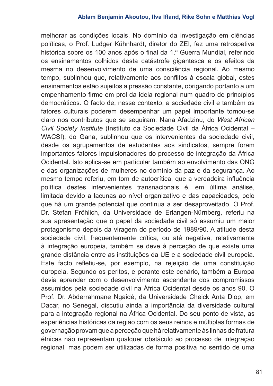melhorar as condições locais. No domínio da investigação em ciências políticas, o Prof. Ludger Kühnhardt, diretor do ZEI, fez uma retrospetiva histórica sobre os 100 anos após o final da 1.ª Guerra Mundial, referindo os ensinamentos colhidos desta catástrofe gigantesca e os efeitos da mesma no desenvolvimento de uma consciência regional. Ao mesmo tempo, sublinhou que, relativamente aos conflitos à escala global, estes ensinamentos estão sujeitos a pressão constante, obrigando portanto a um empenhamento firme em prol da ideia regional num quadro de princípios democráticos. O facto de, nesse contexto, a sociedade civil e também os fatores culturais poderem desempenhar um papel importante tornou-se claro nos contributos que se seguiram. Nana Afadzinu, do *West African Civil Society Institute* (Instituto da Sociedade Civil da África Ocidental – WACSI), do Gana, sublinhou que os intervenientes da sociedade civil, desde os agrupamentos de estudantes aos sindicatos, sempre foram importantes fatores impulsionadores do processo de integração da África Ocidental. Isto aplica-se em particular também ao envolvimento das ONG e das organizações de mulheres no domínio da paz e da segurança. Ao mesmo tempo referiu, em tom de autocrítica, que a verdadeira influência política destes intervenientes transnacionais é, em última análise, limitada devido a lacunas ao nível organizativo e das capacidades, pelo que há um grande potencial que continua a ser desaproveitado. O Prof. Dr. Stefan Fröhlich, da Universidade de Erlangen-Nürnberg, referiu na sua apresentação que o papel da sociedade civil só assumiu um maior protagonismo depois da viragem do período de 1989/90. A atitude desta sociedade civil, frequentemente crítica, ou até negativa, relativamente à integração europeia, também se deve à perceção de que existe uma grande distância entre as instituições da UE e a sociedade civil europeia. Este facto refletiu-se, por exemplo, na rejeição de uma constituição europeia. Segundo os peritos, e perante este cenário, também a Europa devia aprender com o desenvolvimento ascendente dos compromissos assumidos pela sociedade civil na África Ocidental desde os anos 90. O Prof. Dr. Abderrahmane Ngaidé, da Universidade Cheick Anta Diop, em Dacar, no Senegal, discutiu ainda a importância da diversidade cultural para a integração regional na África Ocidental. Do seu ponto de vista, as experiências históricas da região com os seus reinos e múltiplas formas de governação provam que a perceção que há relativamente às linhas de fratura étnicas não representam qualquer obstáculo ao processo de integração regional, mas podem ser utilizadas de forma positiva no sentido de uma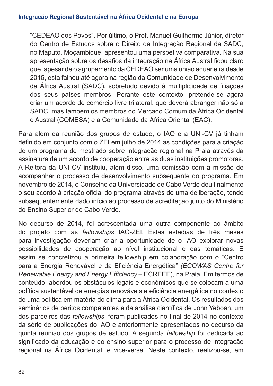"CEDEAO dos Povos". Por último, o Prof. Manuel Guilherme Júnior, diretor do Centro de Estudos sobre o Direito da Integração Regional da SADC, no Maputo, Moçambique, apresentou uma perspetiva comparativa. Na sua apresentação sobre os desafios da integração na África Austral ficou claro que, apesar de o agrupamento da CEDEAO ser uma união aduaneira desde 2015, esta falhou até agora na região da Comunidade de Desenvolvimento da África Austral (SADC), sobretudo devido à multiplicidade de filiações dos seus países membros. Perante este contexto, pretende-se agora criar um acordo de comércio livre trilateral, que deverá abranger não só a SADC, mas também os membros do Mercado Comum da África Ocidental e Austral (COMESA) e a Comunidade da África Oriental (EAC).

Para além da reunião dos grupos de estudo, o IAO e a UNI-CV já tinham definido em conjunto com o ZEI em julho de 2014 as condições para a criação de um programa de mestrado sobre integração regional na Praia através da assinatura de um acordo de cooperação entre as duas instituições promotoras. A Reitora da UNI-CV instituiu, além disso, uma comissão com a missão de acompanhar o processo de desenvolvimento subsequente do programa. Em novembro de 2014, o Conselho da Universidade de Cabo Verde deu finalmente o seu acordo à criação oficial do programa através de uma deliberação, tendo subsequentemente dado início ao processo de acreditação junto do Ministério do Ensino Superior de Cabo Verde.

No decurso de 2014, foi acrescentada uma outra componente ao âmbito do projeto com as *fellowships* IAO-ZEI. Estas estadias de três meses para investigação deveriam criar a oportunidade de o IAO explorar novas possibilidades de cooperação ao nível institucional e das temáticas. E assim se concretizou a primeira fellowship em colaboração com o "Centro para a Energia Renovável e da Eficiência Energética" *(ECOWAS Centre for Renewable Energy and Energy Efficiency - ECREEE), na Praia. Em termos de* conteúdo, abordou os obstáculos legais e económicos que se colocam a uma política sustentável de energias renováveis e eficiência energética no contexto de uma política em matéria do clima para a África Ocidental. Os resultados dos seminários de peritos competentes e da análise científica de John Yeboah, um dos parceiros das *fellowships*, foram publicados no final de 2014 no contexto da série de publicações do IAO e anteriormente apresentados no decurso da quinta reunião dos grupos de estudo. A segunda *fellowship* foi dedicada ao significado da educação e do ensino superior para o processo de integração regional na África Ocidental, e vice-versa. Neste contexto, realizou-se, em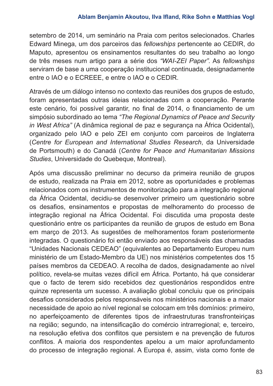setembro de 2014, um seminário na Praia com peritos selecionados. Charles Edward Minega, um dos parceiros das *fellowships* pertencente ao CEDIR, do Maputo, apresentou os ensinamentos resultantes do seu trabalho ao longo de três meses num artigo para a série dos *"WAI-ZEI Paper".* As *fellowships* serviram de base a uma cooperação institucional continuada, designadamente entre o IAO e o ECREEE, e entre o IAO e o CEDIR.

Através de um diálogo intenso no contexto das reuniões dos grupos de estudo, foram apresentadas outras ideias relacionadas com a cooperação. Perante este cenário, foi possível garantir, no final de 2014, o financiamento de um simpósio subordinado ao tema *"The Regional Dynamics of Peace and Security in West Africa"* (A dinâmica regional de paz e segurança na África Ocidental), organizado pelo IAO e pelo ZEI em conjunto com parceiros de Inglaterra (*Centre for European and International Studies Research*, da Universidade de Portsmouth) e do Canadá (*Centre for Peace and Humanitarian Missions Studies*, Universidade do Quebeque, Montreal).

Após uma discussão preliminar no decurso da primeira reunião de grupos de estudo, realizada na Praia em 2012, sobre as oportunidades e problemas relacionados com os instrumentos de monitorização para a integração regional da África Ocidental, decidiu-se desenvolver primeiro um questionário sobre os desafios, ensinamentos e propostas de melhoramento do processo de integração regional na África Ocidental. Foi discutida uma proposta deste questionário entre os participantes da reunião de grupos de estudo em Bona em março de 2013. As sugestões de melhoramentos foram posteriormente integradas. O questionário foi então enviado aos responsáveis das chamadas "Unidades Nacionais CEDEAO" (equivalentes ao Departamento Europeu num ministério de um Estado-Membro da UE) nos ministérios competentes dos 15 países membros da CEDEAO. A recolha de dados, designadamente ao nível político, revela-se muitas vezes difícil em África. Portanto, há que considerar que o facto de terem sido recebidos dez questionários respondidos entre quinze representa um sucesso. A avaliação global concluiu que os principais desafios considerados pelos responsáveis nos ministérios nacionais e a maior necessidade de apoio ao nível regional se colocam em três domínios: primeiro, no aperfeiçoamento de diferentes tipos de infraestruturas transfronteiriças na região; segundo, na intensificação do comércio intrarregional; e, terceiro, na resolução efetiva dos conflitos que persistem e na prevenção de futuros conflitos. A maioria dos respondentes apelou a um maior aprofundamento do processo de integração regional. A Europa é, assim, vista como fonte de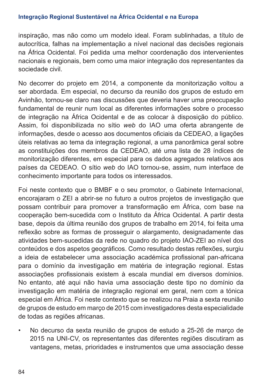inspiração, mas não como um modelo ideal. Foram sublinhadas, a título de autocrítica, falhas na implementação a nível nacional das decisões regionais na África Ocidental. Foi pedida uma melhor coordenação dos intervenientes nacionais e regionais, bem como uma maior integração dos representantes da sociedade civil.

No decorrer do projeto em 2014, a componente da monitorização voltou a ser abordada. Em especial, no decurso da reunião dos grupos de estudo em Avinhão, tornou-se claro nas discussões que deveria haver uma preocupação fundamental de reunir num local as diferentes informações sobre o processo de integração na África Ocidental e de as colocar à disposição do público. Assim, foi disponibilizada no sítio *web* do IAO uma oferta abrangente de informações, desde o acesso aos documentos oficiais da CEDEAO, a ligações úteis relativas ao tema da integração regional, a uma panorâmica geral sobre as constituições dos membros da CEDEAO, até uma lista de 28 índices de monitorização diferentes, em especial para os dados agregados relativos aos países da CEDEAO. O sítio *web* do IAO tornou-se, assim, num interface de conhecimento importante para todos os interessados.

Foi neste contexto que o BMBF e o seu promotor, o Gabinete Internacional, encorajaram o ZEI a abrir-se no futuro a outros projetos de investigação que possam contribuir para promover a transformação em África, com base na cooperação bem-sucedida com o Instituto da África Ocidental. A partir desta base, depois da última reunião dos grupos de trabalho em 2014, foi feita uma reflexão sobre as formas de prosseguir o alargamento, designadamente das atividades bem-sucedidas da rede no quadro do projeto IAO-ZEI ao nível dos conteúdos e dos aspetos geográficos. Como resultado destas reflexões, surgiu a ideia de estabelecer uma associação académica profissional pan-africana para o domínio da investigação em matéria de integração regional. Estas associações profissionais existem à escala mundial em diversos domínios. No entanto, até aqui não havia uma associação deste tipo no domínio da investigação em matéria de integração regional em geral, nem com a tónica especial em África. Foi neste contexto que se realizou na Praia a sexta reunião de grupos de estudo em março de 2015 com investigadores desta especialidade de todas as regiões africanas.

• No decurso da sexta reunião de grupos de estudo a 25-26 de março de 2015 na UNI-CV, os representantes das diferentes regiões discutiram as vantagens, metas, prioridades e instrumentos que uma associação desse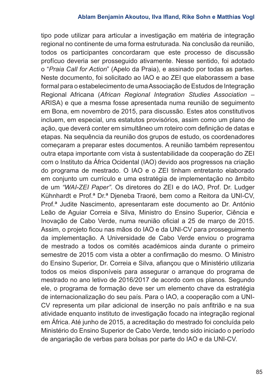tipo pode utilizar para articular a investigação em matéria de integração regional no continente de uma forma estruturada. Na conclusão da reunião, todos os participantes concordaram que este processo de discussão profícuo deveria ser prosseguido ativamente. Nesse sentido, foi adotado o "*Praia Call for Action*" (Apelo da Praia), e assinado por todas as partes. Neste documento, foi solicitado ao IAO e ao ZEI que elaborassem a base formal para o estabelecimento de uma Associação de Estudos de Integração Regional Africana (African Regional Integration Studies Association – ARISA) e que a mesma fosse apresentada numa reunião de seguimento em Bona, em novembro de 2015, para discussão. Estes atos constitutivos incluem, em especial, uns estatutos provisórios, assim como um plano de ação, que deverá conter em simultâneo um roteiro com definição de datas e etapas. Na sequência da reunião dos grupos de estudo, os coordenadores começaram a preparar estes documentos. A reunião também representou outra etapa importante com vista à sustentabilidade da cooperação do ZEI com o Instituto da África Ocidental (IAO) devido aos progressos na criação do programa de mestrado. O IAO e o ZEI tinham entretanto elaborado em conjunto um currículo e uma estratégia de implementação no âmbito de um *"WAI-ZEI Paper"*. Os diretores do ZEI e do IAO, Prof. Dr. Ludger Kühnhardt e Prof.ª Dr.ª Djeneba Traoré, bem como a Reitora da UNI-CV, Prof.ª Judite Nascimento, apresentaram este documento ao Dr. António Leão de Aguiar Correia e Silva, Ministro do Ensino Superior, Ciência e Inovação de Cabo Verde, numa reunião oficial a 25 de março de 2015. Assim, o projeto ficou nas mãos do IAO e da UNI-CV para prosseguimento da implementação. A Universidade de Cabo Verde enviou o programa de mestrado a todos os comités académicos ainda durante o primeiro semestre de 2015 com vista a obter a confirmação do mesmo. O Ministro do Ensino Superior, Dr. Correia e Silva, afiançou que o Ministério utilizaria todos os meios disponíveis para assegurar o arranque do programa de mestrado no ano letivo de 2016/2017 de acordo com os planos. Segundo ele, o programa de formação deve ser um elemento chave da estratégia de internacionalização do seu país. Para o IAO, a cooperação com a UNI-CV representa um pilar adicional de inserção no país anfitrião e na sua atividade enquanto instituto de investigação focado na integração regional em África. Até junho de 2015, a acreditação do mestrado foi concluída pelo Ministério do Ensino Superior de Cabo Verde, tendo sido iniciado o período de angariação de verbas para bolsas por parte do IAO e da UNI-CV.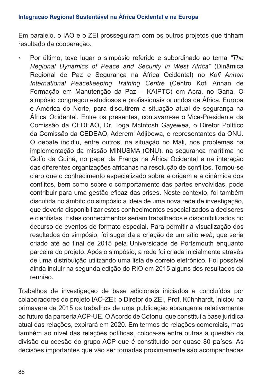Em paralelo, o IAO e o ZEI prosseguiram com os outros projetos que tinham resultado da cooperação.

• Por último, teve lugar o simpósio referido e subordinado ao tema *"The Regional Dynamics of Peace and Security in West Africa"* (Dinâmica Regional de Paz e Segurança na África Ocidental) no *Kofi Annan International Peacekeeping Training Centre* (Centro Kofi Annan de Formação em Manutenção da Paz - KAIPTC) em Acra, no Gana. O simpósio congregou estudiosos e profissionais oriundos de África, Europa e América do Norte, para discutirem a situação atual de segurança na África Ocidental. Entre os presentes, contavam-se o Vice-Presidente da Comissão da CEDEAO, Dr. Toga McIntosh Gayewea, o Diretor Político da Comissão da CEDEAO, Aderemi Adjibewa, e representantes da ONU. O debate incidiu, entre outros, na situação no Mali, nos problemas na implementação da missão MINUSMA (ONU), na segurança marítima no Golfo da Guiné, no papel da França na África Ocidental e na interação das diferentes organizações africanas na resolução de conflitos. Tornou-se claro que o conhecimento especializado sobre a origem e a dinâmica dos conflitos, bem como sobre o comportamento das partes envolvidas, pode contribuir para uma gestão eficaz das crises. Neste contexto, foi também discutida no âmbito do simpósio a ideia de uma nova rede de investigação, que deveria disponibilizar estes conhecimentos especializados a decisores e cientistas. Estes conhecimentos seriam trabalhados e disponibilizados no decurso de eventos de formato especial. Para permitir a visualização dos resultados do simpósio, foi sugerida a criação de um sítio *web*, que seria criado até ao final de 2015 pela Universidade de Portsmouth enquanto parceira do projeto. Após o simpósio, a rede foi criada inicialmente através de uma distribuição utilizando uma lista de correio eletrónico. Foi possível ainda incluir na segunda edição do RIO em 2015 alguns dos resultados da reunião.

Trabalhos de investigação de base adicionais iniciados e concluídos por colaboradores do projeto IAO-ZEI: o Diretor do ZEI, Prof. Kühnhardt, iniciou na primavera de 2015 os trabalhos de uma publicação abrangente relativamente ao futuro da parceria ACP-UE. O Acordo de Cotonu, que constitui a base jurídica atual das relações, expirará em 2020. Em termos de relações comerciais, mas também ao nível das relações políticas, coloca-se entre outras a questão da divisão ou coesão do grupo ACP que é constituído por quase 80 países. As decisões importantes que vão ser tomadas proximamente são acompanhadas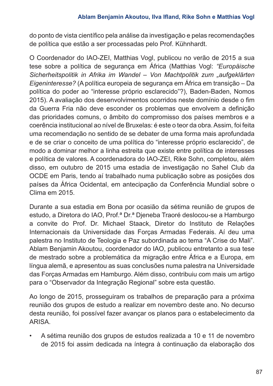do ponto de vista científico pela análise da investigação e pelas recomendações de política que estão a ser processadas pelo Prof. Kühnhardt.

O Coordenador do IAO-ZEI, Matthias Vogl, publicou no verão de 2015 a sua tese sobre a política de segurança em África (Matthias Vogl: *"Europäische Sicherheitspolitik in Afrika im Wandel ‒ Von Machtpolitik zum "aufgeklärten Eigeninteresse?* (A política europeia de segurança em África em transição ‒ Da política do poder ao "interesse próprio esclarecido"?), Baden-Baden, Nomos 2015). A avaliação dos desenvolvimentos ocorridos neste domínio desde o fim da Guerra Fria não deve esconder os problemas que envolvem a definição das prioridades comuns, o âmbito do compromisso dos países membros e a coerência institucional ao nível de Bruxelas: é este o teor da obra. Assim, foi feita uma recomendação no sentido de se debater de uma forma mais aprofundada e de se criar o conceito de uma política do "interesse próprio esclarecido", de modo a dominar melhor a linha estreita que existe entre política de interesses e política de valores. A coordenadora do IAO-ZEI, Rike Sohn, completou, além disso, em outubro de 2015 uma estadia de investigação no Sahel Club da OCDE em Paris, tendo aí trabalhado numa publicação sobre as posições dos países da África Ocidental, em antecipação da Conferência Mundial sobre o Clima em 2015.

Durante a sua estadia em Bona por ocasião da sétima reunião de grupos de estudo, a Diretora do IAO, Prof.ª Dr.ª Djeneba Traoré deslocou-se a Hamburgo a convite do Prof. Dr. Michael Staack, Diretor do Instituto de Relações Internacionais da Universidade das Forças Armadas Federais. Aí deu uma palestra no Instituto de Teologia e Paz subordinada ao tema "A Crise do Mali". Ablam Benjamin Akoutou, coordenador do IAO, publicou entretanto a sua tese de mestrado sobre a problemática da migração entre África e a Europa, em língua alemã, e apresentou as suas conclusões numa palestra na Universidade das Forças Armadas em Hamburgo. Além disso, contribuiu com mais um artigo para o "Observador da Integração Regional" sobre esta questão.

Ao longo de 2015, prosseguiram os trabalhos de preparação para a próxima reunião dos grupos de estudo a realizar em novembro deste ano. No decurso desta reunião, foi possível fazer avançar os planos para o estabelecimento da ARISA.

• A sétima reunião dos grupos de estudos realizada a 10 e 11 de novembro de 2015 foi assim dedicada na íntegra à continuação da elaboração dos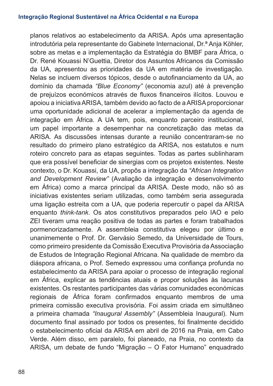planos relativos ao estabelecimento da ARISA. Após uma apresentação introdutória pela representante do Gabinete Internacional, Dr.ª Anja Köhler, sobre as metas e a implementação da Estratégia do BMBF para África, o Dr. René Kouassi N'Guettia, Diretor dos Assuntos Africanos da Comissão da UA, apresentou as prioridades da UA em matéria de investigação. Nelas se incluem diversos tópicos, desde o autofinanciamento da UA, ao domínio da chamada *"Blue Economy"* (economia azul) até à prevenção de prejuízos económicos através de fluxos financeiros ilícitos. Louvou e apoiou a iniciativa ARISA, também devido ao facto de a ARISA proporcionar uma oportunidade adicional de acelerar a implementação da agenda de integração em África. A UA tem, pois, enquanto parceiro institucional, um papel importante a desempenhar na concretização das metas da ARISA. As discussões intensas durante a reunião concentraram-se no resultado do primeiro plano estratégico da ARISA, nos estatutos e num roteiro concreto para as etapas seguintes. Todas as partes sublinharam que era possível beneficiar de sinergias com os projetos existentes. Neste contexto, o Dr. Kouassi, da UA, propôs a integração da *"African Integration and Development Review"* (Avaliação da integração e desenvolvimento em África) como a marca principal da ARISA. Deste modo, não só as iniciativas existentes seriam utilizadas, como também seria assegurada uma ligação estreita com a UA, que poderia repercutir o papel da ARISA enquanto *think-tank*. Os atos constitutivos preparados pelo IAO e pelo ZEI tiveram uma reação positiva de todas as partes e foram trabalhados pormenorizadamente. A assembleia constitutiva elegeu por último e unanimemente o Prof. Dr. Gervásio Semedo, da Universidade de Tours, como primeiro presidente da Comissão Executiva Provisória da Associação de Estudos de Integração Regional Africana. Na qualidade de membro da diáspora africana, o Prof. Semedo expressou uma confiança profunda no estabelecimento da ARISA para apoiar o processo de integração regional em África, explicar as tendências atuais e propor soluções às lacunas existentes. Os restantes participantes das várias comunidades económicas regionais de África foram confirmados enquanto membros de uma primeira comissão executiva provisória. Foi assim criada em simultâneo a primeira chamada *"Inaugural Assembly"* (Assembleia Inaugural). Num documento final assinado por todos os presentes, foi finalmente decidido o estabelecimento oficial da ARISA em abril de 2016 na Praia, em Cabo Verde. Além disso, em paralelo, foi planeado, na Praia, no contexto da ARISA, um debate de fundo "Migração – O Fator Humano" enquadrado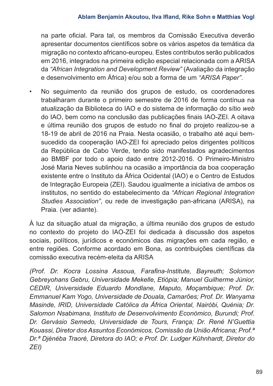na parte oficial. Para tal, os membros da Comissão Executiva deverão apresentar documentos científicos sobre os vários aspetos da temática da migração no contexto africano-europeu. Estes contributos serão publicados em 2016, integrados na primeira edição especial relacionada com a ARISA da *"African Integration and Development Review"* (Avaliação da integração e desenvolvimento em África) e/ou sob a forma de um *"ARISA Paper"*.

• No seguimento da reunião dos grupos de estudo, os coordenadores trabalharam durante o primeiro semestre de 2016 de forma contínua na atualização da Biblioteca do IAO e do sistema de informação do sítio *web* do IAO, bem como na conclusão das publicações finais IAO-ZEI. A oitava e última reunião dos grupos de estudo no final do projeto realizou-se a 18-19 de abril de 2016 na Praia. Nesta ocasião, o trabalho até aqui bemsucedido da cooperação IAO-ZEI foi apreciado pelos dirigentes políticos da República de Cabo Verde, tendo sido manifestados agradecimentos ao BMBF por todo o apoio dado entre 2012-2016. O Primeiro-Ministro José Maria Neves sublinhou na ocasião a importância da boa cooperação existente entre o Instituto da África Ocidental (IAO) e o Centro de Estudos de Integração Europeia (ZEI). Saudou igualmente a iniciativa de ambos os institutos, no sentido do estabelecimento da *"African Regional Integration Studies Association"*, ou rede de investigação pan-africana (ARISA), na Praia. (ver adiante).

À luz da situação atual da migração, a última reunião dos grupos de estudo no contexto do projeto do IAO-ZEI foi dedicada à discussão dos aspetos sociais, políticos, jurídicos e económicos das migrações em cada região, e entre regiões. Conforme acordado em Bona, as contribuições científicas da comissão executiva recém-eleita da ARISA

*(Prof. Dr. Kocra Lossina Assoua, Farafina-Institute, Bayreuth; Solomon Gebreyohans Gebru, Universidade Mekelle, Etiópia; Manuel Guilherme Júnior, CEDIR, Universidade Eduardo Mondlane, Maputo, Moçambique; Prof. Dr. Emmanuel Kam Yogo, Universidade de Douala, Camarões; Prof. Dr. Wanyama Masinde, IRID, Universidade Católica da África Oriental, Nairóbi, Quénia; Dr. Salomon Nsabimana, Instituto de Desenvolvimento Económico, Burundi; Prof. Dr. Gervásio Semedo, Universidade de Tours, França; Dr. René N'Guettia Kouassi, Diretor dos Assuntos Económicos, Comissão da União Africana; Prof.ª Dr.ª Djénéba Traoré, Diretora do IAO; e Prof. Dr. Ludger Kühnhardt, Diretor do ZEI)*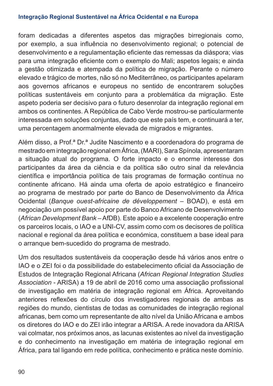foram dedicadas a diferentes aspetos das migrações birregionais como, por exemplo, a sua influência no desenvolvimento regional; o potencial de desenvolvimento e a regulamentação eficiente das remessas da diáspora; vias para uma integração eficiente com o exemplo do Mali; aspetos legais; e ainda a gestão otimizada e atempada da política de migração. Perante o número elevado e trágico de mortes, não só no Mediterrâneo, os participantes apelaram aos governos africanos e europeus no sentido de encontrarem soluções políticas sustentáveis em conjunto para a problemática da migração. Este aspeto poderia ser decisivo para o futuro desenrolar da integração regional em ambos os continentes. A República de Cabo Verde mostrou-se particularmente interessada em soluções conjuntas, dado que este país tem, e continuará a ter, uma percentagem anormalmente elevada de migrados e migrantes.

Além disso, a Prof.ª Dr.ª Judite Nascimento e a coordenadora do programa de mestrado em integração regional em África, (MARI), Sara Spínola, apresentaram a situação atual do programa. O forte impacto e o enorme interesse dos participantes da área da ciência e da política são outro sinal da relevância científica e importância política de tais programas de formação contínua no continente africano. Há ainda uma oferta de apoio estratégico e financeiro ao programa de mestrado por parte do Banco de Desenvolvimento da África Ocidental (*Banque ouest-africaine de développement* ‒ BOAD), e está em negociação um possível apoio por parte do Banco Africano de Desenvolvimento (*African Development Bank* ‒ AfDB). Este apoio e a excelente cooperação entre os parceiros locais, o IAO e a UNI-CV, assim como com os decisores de política nacional e regional da área política e económica, constituem a base ideal para o arranque bem-sucedido do programa de mestrado.

Um dos resultados sustentáveis da cooperação desde há vários anos entre o IAO e o ZEI foi o da possibilidade do estabelecimento oficial da Associação de Estudos de Integração Regional Africana (*African Regional Integration Studies Association* - ARISA) a 19 de abril de 2016 como uma associação profissional de investigação em matéria de integração regional em África. Aproveitando anteriores reflexões do círculo dos investigadores regionais de ambas as regiões do mundo, cientistas de todas as comunidades de integração regional africanas, bem como um representante de alto nível da União Africana e ambos os diretores do IAO e do ZEI irão integrar a ARISA. A rede inovadora da ARISA vai colmatar, nos próximos anos, as lacunas existentes ao nível da investigação e do conhecimento na investigação em matéria de integração regional em África, para tal ligando em rede política, conhecimento e prática neste domínio.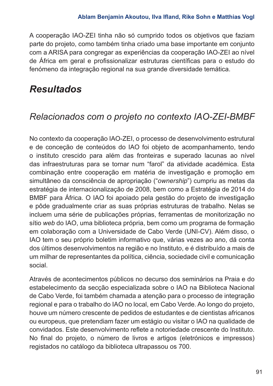A cooperação IAO-ZEI tinha não só cumprido todos os objetivos que faziam parte do projeto, como também tinha criado uma base importante em conjunto com a ARISA para congregar as experiências da cooperação IAO-ZEI ao nível de África em geral e profissionalizar estruturas científicas para o estudo do fenómeno da integração regional na sua grande diversidade temática.

# *Resultados*

# *Relacionados com o projeto no contexto IAO-ZEI-BMBF*

No contexto da cooperação IAO-ZEI, o processo de desenvolvimento estrutural e de conceção de conteúdos do IAO foi objeto de acompanhamento, tendo o instituto crescido para além das fronteiras e superado lacunas ao nível das infraestruturas para se tornar num "farol" da atividade académica. Esta combinação entre cooperação em matéria de investigação e promoção em simultâneo da consciência de apropriação ("*ownership*") cumpriu as metas da estratégia de internacionalização de 2008, bem como a Estratégia de 2014 do BMBF para África. O IAO foi apoiado pela gestão do projeto de investigação e pôde gradualmente criar as suas próprias estruturas de trabalho. Nelas se incluem uma série de publicações próprias, ferramentas de monitorização no sítio *web* do IAO, uma biblioteca própria, bem como um programa de formação em colaboração com a Universidade de Cabo Verde (UNI-CV). Além disso, o IAO tem o seu próprio boletim informativo que, várias vezes ao ano, dá conta dos últimos desenvolvimentos na região e no Instituto, e é distribuído a mais de um milhar de representantes da política, ciência, sociedade civil e comunicação social.

Através de acontecimentos públicos no decurso dos seminários na Praia e do estabelecimento da secção especializada sobre o IAO na Biblioteca Nacional de Cabo Verde, foi também chamada a atenção para o processo de integração regional e para o trabalho do IAO no local, em Cabo Verde. Ao longo do projeto, houve um número crescente de pedidos de estudantes e de cientistas africanos ou europeus, que pretendiam fazer um estágio ou visitar o IAO na qualidade de convidados. Este desenvolvimento reflete a notoriedade crescente do Instituto. No final do projeto, o número de livros e artigos (eletrónicos e impressos) registados no catálogo da biblioteca ultrapassou os 700.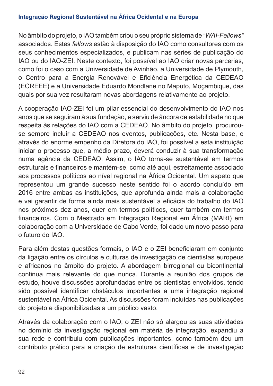No âmbito do projeto, o IAO também criou o seu próprio sistema de *"WAI-Fellows"* associados. Estes *fellows* estão à disposição do IAO como consultores com os seus conhecimentos especializados, e publicam nas séries de publicação do IAO ou do IAO-ZEI. Neste contexto, foi possível ao IAO criar novas parcerias, como foi o caso com a Universidade de Avinhão, a Universidade de Plymouth, o Centro para a Energia Renovável e Eficiência Energética da CEDEAO (ECREEE) e a Universidade Eduardo Mondlane no Maputo, Moçambique, das quais por sua vez resultaram novas abordagens relativamente ao projeto.

A cooperação IAO-ZEI foi um pilar essencial do desenvolvimento do IAO nos anos que se seguiram à sua fundação, e serviu de âncora de estabilidade no que respeita às relações do IAO com a CEDEAO. No âmbito do projeto, procurouse sempre incluir a CEDEAO nos eventos, publicações, etc. Nesta base, e através do enorme empenho da Diretora do IAO, foi possível a esta instituição iniciar o processo que, a médio prazo, deverá conduzir à sua transformação numa agência da CEDEAO. Assim, o IAO torna-se sustentável em termos estruturais e financeiros e mantém-se, como até aqui, estreitamente associado aos processos políticos ao nível regional na África Ocidental. Um aspeto que representou um grande sucesso neste sentido foi o acordo concluído em 2016 entre ambas as instituições, que aprofunda ainda mais a colaboração e vai garantir de forma ainda mais sustentável a eficácia do trabalho do IAO nos próximos dez anos, quer em termos políticos, quer também em termos financeiros. Com o Mestrado em Integração Regional em África (MARI) em colaboração com a Universidade de Cabo Verde, foi dado um novo passo para o futuro do IAO.

Para além destas questões formais, o IAO e o ZEI beneficiaram em conjunto da ligação entre os círculos e culturas de investigação de cientistas europeus e africanos no âmbito do projeto. A abordagem birregional ou bicontinental continua mais relevante do que nunca. Durante a reunião dos grupos de estudo, houve discussões aprofundadas entre os cientistas envolvidos, tendo sido possível identificar obstáculos importantes a uma integração regional sustentável na África Ocidental. As discussões foram incluídas nas publicações do projeto e disponibilizadas a um público vasto.

Através da colaboração com o IAO, o ZEI não só alargou as suas atividades no domínio da investigação regional em matéria de integração, expandiu a sua rede e contribuiu com publicações importantes, como também deu um contributo prático para a criação de estruturas científicas e de investigação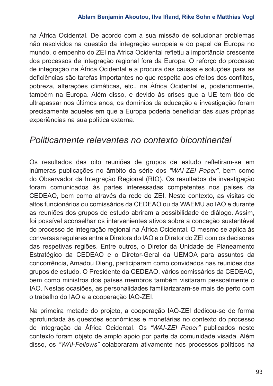na África Ocidental. De acordo com a sua missão de solucionar problemas não resolvidos na questão da integração europeia e do papel da Europa no mundo, o empenho do ZEI na África Ocidental refletiu a importância crescente dos processos de integração regional fora da Europa. O reforço do processo de integração na África Ocidental e a procura das causas e soluções para as deficiências são tarefas importantes no que respeita aos efeitos dos conflitos, pobreza, alterações climáticas, etc., na África Ocidental e, posteriormente, também na Europa. Além disso, e devido às crises que a UE tem tido de ultrapassar nos últimos anos, os domínios da educação e investigação foram precisamente aqueles em que a Europa poderia beneficiar das suas próprias experiências na sua política externa.

# *Politicamente relevantes no contexto bicontinental*

Os resultados das oito reuniões de grupos de estudo refletiram-se em inúmeras publicações no âmbito da série dos *"WAI-ZEI Paper"*, bem como do Observador da Integração Regional (RIO). Os resultados da investigação foram comunicados às partes interessadas competentes nos países da CEDEAO, bem como através da rede do ZEI. Neste contexto, as visitas de altos funcionários ou comissários da CEDEAO ou da WAEMU ao IAO e durante as reuniões dos grupos de estudo abriram a possibilidade de diálogo. Assim, foi possível aconselhar os intervenientes ativos sobre a conceção sustentável do processo de integração regional na África Ocidental. O mesmo se aplica às conversas regulares entre a Diretora do IAO e o Diretor do ZEI com os decisores das respetivas regiões. Entre outros, o Diretor da Unidade de Planeamento Estratégico da CEDEAO e o Diretor-Geral da UEMOA para assuntos da concorrência, Amadou Dieng, participaram como convidados nas reuniões dos grupos de estudo. O Presidente da CEDEAO, vários comissários da CEDEAO, bem como ministros dos países membros também visitaram pessoalmente o IAO. Nestas ocasiões, as personalidades familiarizaram-se mais de perto com o trabalho do IAO e a cooperação IAO-ZEI.

Na primeira metade do projeto, a cooperação IAO-ZEI dedicou-se de forma aprofundada às questões económicas e monetárias no contexto do processo de integração da África Ocidental. Os *"WAI-ZEI Paper"* publicados neste contexto foram objeto de amplo apoio por parte da comunidade visada. Além disso, os *"WAI-Fellows"* colaboraram ativamente nos processos políticos na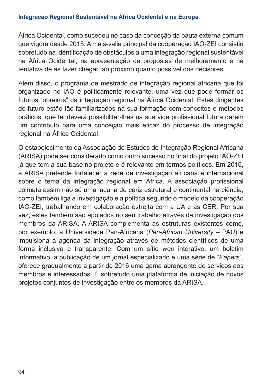África Ocidental, como sucedeu no caso da conceção da pauta externa comum que vigora desde 2015. A mais-valia principal da cooperação IAO-ZEI consistiu sobretudo na identificação de obstáculos a uma integração regional sustentável na África Ocidental, na apresentação de propostas de melhoramento e na tentativa de as fazer chegar tão próximo quanto possível dos decisores.

Além disso, o programa de mestrado de integração regional africana que foi organizado no IAO é politicamente relevante, uma vez que pode formar os futuros "obreiros" da integração regional na África Ocidental. Estes dirigentes do futuro estão tão familiarizados na sua formação com conceitos e métodos práticos, que tal deverá possibilitar-lhes na sua vida profissional futura darem um contributo para uma conceção mais eficaz do processo de integração regional na África Ocidental.

O estabelecimento da Associação de Estudos de Integração Regional Africana (ARISA) pode ser considerado como outro sucesso no final do projeto IAO-ZEI já que tem a sua base no projeto e é relevante em termos políticos. Em 2016, a ARISA pretende fortalecer a rede de investigação africana e internacional sobre o tema da integração regional em África. A associação profissional colmata assim não só uma lacuna de cariz estrutural e continental na ciência, como também liga a investigação e a política segundo o modelo da cooperação IAO-ZEI, trabalhando em colaboração estreita com a UA e as CER. Por sua vez, estes também são apoiados no seu trabalho através da investigação dos membros da ARISA. A ARISA complementa as estruturas existentes como, por exemplo, a Universidade Pan-Africana (*Pan-African University* ‒ PAU) e impulsiona a agenda da integração através de métodos científicos de uma forma inclusiva e transparente. Com um sítio *web* interativo, um boletim informativo, a publicação de um jornal especializado e uma série de "*Papers*", oferece gradualmente a partir de 2016 uma gama abrangente de serviços aos membros e interessados. É sobretudo uma plataforma de iniciação de novos projetos conjuntos de investigação entre os membros da ARISA.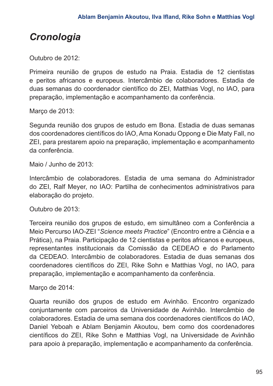# *Cronologia*

Outubro de 2012:

Primeira reunião de grupos de estudo na Praia. Estadia de 12 cientistas e peritos africanos e europeus. Intercâmbio de colaboradores. Estadia de duas semanas do coordenador científico do ZEI, Matthias Vogl, no IAO, para preparação, implementação e acompanhamento da conferência.

Marco de 2013:

Segunda reunião dos grupos de estudo em Bona. Estadia de duas semanas dos coordenadores científicos do IAO, Ama Konadu Oppong e Die Maty Fall, no ZEI, para prestarem apoio na preparação, implementação e acompanhamento da conferência.

Maio / Junho de 2013:

Intercâmbio de colaboradores. Estadia de uma semana do Administrador do ZEI, Ralf Meyer, no IAO: Partilha de conhecimentos administrativos para elaboração do projeto.

Outubro de 2013:

Terceira reunião dos grupos de estudo, em simultâneo com a Conferência a Meio Percurso IAO-ZEI "*Science meets Practice*" (Encontro entre a Ciência e a Prática), na Praia. Participação de 12 cientistas e peritos africanos e europeus, representantes institucionais da Comissão da CEDEAO e do Parlamento da CEDEAO. Intercâmbio de colaboradores. Estadia de duas semanas dos coordenadores científicos do ZEI, Rike Sohn e Matthias Vogl, no IAO, para preparação, implementação e acompanhamento da conferência.

Março de 2014:

Quarta reunião dos grupos de estudo em Avinhão. Encontro organizado conjuntamente com parceiros da Universidade de Avinhão. Intercâmbio de colaboradores. Estadia de uma semana dos coordenadores científicos do IAO, Daniel Yeboah e Ablam Benjamin Akoutou, bem como dos coordenadores científicos do ZEI, Rike Sohn e Matthias Vogl, na Universidade de Avinhão para apoio à preparação, implementação e acompanhamento da conferência.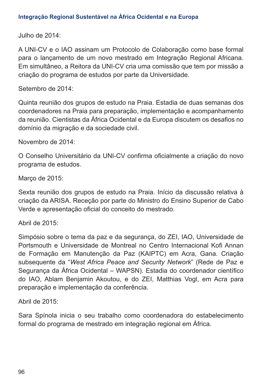Julho de 2014:

A UNI-CV e o IAO assinam um Protocolo de Colaboração como base formal para o lançamento de um novo mestrado em Integração Regional Africana. Em simultâneo, a Reitora da UNI-CV cria uma comissão que tem por missão a criação do programa de estudos por parte da Universidade.

Setembro de 2014:

Quinta reunião dos grupos de estudo na Praia. Estadia de duas semanas dos coordenadores na Praia para preparação, implementação e acompanhamento da reunião. Cientistas da África Ocidental e da Europa discutem os desafios no domínio da migração e da sociedade civil.

Novembro de 2014:

O Conselho Universitário da UNI-CV confirma oficialmente a criação do novo programa de estudos.

Março de 2015:

Sexta reunião dos grupos de estudo na Praia. Início da discussão relativa à criação da ARISA. Receção por parte do Ministro do Ensino Superior de Cabo Verde e apresentação oficial do conceito do mestrado.

Abril de 2015:

Simpósio sobre o tema da paz e da segurança, do ZEI, IAO, Universidade de Portsmouth e Universidade de Montreal no Centro Internacional Kofi Annan de Formação em Manutenção da Paz (KAIPTC) em Acra, Gana. Criação subsequente da "*West Africa Peace and Security Network*" (Rede de Paz e Segurança da África Ocidental – WAPSN). Estadia do coordenador científico do IAO, Ablam Benjamin Akoutou, e do ZEI, Matthias Vogl, em Acra para preparação e implementação da conferência.

Abril de 2015:

Sara Spínola inicia o seu trabalho como coordenadora do estabelecimento formal do programa de mestrado em integração regional em África.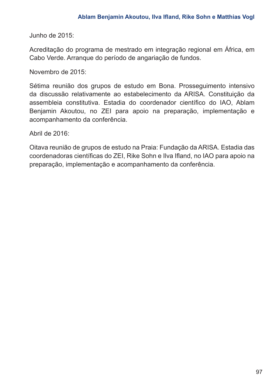Junho de 2015:

Acreditação do programa de mestrado em integração regional em África, em Cabo Verde. Arranque do período de angariação de fundos.

Novembro de 2015:

Sétima reunião dos grupos de estudo em Bona. Prosseguimento intensivo da discussão relativamente ao estabelecimento da ARISA. Constituição da assembleia constitutiva. Estadia do coordenador científico do IAO, Ablam Benjamin Akoutou, no ZEI para apoio na preparação, implementação e acompanhamento da conferência.

Abril de 2016:

Oitava reunião de grupos de estudo na Praia: Fundação da ARISA. Estadia das coordenadoras científicas do ZEI, Rike Sohn e Ilva Ifland, no IAO para apoio na preparação, implementação e acompanhamento da conferência.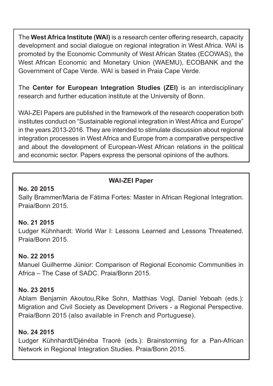The **West Africa Institute (WAI)** is a research center offering research, capacity development and social dialogue on regional integration in West Africa. WAI is promoted by the Economic Community of West African States (ECOWAS), the West African Economic and Monetary Union (WAEMU), ECOBANK and the Government of Cape Verde. WAI is based in Praia Cape Verde.

The **Center for European Integration Studies (ZEI)** is an interdisciplinary research and further education institute at the University of Bonn.

WAI-ZEI Papers are published in the framework of the research cooperation both institutes conduct on "Sustainable regional integration in West Africa and Europe" in the years 2013-2016. They are intended to stimulate discussion about regional integration processes in West Africa and Europe from a comparative perspective and about the development of European-West African relations in the political and economic sector. Papers express the personal opinions of the authors.

# **WAI-ZEI Paper**

#### **No. 20 2015**

Sally Brammer/Maria de Fátima Fortes: Master in African Regional Integration. Praia/Bonn 2015.

# **No. 21 2015**

Ludger Kühnhardt: World War I: Lessons Learned and Lessons Threatened. Praia/Bonn 2015.

# **No. 22 2015**

Manuel Guilherme Júnior: Comparison of Regional Economic Communities in Africa – The Case of SADC. Praia/Bonn 2015.

# **No. 23 2015**

Ablam Benjamin Akoutou,Rike Sohn, Matthias Vogl, Daniel Yeboah (eds.): Migration and Civil Society as Development Drivers - a Regional Perspective. Praia/Bonn 2015 (also available in French and Portuguese).

# **No. 24 2015**

Ludger Kühnhardt/Djénéba Traoré (eds.): Brainstorming for a Pan-African Network in Regional Integration Studies. Praia/Bonn 2015.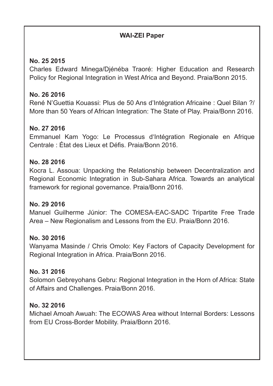# **WAI-ZEI Paper**

# **No. 25 2015**

Charles Edward Minega/Djénéba Traoré: Higher Education and Research Policy for Regional Integration in West Africa and Beyond. Praia/Bonn 2015.

# **No. 26 2016**

René N'Guettia Kouassi: Plus de 50 Ans d'Intégration Africaine : Quel Bilan ?/ More than 50 Years of African Integration: The State of Play. Praia/Bonn 2016.

# **No. 27 2016**

Emmanuel Kam Yogo: Le Processus d'Intégration Regionale en Afrique Centrale : État des Lieux et Défis. Praia/Bonn 2016.

#### **No. 28 2016**

Kocra L. Assoua: Unpacking the Relationship between Decentralization and Regional Economic Integration in Sub-Sahara Africa. Towards an analytical framework for regional governance. Praia/Bonn 2016.

# **No. 29 2016**

Manuel Guilherme Júnior: The COMESA-EAC-SADC Tripartite Free Trade Area – New Regionalism and Lessons from the EU. Praia/Bonn 2016.

# **No. 30 2016**

Wanyama Masinde / Chris Omolo: Key Factors of Capacity Development for Regional Integration in Africa. Praia/Bonn 2016.

# **No. 31 2016**

Solomon Gebreyohans Gebru: Regional Integration in the Horn of Africa: State of Affairs and Challenges. Praia/Bonn 2016.

# **No. 32 2016**

Michael Amoah Awuah: The ECOWAS Area without Internal Borders: Lessons from EU Cross-Border Mobility. Praia/Bonn 2016.